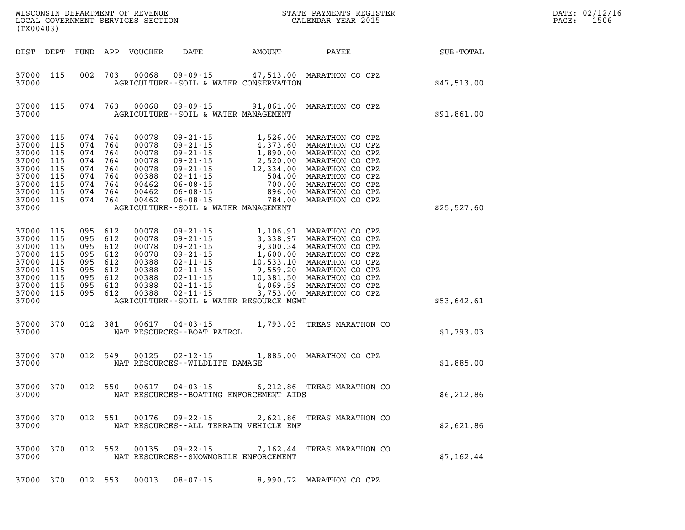| DATE: | 02/12/16 |
|-------|----------|
| PAGE: | 1506     |

| WISCONSIN DEPARTMENT OF REVENUE<br>LOCAL GOVERNMENT SERVICES SECTION CALENDAR YEAR 2015<br>(TX00403) |                                                      |  |                                                                                                 |                                                                               |                                           |                                                                                                                                                                                                                                                                        |             | DATE: 02/12/1<br>$\mathtt{PAGE:}$<br>1506 |
|------------------------------------------------------------------------------------------------------|------------------------------------------------------|--|-------------------------------------------------------------------------------------------------|-------------------------------------------------------------------------------|-------------------------------------------|------------------------------------------------------------------------------------------------------------------------------------------------------------------------------------------------------------------------------------------------------------------------|-------------|-------------------------------------------|
| DIST DEPT                                                                                            |                                                      |  |                                                                                                 | FUND APP VOUCHER                                                              |                                           | DATE AMOUNT PAYEE SUB-TOTAL                                                                                                                                                                                                                                            |             |                                           |
| 37000 115<br>37000                                                                                   |                                                      |  |                                                                                                 |                                                                               | AGRICULTURE--SOIL & WATER CONSERVATION    | 002 703 00068 09-09-15 47,513.00 MARATHON CO CPZ                                                                                                                                                                                                                       | \$47,513.00 |                                           |
| 37000 115<br>37000                                                                                   |                                                      |  |                                                                                                 | 074 763 00068                                                                 | AGRICULTURE--SOIL & WATER MANAGEMENT      | 09-09-15 91,861.00 MARATHON CO CPZ                                                                                                                                                                                                                                     | \$91,861.00 |                                           |
| 37000<br>37000<br>37000<br>37000<br>37000<br>37000<br>37000<br>37000 115<br>37000 115<br>37000       | 115<br>115<br>115<br>115<br>115<br>115<br>115        |  | 074 764<br>074 764<br>074 764<br>074 764<br>074 764<br>074 764<br>074 764<br>074 764<br>074 764 | 00078<br>00078<br>00078<br>00078<br>00078<br>00388<br>00462<br>00462<br>00462 | AGRICULTURE--SOIL & WATER MANAGEMENT      | 09-21-15<br>09-21-15<br>09-21-15<br>1,890.00 MARATHON CO CPZ<br>09-21-15<br>1,890.00 MARATHON CO CPZ<br>09-21-15<br>2,520.00 MARATHON CO CPZ<br>09-21-15<br>12,334.00 MARATHON CO CPZ<br>06-08-15<br>06-08-15<br>06-08-15<br>06-08-15<br>06-08-15<br>06-08-1           | \$25,527.60 |                                           |
| 37000<br>37000<br>37000<br>37000<br>37000<br>37000<br>37000<br>37000<br>37000 115<br>37000           | 115<br>115<br>115<br>115<br>115<br>115<br>115<br>115 |  | 095 612<br>095 612<br>095 612<br>095 612<br>095 612<br>095 612<br>095 612<br>095 612<br>095 612 | 00078<br>00078<br>00078<br>00078<br>00388<br>00388<br>00388<br>00388<br>00388 | AGRICULTURE -- SOIL & WATER RESOURCE MGMT | 09-21-15<br>09-21-15<br>09-21-15<br>09-21-15<br>09-21-15<br>09-21-15<br>09-21-15<br>09-21-15<br>02-11-15<br>1,533.10<br>MARATHON CO CPZ<br>02-11-15<br>02-11-15<br>02-11-15<br>4,069.59<br>MARATHON CO CPZ<br>02-11-15<br>02-11-15<br>4,069.59<br>MARATHON CO CPZ<br>0 | \$53,642.61 |                                           |
| 37000<br>37000                                                                                       | 370                                                  |  | 012 381                                                                                         | 00617                                                                         | NAT RESOURCES - - BOAT PATROL             | 04-03-15 1,793.03 TREAS MARATHON CO                                                                                                                                                                                                                                    | \$1,793.03  |                                           |
| 37000<br>37000                                                                                       | 370                                                  |  | 012 549                                                                                         | 00125                                                                         | NAT RESOURCES - - WILDLIFE DAMAGE         | 02-12-15 1,885.00 MARATHON CO CPZ                                                                                                                                                                                                                                      | \$1,885.00  |                                           |
| 37000 370<br>37000                                                                                   |                                                      |  | 012 550                                                                                         |                                                                               | $00617$ $04 - 03 - 15$                    | 6,212.86 TREAS MARATHON CO<br>NAT RESOURCES--BOATING ENFORCEMENT AIDS                                                                                                                                                                                                  | \$6,212.86  |                                           |
| 37000                                                                                                | 37000 370                                            |  |                                                                                                 |                                                                               | NAT RESOURCES--ALL TERRAIN VEHICLE ENF    | 012 551 00176 09-22-15 2,621.86 TREAS MARATHON CO                                                                                                                                                                                                                      | \$2,621.86  |                                           |
| 37000                                                                                                | 37000 370                                            |  |                                                                                                 |                                                                               | NAT RESOURCES - - SNOWMOBILE ENFORCEMENT  | 012 552 00135 09-22-15 7,162.44 TREAS MARATHON CO                                                                                                                                                                                                                      | \$7,162.44  |                                           |
|                                                                                                      |                                                      |  |                                                                                                 | 37000 370 012 553 00013                                                       | $08 - 07 - 15$                            | 8,990.72 MARATHON CO CPZ                                                                                                                                                                                                                                               |             |                                           |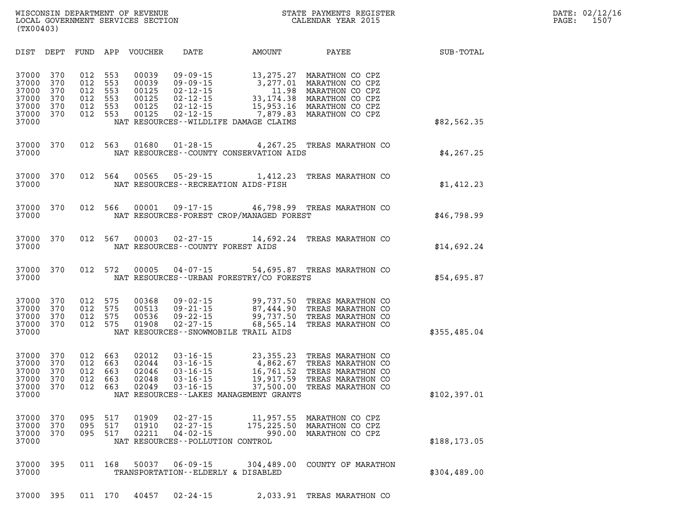| DIST<br>DEPT                                                                                          | FUND                                   | APP<br><b>VOUCHER</b>                                                                        | DATE                                                                                                                                                 | AMOUNT                                                                | PAYEE                                                                                                          | SUB-TOTAL     |
|-------------------------------------------------------------------------------------------------------|----------------------------------------|----------------------------------------------------------------------------------------------|------------------------------------------------------------------------------------------------------------------------------------------------------|-----------------------------------------------------------------------|----------------------------------------------------------------------------------------------------------------|---------------|
| 37000<br>370<br>370<br>37000<br>37000<br>370<br>37000<br>370<br>37000<br>370<br>370<br>37000<br>37000 | 012<br>012<br>012<br>012<br>012<br>012 | 553<br>00039<br>553<br>00039<br>553<br>00125<br>553<br>00125<br>553<br>00125<br>553<br>00125 | $09 - 09 - 15$<br>$09 - 09 - 15$<br>$02 - 12 - 15$<br>$02 - 12 - 15$<br>$02 - 12 - 15$<br>$02 - 12 - 15$<br>NAT RESOURCES - - WILDLIFE DAMAGE CLAIMS | 13,275.27<br>3,277.01<br>11.98<br>33, 174.38<br>15,953.16<br>7,879.83 | MARATHON CO CPZ<br>MARATHON CO CPZ<br>MARATHON CO CPZ<br>MARATHON CO CPZ<br>MARATHON CO CPZ<br>MARATHON CO CPZ | \$82,562.35   |
| 37000<br>370<br>37000                                                                                 | 012                                    | 563<br>01680                                                                                 | $01 - 28 - 15$<br>NAT RESOURCES - - COUNTY CONSERVATION AIDS                                                                                         | 4,267.25                                                              | TREAS MARATHON CO                                                                                              | \$4, 267.25   |
| 37000<br>370<br>37000                                                                                 | 012                                    | 564<br>00565                                                                                 | $05 - 29 - 15$<br>NAT RESOURCES - - RECREATION AIDS - FISH                                                                                           | 1,412.23                                                              | TREAS MARATHON CO                                                                                              | \$1,412.23    |
| 37000<br>370<br>37000                                                                                 | 012                                    | 566<br>00001                                                                                 | $09 - 17 - 15$<br>NAT RESOURCES-FOREST CROP/MANAGED FOREST                                                                                           |                                                                       | 46,798.99 TREAS MARATHON CO                                                                                    | \$46,798.99   |
| 37000<br>370<br>37000                                                                                 | 012                                    | 567<br>00003                                                                                 | $02 - 27 - 15$<br>NAT RESOURCES - - COUNTY FOREST AIDS                                                                                               | 14,692.24                                                             | TREAS MARATHON CO                                                                                              | \$14,692.24   |
| 37000<br>370<br>37000                                                                                 | 012                                    | 572<br>00005                                                                                 | $04 - 07 - 15$<br>NAT RESOURCES - - URBAN FORESTRY/CO FORESTS                                                                                        |                                                                       | 54,695.87 TREAS MARATHON CO                                                                                    | \$54,695.87   |
| 37000<br>370<br>37000<br>370<br>37000<br>370<br>37000<br>370<br>37000                                 | 012<br>012<br>012<br>012               | 575<br>00368<br>575<br>00513<br>00536<br>575<br>575<br>01908                                 | $09 - 02 - 15$<br>$09 - 21 - 15$<br>$09 - 22 - 15$<br>$02 - 27 - 15$<br>NAT RESOURCES - - SNOWMOBILE TRAIL AIDS                                      | 99,737.50<br>87,444.90<br>99,737.50<br>68,565.14                      | TREAS MARATHON CO<br>TREAS MARATHON CO<br>TREAS MARATHON CO<br>TREAS MARATHON CO                               | \$355,485.04  |
| 37000<br>370<br>37000<br>370<br>37000<br>370<br>37000<br>370<br>37000<br>370<br>37000                 | 012<br>012<br>012<br>012<br>012        | 663<br>02012<br>663<br>02044<br>663<br>02046<br>663<br>02048<br>663<br>02049                 | $03 - 16 - 15$<br>$03 - 16 - 15$<br>$03 - 16 - 15$<br>$03 - 16 - 15$<br>$03 - 16 - 15$<br>NAT RESOURCES - - LAKES MANAGEMENT GRANTS                  | 23, 355. 23<br>4,862.67<br>16,761.52<br>19,917.59<br>37,500.00        | TREAS MARATHON CO<br>TREAS MARATHON CO<br>TREAS MARATHON CO<br>TREAS MARATHON CO<br>TREAS MARATHON CO          | \$102,397.01  |
| 37000<br>370<br>37000<br>370<br>37000<br>370<br>37000                                                 | 095<br>095<br>095                      | 517<br>01909<br>517<br>01910<br>517<br>02211                                                 | $02 - 27 - 15$<br>$02 - 27 - 15$<br>$04 - 02 - 15$<br>NAT RESOURCES - - POLLUTION CONTROL                                                            | 11,957.55<br>175,225.50<br>990.00                                     | MARATHON CO CPZ<br>MARATHON CO CPZ<br>MARATHON CO CPZ                                                          | \$188, 173.05 |
| 37000<br>395<br>37000                                                                                 | 011                                    | 168<br>50037                                                                                 | $06 - 09 - 15$<br>TRANSPORTATION--ELDERLY & DISABLED                                                                                                 | 304,489.00                                                            | COUNTY OF MARATHON                                                                                             | \$304,489.00  |
| 37000 395                                                                                             |                                        | 011 170<br>40457                                                                             | $02 - 24 - 15$                                                                                                                                       |                                                                       | 2,033.91 TREAS MARATHON CO                                                                                     |               |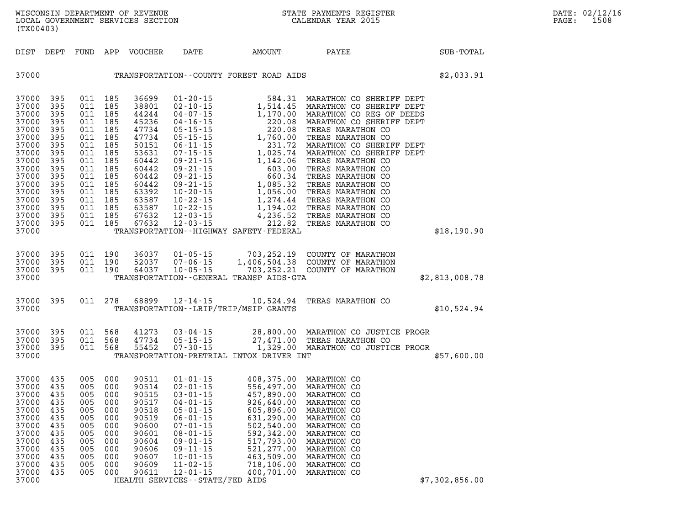| DIST                                                                                                                                                           | DEPT                                                                                                                | FUND                                                                                                                | APP                                                                                                                 | VOUCHER                                                                                                                                               | DATE                                                                                                                                                                                                                                                                                                           | AMOUNT                                                                                                                                                                                                                          | PAYEE                                                                                                                                                                                                                                                                                                                                                                                                              | SUB-TOTAL      |
|----------------------------------------------------------------------------------------------------------------------------------------------------------------|---------------------------------------------------------------------------------------------------------------------|---------------------------------------------------------------------------------------------------------------------|---------------------------------------------------------------------------------------------------------------------|-------------------------------------------------------------------------------------------------------------------------------------------------------|----------------------------------------------------------------------------------------------------------------------------------------------------------------------------------------------------------------------------------------------------------------------------------------------------------------|---------------------------------------------------------------------------------------------------------------------------------------------------------------------------------------------------------------------------------|--------------------------------------------------------------------------------------------------------------------------------------------------------------------------------------------------------------------------------------------------------------------------------------------------------------------------------------------------------------------------------------------------------------------|----------------|
| 37000                                                                                                                                                          |                                                                                                                     |                                                                                                                     |                                                                                                                     |                                                                                                                                                       |                                                                                                                                                                                                                                                                                                                | TRANSPORTATION--COUNTY FOREST ROAD AIDS                                                                                                                                                                                         |                                                                                                                                                                                                                                                                                                                                                                                                                    | \$2,033.91     |
| 37000<br>37000<br>37000<br>37000<br>37000<br>37000<br>37000<br>37000<br>37000<br>37000<br>37000<br>37000<br>37000<br>37000<br>37000<br>37000<br>37000<br>37000 | 395<br>395<br>395<br>395<br>395<br>395<br>395<br>395<br>395<br>395<br>395<br>395<br>395<br>395<br>395<br>395<br>395 | 011<br>011<br>011<br>011<br>011<br>011<br>011<br>011<br>011<br>011<br>011<br>011<br>011<br>011<br>011<br>011<br>011 | 185<br>185<br>185<br>185<br>185<br>185<br>185<br>185<br>185<br>185<br>185<br>185<br>185<br>185<br>185<br>185<br>185 | 36699<br>38801<br>44244<br>45236<br>47734<br>47734<br>50151<br>53631<br>60442<br>60442<br>60442<br>60442<br>63392<br>63587<br>63587<br>67632<br>67632 | $01 - 20 - 15$<br>$02 - 10 - 15$<br>$04 - 07 - 15$<br>$04 - 16 - 15$<br>$05 - 15 - 15$<br>$05 - 15 - 15$<br>$06 - 11 - 15$<br>$07 - 15 - 15$<br>$09 - 21 - 15$<br>$09 - 21 - 15$<br>$09 - 21 - 15$<br>$09 - 21 - 15$<br>$10 - 20 - 15$<br>$10 - 22 - 15$<br>$10 - 22 - 15$<br>$12 - 03 - 15$<br>$12 - 03 - 15$ | 1,514.45<br>1,170.00<br>220.08<br>220.08<br>1,760.00<br>231.72<br>1,025.74<br>1,142.06<br>603.00<br>660.34<br>1,085.32<br>1,056.00<br>1,274.44<br>1,194.02<br>4,236.52<br>212.82<br>TRANSPORTATION - - HIGHWAY SAFETY - FEDERAL | 584.31 MARATHON CO SHERIFF DEPT<br>MARATHON CO SHERIFF DEPT<br>MARATHON CO REG OF DEEDS<br>MARATHON CO SHERIFF DEPT<br>TREAS MARATHON CO<br>TREAS MARATHON CO<br>MARATHON CO SHERIFF DEPT<br>MARATHON CO SHERIFF DEPT<br>TREAS MARATHON CO<br>TREAS MARATHON CO<br>TREAS MARATHON CO<br>TREAS MARATHON CO<br>TREAS MARATHON CO<br>TREAS MARATHON CO<br>TREAS MARATHON CO<br>TREAS MARATHON CO<br>TREAS MARATHON CO | \$18,190.90    |
| 37000<br>37000<br>37000<br>37000                                                                                                                               | 395<br>395<br>395                                                                                                   | 011<br>011<br>011                                                                                                   | 190<br>190<br>190                                                                                                   | 36037<br>52037<br>64037                                                                                                                               | $01 - 05 - 15$<br>$07 - 06 - 15$<br>$10 - 05 - 15$                                                                                                                                                                                                                                                             | 1,406,504.38<br>703,252.21<br>TRANSPORTATION--GENERAL TRANSP AIDS-GTA                                                                                                                                                           | 703, 252.19 COUNTY OF MARATHON<br>COUNTY OF MARATHON<br>COUNTY OF MARATHON                                                                                                                                                                                                                                                                                                                                         | \$2,813,008.78 |
| 37000<br>37000                                                                                                                                                 | 395                                                                                                                 | 011                                                                                                                 | 278                                                                                                                 | 68899                                                                                                                                                 | $12 - 14 - 15$                                                                                                                                                                                                                                                                                                 | 10,524.94<br>TRANSPORTATION - - LRIP/TRIP/MSIP GRANTS                                                                                                                                                                           | TREAS MARATHON CO                                                                                                                                                                                                                                                                                                                                                                                                  | \$10,524.94    |
| 37000<br>37000<br>37000<br>37000                                                                                                                               | 395<br>395<br>395                                                                                                   | 011<br>011<br>011                                                                                                   | 568<br>568<br>568                                                                                                   | 41273<br>47734<br>55452                                                                                                                               | $03 - 04 - 15$<br>$05 - 15 - 15$<br>$07 - 30 - 15$                                                                                                                                                                                                                                                             | TRANSPORTATION-PRETRIAL INTOX DRIVER INT                                                                                                                                                                                        | 28,800.00 MARATHON CO JUSTICE PROGR<br>27,471.00 TREAS MARATHON CO<br>1,329.00 MARATHON CO JUSTICE PROGR                                                                                                                                                                                                                                                                                                           | \$57,600.00    |
| 37000<br>37000<br>37000<br>37000<br>37000<br>37000<br>37000<br>37000<br>37000<br>37000<br>37000<br>37000<br>37000<br>37000                                     | 435<br>435<br>435<br>435<br>435<br>435<br>435<br>435<br>435<br>435<br>435<br>435<br>435                             | 005<br>005<br>005<br>005<br>005<br>005<br>005<br>005<br>005<br>005<br>005<br>005<br>005                             | 000<br>000<br>000<br>000<br>000<br>000<br>000<br>000<br>000<br>000<br>000<br>000<br>000                             | 90511<br>90514<br>90515<br>90517<br>90518<br>90519<br>90600<br>90601<br>90604<br>90606<br>90607<br>90609<br>90611                                     | $01 - 01 - 15$<br>$02 - 01 - 15$<br>$03 - 01 - 15$<br>$04 - 01 - 15$<br>$05 - 01 - 15$<br>$06 - 01 - 15$<br>$07 - 01 - 15$<br>$08 - 01 - 15$<br>$09 - 01 - 15$<br>$09 - 11 - 15$<br>$10 - 01 - 15$<br>$11 - 02 - 15$<br>$12 - 01 - 15$<br>HEALTH SERVICES - - STATE/FED AIDS                                   | 408,375.00<br>556,497.00<br>457,890.00<br>926,640.00<br>605,896.00<br>631,290.00<br>502,540.00<br>592,342.00<br>517,793.00<br>521,277.00<br>463,509.00<br>718,106.00<br>400,701.00                                              | MARATHON CO<br>MARATHON CO<br>MARATHON CO<br>MARATHON CO<br>MARATHON CO<br>MARATHON CO<br>MARATHON CO<br>MARATHON CO<br>MARATHON CO<br>MARATHON CO<br>MARATHON CO<br>MARATHON CO<br>MARATHON CO                                                                                                                                                                                                                    | \$7,302,856.00 |

LOCAL GOVERNMENT SERVICES SECTION

**(TX00403)**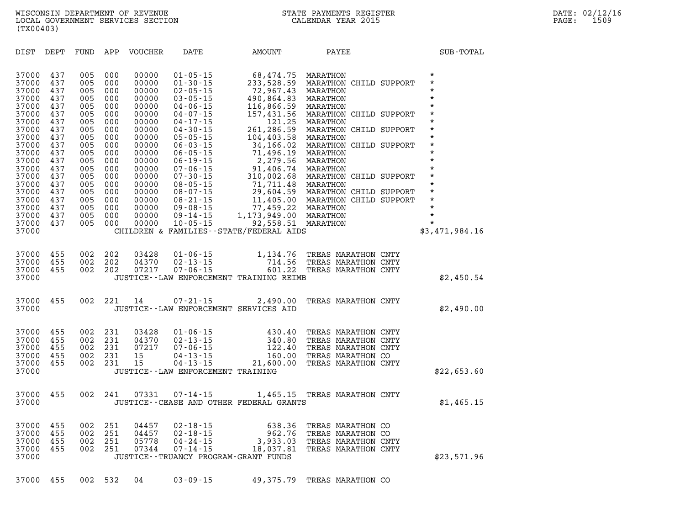| (TX00403) |  |
|-----------|--|
|           |  |
|           |  |

| DIST                                                                                                                                                                             | DEPT                                                                                                                                     | FUND                                                                                                                                     | APP                                                                                                                                      | <b>VOUCHER</b>                                                                                                                                                                   | DATE                                                                                                                                                                                                                                                                                                                                                                 | AMOUNT                                                                                                                                                                                                                                                                   | PAYEE                                                                                                                                                                                                                                                                                                                                          | SUB-TOTAL                                                                                                                                                                                                    |
|----------------------------------------------------------------------------------------------------------------------------------------------------------------------------------|------------------------------------------------------------------------------------------------------------------------------------------|------------------------------------------------------------------------------------------------------------------------------------------|------------------------------------------------------------------------------------------------------------------------------------------|----------------------------------------------------------------------------------------------------------------------------------------------------------------------------------|----------------------------------------------------------------------------------------------------------------------------------------------------------------------------------------------------------------------------------------------------------------------------------------------------------------------------------------------------------------------|--------------------------------------------------------------------------------------------------------------------------------------------------------------------------------------------------------------------------------------------------------------------------|------------------------------------------------------------------------------------------------------------------------------------------------------------------------------------------------------------------------------------------------------------------------------------------------------------------------------------------------|--------------------------------------------------------------------------------------------------------------------------------------------------------------------------------------------------------------|
| 37000<br>37000<br>37000<br>37000<br>37000<br>37000<br>37000<br>37000<br>37000<br>37000<br>37000<br>37000<br>37000<br>37000<br>37000<br>37000<br>37000<br>37000<br>37000<br>37000 | 437<br>437<br>437<br>437<br>437<br>437<br>437<br>437<br>437<br>437<br>437<br>437<br>437<br>437<br>437<br>437<br>437<br>437<br>437<br>437 | 005<br>005<br>005<br>005<br>005<br>005<br>005<br>005<br>005<br>005<br>005<br>005<br>005<br>005<br>005<br>005<br>005<br>005<br>005<br>005 | 000<br>000<br>000<br>000<br>000<br>000<br>000<br>000<br>000<br>000<br>000<br>000<br>000<br>000<br>000<br>000<br>000<br>000<br>000<br>000 | 00000<br>00000<br>00000<br>00000<br>00000<br>00000<br>00000<br>00000<br>00000<br>00000<br>00000<br>00000<br>00000<br>00000<br>00000<br>00000<br>00000<br>00000<br>00000<br>00000 | $01 - 05 - 15$<br>$01 - 30 - 15$<br>$02 - 05 - 15$<br>$03 - 05 - 15$<br>$04 - 06 - 15$<br>$04 - 07 - 15$<br>$04 - 17 - 15$<br>$04 - 30 - 15$<br>$05 - 05 - 15$<br>$06 - 03 - 15$<br>$06 - 05 - 15$<br>$06 - 19 - 15$<br>$07 - 06 - 15$<br>$07 - 30 - 15$<br>$08 - 05 - 15$<br>$08 - 07 - 15$<br>$08 - 21 - 15$<br>$09 - 08 - 15$<br>$09 - 14 - 15$<br>$10 - 05 - 15$ | 68,474.75<br>233,528.59<br>72,967.43<br>490,864.83<br>116,866.59<br>157,431.56<br>121.25<br>261,286.59<br>104,403.58<br>34,166.02<br>71,496.19<br>2,279.56<br>91,406.74<br>310,002.68<br>71,711.48<br>29,604.59<br>11,405.00<br>77,459.22<br>1, 173, 949.00<br>92,558.51 | MARATHON<br>MARATHON CHILD SUPPORT<br>MARATHON<br>MARATHON<br>MARATHON<br>MARATHON CHILD SUPPORT<br>MARATHON<br>MARATHON CHILD SUPPORT<br>MARATHON<br>MARATHON CHILD SUPPORT<br>MARATHON<br>MARATHON<br>MARATHON<br>MARATHON CHILD SUPPORT<br>MARATHON<br>MARATHON CHILD SUPPORT<br>MARATHON CHILD SUPPORT<br>MARATHON<br>MARATHON<br>MARATHON | $\star$<br>$\star$<br>$\star$<br>$\star$<br>$\star$<br>$\star$<br>$\star$<br>$\star$<br>$\star$<br>$\star$<br>*<br>$\star$<br>$\star$<br>*<br>$\star$<br>$\star$<br>$\star$<br>$\star$<br>$\star$<br>$\star$ |
| 37000                                                                                                                                                                            |                                                                                                                                          |                                                                                                                                          |                                                                                                                                          |                                                                                                                                                                                  |                                                                                                                                                                                                                                                                                                                                                                      | CHILDREN & FAMILIES--STATE/FEDERAL AIDS                                                                                                                                                                                                                                  |                                                                                                                                                                                                                                                                                                                                                | \$3,471,984.16                                                                                                                                                                                               |
| 37000<br>37000<br>37000<br>37000                                                                                                                                                 | 455<br>455<br>455                                                                                                                        | 002<br>002<br>002                                                                                                                        | 202<br>202<br>202                                                                                                                        | 03428<br>04370<br>07217                                                                                                                                                          | $01 - 06 - 15$<br>$02 - 13 - 15$<br>$07 - 06 - 15$                                                                                                                                                                                                                                                                                                                   | 1,134.76<br>714.56<br>601.22<br>JUSTICE -- LAW ENFORCEMENT TRAINING REIMB                                                                                                                                                                                                | TREAS MARATHON CNTY<br>TREAS MARATHON CNTY<br>TREAS MARATHON CNTY                                                                                                                                                                                                                                                                              | \$2,450.54                                                                                                                                                                                                   |
| 37000<br>37000                                                                                                                                                                   | 455                                                                                                                                      | 002                                                                                                                                      | 221                                                                                                                                      | 14                                                                                                                                                                               | $07 - 21 - 15$<br>JUSTICE--LAW ENFORCEMENT SERVICES AID                                                                                                                                                                                                                                                                                                              | 2,490.00                                                                                                                                                                                                                                                                 | TREAS MARATHON CNTY                                                                                                                                                                                                                                                                                                                            | \$2,490.00                                                                                                                                                                                                   |
| 37000<br>37000<br>37000<br>37000<br>37000<br>37000                                                                                                                               | 455<br>455<br>455<br>455<br>455                                                                                                          | 002<br>002<br>002<br>002<br>002                                                                                                          | 231<br>231<br>231<br>231<br>231                                                                                                          | 03428<br>04370<br>07217<br>15<br>15                                                                                                                                              | $01 - 06 - 15$<br>$02 - 13 - 15$<br>$07 - 06 - 15$<br>$04 - 13 - 15$<br>$04 - 13 - 15$<br>JUSTICE - - LAW ENFORCEMENT TRAINING                                                                                                                                                                                                                                       | 430.40<br>340.80<br>122.40<br>160.00<br>21,600.00                                                                                                                                                                                                                        | TREAS MARATHON CNTY<br>TREAS MARATHON CNTY<br>TREAS MARATHON CNTY<br>TREAS MARATHON CO<br>TREAS MARATHON CNTY                                                                                                                                                                                                                                  | \$22,653.60                                                                                                                                                                                                  |
| 37000<br>37000                                                                                                                                                                   | 455                                                                                                                                      | 002                                                                                                                                      | 241                                                                                                                                      | 07331                                                                                                                                                                            | $07 - 14 - 15$                                                                                                                                                                                                                                                                                                                                                       | JUSTICE--CEASE AND OTHER FEDERAL GRANTS                                                                                                                                                                                                                                  | 1,465.15 TREAS MARATHON CNTY                                                                                                                                                                                                                                                                                                                   | \$1,465.15                                                                                                                                                                                                   |
| 37000<br>37000<br>37000<br>37000<br>37000                                                                                                                                        | 455<br>455<br>455<br>455                                                                                                                 | 002<br>002<br>002<br>002                                                                                                                 | 251<br>251<br>251<br>251                                                                                                                 | 04457<br>04457<br>05778<br>07344                                                                                                                                                 | $02 - 18 - 15$<br>$02 - 18 - 15$<br>$04 - 24 - 15$<br>$07 - 14 - 15$<br>JUSTICE - - TRUANCY PROGRAM - GRANT FUNDS                                                                                                                                                                                                                                                    | 638.36<br>962.76<br>3,933.03<br>18,037.81                                                                                                                                                                                                                                | TREAS MARATHON CO<br>TREAS MARATHON CO<br>TREAS MARATHON CNTY<br>TREAS MARATHON CNTY                                                                                                                                                                                                                                                           | \$23,571.96                                                                                                                                                                                                  |
| 37000                                                                                                                                                                            | 455                                                                                                                                      | 002                                                                                                                                      | 532                                                                                                                                      | 04                                                                                                                                                                               | $03 - 09 - 15$                                                                                                                                                                                                                                                                                                                                                       | 49,375.79                                                                                                                                                                                                                                                                | TREAS MARATHON CO                                                                                                                                                                                                                                                                                                                              |                                                                                                                                                                                                              |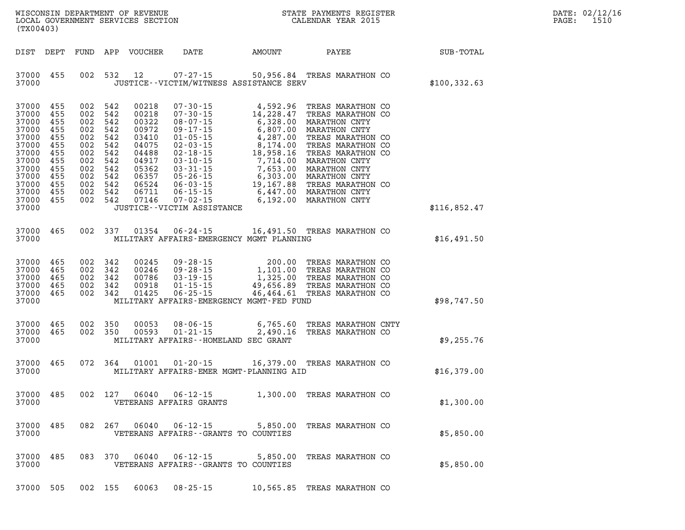| $\mathtt{DATE}$ : | 02/12/16 |
|-------------------|----------|
| $\mathtt{PAGE}$ : | 1510     |

| (TX00403)                                                                                                                  |                                                                                         |                                                                                                                                         |         | LOCAL GOVERNMENT SERVICES SECTION                                                                                 |                                                                                                                                                                                                                                                                                                                                               |                       | CALENDAR YEAR 2015                               |                  | PAGE: | 1510 |
|----------------------------------------------------------------------------------------------------------------------------|-----------------------------------------------------------------------------------------|-----------------------------------------------------------------------------------------------------------------------------------------|---------|-------------------------------------------------------------------------------------------------------------------|-----------------------------------------------------------------------------------------------------------------------------------------------------------------------------------------------------------------------------------------------------------------------------------------------------------------------------------------------|-----------------------|--------------------------------------------------|------------------|-------|------|
| DIST DEPT                                                                                                                  |                                                                                         | FUND APP                                                                                                                                |         | VOUCHER                                                                                                           | DATE                                                                                                                                                                                                                                                                                                                                          | AMOUNT                | PAYEE                                            | <b>SUB-TOTAL</b> |       |      |
| 37000<br>37000                                                                                                             | 455                                                                                     | 002 532                                                                                                                                 |         | 12                                                                                                                | $07 - 27 - 15$<br>JUSTICE - - VICTIM/WITNESS ASSISTANCE SERV                                                                                                                                                                                                                                                                                  |                       | 50,956.84 TREAS MARATHON CO                      | \$100, 332.63    |       |      |
| 37000<br>37000<br>37000<br>37000<br>37000<br>37000<br>37000<br>37000<br>37000<br>37000<br>37000<br>37000<br>37000<br>37000 | 455<br>455<br>455<br>455<br>455<br>455<br>455<br>455<br>455<br>455<br>455<br>455<br>455 | 002<br>002 542<br>002 542<br>002 542<br>002 542<br>002 542<br>002 542<br>002 542<br>002 542<br>002 542<br>002 542<br>002 542<br>002 542 | 542     | 00218<br>00218<br>00322<br>00972<br>03410<br>04075<br>04488<br>04917<br>05362<br>06357<br>06524<br>06711<br>07146 | $07 - 30 - 15$<br>$07 - 30 - 15$<br>07-30-15<br>08-07-15<br>08-07-15<br>07-17-15<br>09-17-15<br>07-15<br>07-15<br>02-17-15<br>02-03-15<br>02-18-15<br>02-18-15<br>02-18-15<br>02-18-15<br>03-10-15<br>18,958.16<br>TREAS MARATHON CO<br>03-10-15<br>03-31-15<br>7,714.00<br>MARATHON CNTY<br>03-31-15<br>7,6<br>JUSTICE - - VICTIM ASSISTANCE | 4,592.96<br>14,228.47 | TREAS MARATHON CO<br>14,228.47 TREAS MARATHON CO | \$116,852.47     |       |      |
| 37000                                                                                                                      | 465                                                                                     |                                                                                                                                         | 002 337 | 01354                                                                                                             | $06 - 24 - 15$                                                                                                                                                                                                                                                                                                                                |                       | 16,491.50 TREAS MARATHON CO                      |                  |       |      |
| 37000                                                                                                                      |                                                                                         |                                                                                                                                         |         |                                                                                                                   | MILITARY AFFAIRS-EMERGENCY MGMT PLANNING                                                                                                                                                                                                                                                                                                      |                       |                                                  | \$16,491.50      |       |      |
| 37000<br>37000<br>37000<br>37000<br>37000<br>37000                                                                         | 465<br>465<br>465<br>465<br>465                                                         | 002 342<br>002 342<br>002 342<br>002 342<br>002 342                                                                                     |         | 00245<br>00246<br>00786<br>00918<br>01425                                                                         | 09-28-15<br>09-28-15<br>09-28-15<br>1,101.00 TREAS MARATHON CO<br>03-19-15<br>1,325.00 TREAS MARATHON CO<br>01-15-15<br>49,656.89 TREAS MARATHON CO<br>$06 - 25 - 15$<br>MILITARY AFFAIRS-EMERGENCY MGMT-FED FUND                                                                                                                             |                       | 46,464.61 TREAS MARATHON CO                      | \$98,747.50      |       |      |
| 37000<br>37000<br>37000                                                                                                    | 465<br>465                                                                              | 002 350<br>002 350                                                                                                                      |         | 00053<br>00593                                                                                                    | $08 - 06 - 15$<br>$01 - 21 - 15$<br>MILITARY AFFAIRS--HOMELAND SEC GRANT                                                                                                                                                                                                                                                                      | 6,765.60<br>2,490.16  | TREAS MARATHON CNTY<br>TREAS MARATHON CO         | \$9,255.76       |       |      |
| 37000<br>37000                                                                                                             | 465                                                                                     |                                                                                                                                         | 072 364 | 01001                                                                                                             | $01 - 20 - 15$<br>MILITARY AFFAIRS-EMER MGMT-PLANNING AID                                                                                                                                                                                                                                                                                     |                       | 16,379.00 TREAS MARATHON CO                      | \$16,379.00      |       |      |
| 37000<br>37000                                                                                                             | 485                                                                                     | 002 127                                                                                                                                 |         | 06040                                                                                                             | $06 - 12 - 15$<br>VETERANS AFFAIRS GRANTS                                                                                                                                                                                                                                                                                                     |                       | 1,300.00 TREAS MARATHON CO                       | \$1,300.00       |       |      |
| 37000<br>37000                                                                                                             | 485                                                                                     | 082 267                                                                                                                                 |         | 06040                                                                                                             | $06 - 12 - 15$<br>VETERANS AFFAIRS -- GRANTS TO COUNTIES                                                                                                                                                                                                                                                                                      |                       | 5,850.00 TREAS MARATHON CO                       | \$5,850.00       |       |      |
| 37000<br>37000                                                                                                             | 485                                                                                     |                                                                                                                                         | 083 370 | 06040                                                                                                             | $06 - 12 - 15$<br>VETERANS AFFAIRS -- GRANTS TO COUNTIES                                                                                                                                                                                                                                                                                      | 5,850.00              | TREAS MARATHON CO                                | \$5,850.00       |       |      |
| 37000                                                                                                                      | 505                                                                                     | 002 155                                                                                                                                 |         | 60063                                                                                                             | $08 - 25 - 15$                                                                                                                                                                                                                                                                                                                                |                       | 10,565.85 TREAS MARATHON CO                      |                  |       |      |

WISCONSIN DEPARTMENT OF REVENUE **STATE PAYMENTS REGISTER**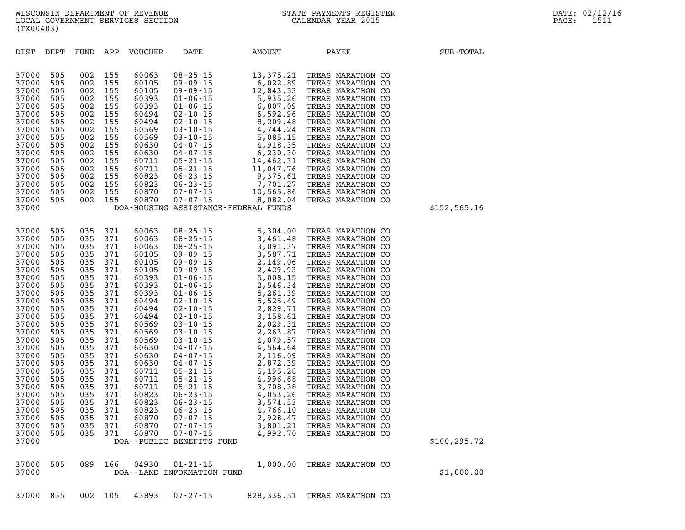| 37000<br>37000 | 505 | 089 | 166 | 04930 01-21-15<br>DOA--LAND INFORMATION FUND | 1,000.00 TREAS MARATHON CO | \$1,000.00 |
|----------------|-----|-----|-----|----------------------------------------------|----------------------------|------------|
|                |     |     |     |                                              |                            |            |

| 37000<br>37000<br>37000<br>37000<br>37000<br>37000<br>37000<br>37000<br>37000<br>37000<br>37000<br>37000<br>37000<br>37000<br>37000<br>37000                                                                                                             | 505<br>505<br>505<br>505<br>505<br>505<br>505<br>505<br>505<br>505<br>505<br>505<br>505<br>505<br>505                                                                                     | 002<br>002<br>002<br>002<br>002<br>002<br>002<br>002<br>002<br>002<br>002<br>002<br>002<br>002<br>002                                                                                     | 155<br>155<br>155<br>155<br>155<br>155<br>155<br>155<br>155<br>155<br>155<br>155<br>155<br>155<br>155                                                                                     | 60105<br>60393<br>60393<br>60494<br>60494<br>60569<br>60569<br>60630<br>60630<br>60711<br>60711<br>60823<br>60823<br>60870<br>60870                                                                                                             | $09 - 09 - 15$            | 09-09-15<br>01-06-15<br>01-06-15<br>01-06-15<br>02-10-15<br>02-10-15<br>03-10-15<br>03-10-15<br>04-07-15<br>04-07-15<br>05-21-15<br>06-23-15<br>06-23-15<br>07-07-15<br>07-07-15<br>07-07-15<br>07-07-15<br>06-23-15<br>07-07-15<br>07-07-15<br>06-23-15<br>07-07-15<br>07<br>DOA-HOUSING ASSISTANCE-FEDERAL FUNDS | 12,843.53 |  | TREAS MARATHON CO<br>TREAS MARATHON CO<br>TREAS MARATHON CO<br>TREAS MARATHON CO<br>TREAS MARATHON CO<br>TREAS MARATHON CO<br>TREAS MARATHON CO<br>TREAS MARATHON CO<br>TREAS MARATHON CO<br>TREAS MARATHON CO<br>TREAS MARATHON CO<br>TREAS MARATHON CO<br>TREAS MARATHON CO<br>TREAS MARATHON CO<br>TREAS MARATHON CO                                                                                                                                                                                                                                                             |  |
|----------------------------------------------------------------------------------------------------------------------------------------------------------------------------------------------------------------------------------------------------------|-------------------------------------------------------------------------------------------------------------------------------------------------------------------------------------------|-------------------------------------------------------------------------------------------------------------------------------------------------------------------------------------------|-------------------------------------------------------------------------------------------------------------------------------------------------------------------------------------------|-------------------------------------------------------------------------------------------------------------------------------------------------------------------------------------------------------------------------------------------------|---------------------------|--------------------------------------------------------------------------------------------------------------------------------------------------------------------------------------------------------------------------------------------------------------------------------------------------------------------|-----------|--|-------------------------------------------------------------------------------------------------------------------------------------------------------------------------------------------------------------------------------------------------------------------------------------------------------------------------------------------------------------------------------------------------------------------------------------------------------------------------------------------------------------------------------------------------------------------------------------|--|
| 37000<br>37000<br>37000<br>37000<br>37000<br>37000<br>37000<br>37000<br>37000<br>37000<br>37000<br>37000<br>37000<br>37000<br>37000<br>37000<br>37000<br>37000<br>37000<br>37000<br>37000<br>37000<br>37000<br>37000<br>37000<br>37000<br>37000<br>37000 | 505<br>505<br>505<br>505<br>505<br>505<br>505<br>505<br>505<br>505<br>505<br>505<br>505<br>505<br>505<br>505<br>505<br>505<br>505<br>505<br>505<br>505<br>505<br>505<br>505<br>505<br>505 | 035<br>035<br>035<br>035<br>035<br>035<br>035<br>035<br>035<br>035<br>035<br>035<br>035<br>035<br>035<br>035<br>035<br>035<br>035<br>035<br>035<br>035<br>035<br>035<br>035<br>035<br>035 | 371<br>371<br>371<br>371<br>371<br>371<br>371<br>371<br>371<br>371<br>371<br>371<br>371<br>371<br>371<br>371<br>371<br>371<br>371<br>371<br>371<br>371<br>371<br>371<br>371<br>371<br>371 | 60063<br>60063<br>60063<br>60105<br>60105<br>60105<br>60393<br>60393<br>60393<br>60494<br>60494<br>60494<br>60569<br>60569<br>60569<br>60630<br>60630<br>60630<br>60711<br>60711<br>60711<br>60823<br>60823<br>60823<br>60870<br>60870<br>60870 | DOA--PUBLIC BENEFITS FUND |                                                                                                                                                                                                                                                                                                                    |           |  | TREAS MARATHON CO<br>TREAS MARATHON CO<br>TREAS MARATHON CO<br>TREAS MARATHON CO<br>TREAS MARATHON CO<br>TREAS MARATHON CO<br>TREAS MARATHON CO<br>TREAS MARATHON CO<br>TREAS MARATHON CO<br>TREAS MARATHON CO<br>TREAS MARATHON CO<br>TREAS MARATHON CO<br>TREAS MARATHON CO<br>TREAS MARATHON CO<br>TREAS MARATHON CO<br>TREAS MARATHON CO<br>TREAS MARATHON CO<br>TREAS MARATHON CO<br>TREAS MARATHON CO<br>TREAS MARATHON CO<br>TREAS MARATHON CO<br>TREAS MARATHON CO<br>TREAS MARATHON CO<br>TREAS MARATHON CO<br>TREAS MARATHON CO<br>TREAS MARATHON CO<br>TREAS MARATHON CO |  |

**DIST DEPT FUND APP VOUCHER DATE AMOUNT PAYEE SUB-TOTAL** 

**37000 505 002 155 60063 08-25-15 13,375.21 TREAS MARATHON CO 37000 505 002 155 60105 09-09-15 6,022.89 TREAS MARATHON CO** 

\$100,295.72

\$152,565.16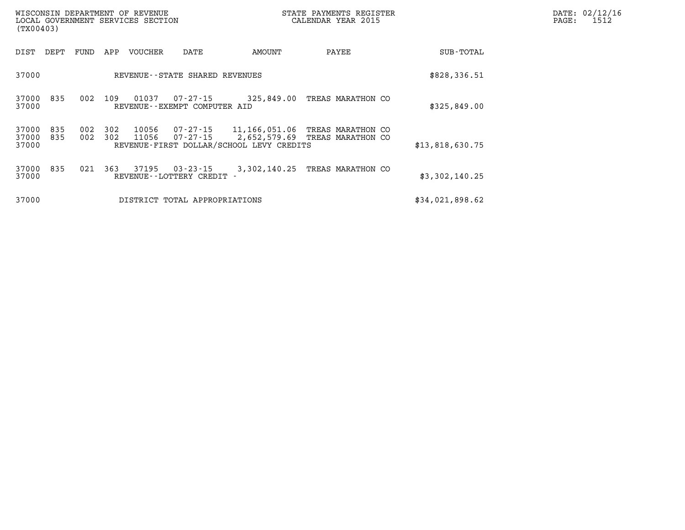| (TX00403)               |            |            |            | WISCONSIN DEPARTMENT OF REVENUE<br>LOCAL GOVERNMENT SERVICES SECTION |                                              | STATE PAYMENTS REGISTER<br>CALENDAR YEAR 2015             | DATE: 02/12/16<br>$\mathtt{PAGE}$ :<br>1512                  |                 |  |
|-------------------------|------------|------------|------------|----------------------------------------------------------------------|----------------------------------------------|-----------------------------------------------------------|--------------------------------------------------------------|-----------------|--|
| DIST                    | DEPT       | FUND       | APP        | VOUCHER                                                              | DATE                                         | AMOUNT                                                    | PAYEE                                                        | SUB-TOTAL       |  |
| 37000                   |            |            |            |                                                                      | REVENUE - - STATE SHARED REVENUES            |                                                           |                                                              | \$828,336.51    |  |
| 37000<br>37000          | 835        | 002        | 109        | 01037                                                                | 07-27-15<br>REVENUE--EXEMPT COMPUTER AID     |                                                           | 325,849.00 TREAS MARATHON CO                                 | \$325,849.00    |  |
| 37000<br>37000<br>37000 | 835<br>835 | 002<br>002 | 302<br>302 | 10056<br>11056                                                       | 07-27-15                                     | 11,166,051.06<br>REVENUE-FIRST DOLLAR/SCHOOL LEVY CREDITS | TREAS MARATHON CO<br>07-27-15 2,652,579.69 TREAS MARATHON CO | \$13,818,630.75 |  |
| 37000<br>37000          | 835        | 021        | 363        | 37195                                                                | $03 - 23 - 15$<br>REVENUE - - LOTTERY CREDIT | 3,302,140.25                                              | TREAS MARATHON CO                                            | \$3,302,140.25  |  |
| 37000                   |            |            |            |                                                                      | DISTRICT TOTAL APPROPRIATIONS                |                                                           |                                                              | \$34,021,898.62 |  |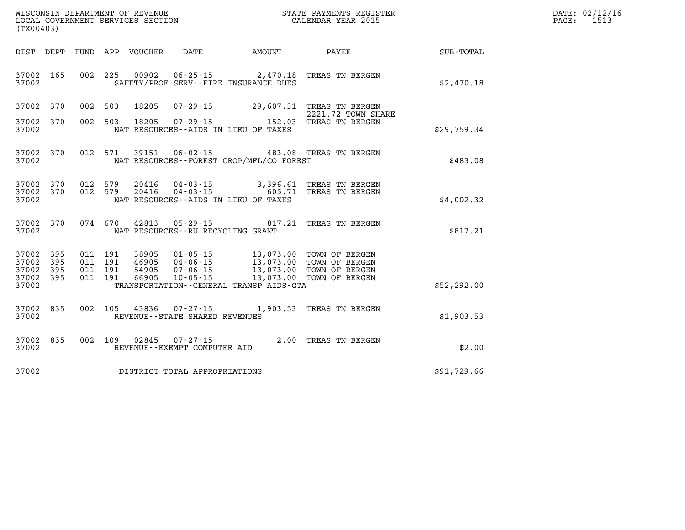| WISCONSIN DEPARTMENT OF REVENUE      | PAYMENTS REGISTER<br>3TATE | DATE: | 02/12/16  |
|--------------------------------------|----------------------------|-------|-----------|
| LOCAL<br>GOVERNMENT SERVICES SECTION | CALENDAR YEAR 2015         | PAGE  | $1 - 1 -$ |

| LOCAL GOVERNMENT SERVICES SECTION CALENDAR YEAR 2015<br>(TX00403) |           |  |  |  |                                     |                                          |                                                                                                                                                                                                          |                                                              | PAGE: | 1513 |
|-------------------------------------------------------------------|-----------|--|--|--|-------------------------------------|------------------------------------------|----------------------------------------------------------------------------------------------------------------------------------------------------------------------------------------------------------|--------------------------------------------------------------|-------|------|
|                                                                   |           |  |  |  |                                     |                                          |                                                                                                                                                                                                          | DIST DEPT FUND APP VOUCHER DATE AMOUNT PAYEE PAYEE SUB-TOTAL |       |      |
| 37002                                                             |           |  |  |  |                                     | SAFETY/PROF SERV--FIRE INSURANCE DUES    | 37002 165 002 225 00902 06-25-15 2,470.18 TREAS TN BERGEN                                                                                                                                                | \$2,470.18                                                   |       |      |
| 37002 370                                                         |           |  |  |  |                                     |                                          | 002 503 18205 07-29-15 29,607.31 TREAS TN BERGEN<br>2221.72 TOWN SHARE                                                                                                                                   |                                                              |       |      |
| 37002 370<br>37002                                                |           |  |  |  |                                     | NAT RESOURCES--AIDS IN LIEU OF TAXES     | 2221.72 TOWN SHA<br>002 503 18205 07-29-15 152.03 TREAS TN BERGEN                                                                                                                                        | \$29,759.34                                                  |       |      |
| 37002                                                             |           |  |  |  |                                     | NAT RESOURCES--FOREST CROP/MFL/CO FOREST | 37002 370 012 571 39151 06-02-15 483.08 TREAS TN BERGEN                                                                                                                                                  | \$483.08                                                     |       |      |
| 37002 370<br>37002 370<br>37002                                   |           |  |  |  |                                     | NAT RESOURCES--AIDS IN LIEU OF TAXES     | 012 579  20416  04-03-15  3,396.61 TREAS TN BERGEN<br>012 579  20416  04-03-15  605.71 TREAS TN BERGEN                                                                                                   | \$4.002.32                                                   |       |      |
| 37002                                                             |           |  |  |  |                                     | NAT RESOURCES--RU RECYCLING GRANT        | 37002 370 074 670 42813 05-29-15 817.21 TREAS TN BERGEN                                                                                                                                                  | \$817.21                                                     |       |      |
| 37002 395<br>37002<br>37002 395<br>37002 395<br>37002             | 395       |  |  |  |                                     | TRANSPORTATION - GENERAL TRANSP AIDS-GTA | 011 191 38905 01-05-15 13,073.00 TOWN OF BERGEN<br>011 191 46905 04-06-15 13,073.00 TOWN OF BERGEN<br>011 191 54905 07-06-15 13,073.00 TOWN OF BERGEN<br>011 191 66905 10-05-15 13,073.00 TOWN OF BERGEN | \$52, 292.00                                                 |       |      |
| 37002                                                             |           |  |  |  | REVENUE--STATE SHARED REVENUES      |                                          | 37002 835 002 105 43836 07-27-15 1,903.53 TREAS TN BERGEN                                                                                                                                                | \$1,903.53                                                   |       |      |
| 37002                                                             | 37002 835 |  |  |  | REVENUE--EXEMPT COMPUTER AID        |                                          | 002 109 02845 07-27-15 2.00 TREAS TN BERGEN                                                                                                                                                              | \$2.00                                                       |       |      |
|                                                                   |           |  |  |  | 37002 DISTRICT TOTAL APPROPRIATIONS |                                          |                                                                                                                                                                                                          | \$91,729.66                                                  |       |      |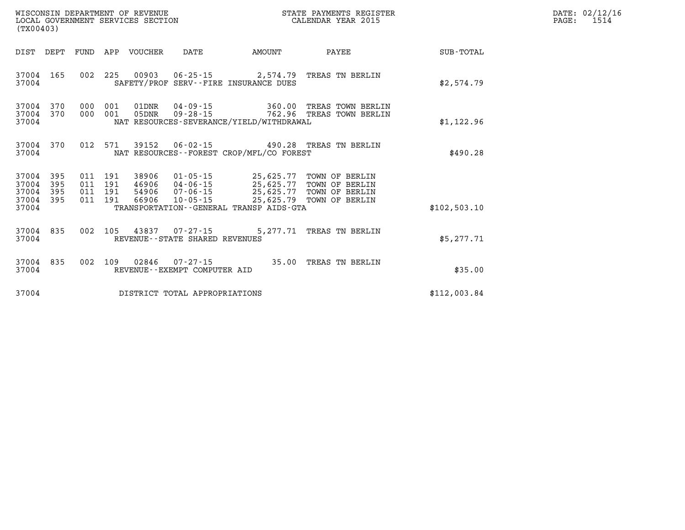| WISCONSIN DEPARTMENT OF REVENUE<br>LOCAL GOVERNMENT SERVICES SECTION<br>(TX00403) |     |                   |                              |                  |                                                          |                                                                                                                                                                                                               | STATE PAYMENTS REGISTER<br>CALENDAR YEAR 2015   |              | DATE: 02/12/16<br>$\mathtt{PAGE}$ :<br>1514 |
|-----------------------------------------------------------------------------------|-----|-------------------|------------------------------|------------------|----------------------------------------------------------|---------------------------------------------------------------------------------------------------------------------------------------------------------------------------------------------------------------|-------------------------------------------------|--------------|---------------------------------------------|
| DIST DEPT                                                                         |     |                   |                              | FUND APP VOUCHER | DATE                                                     | AMOUNT                                                                                                                                                                                                        | PAYEE                                           | SUB-TOTAL    |                                             |
| 37004 165<br>37004                                                                |     |                   |                              |                  |                                                          | SAFETY/PROF SERV--FIRE INSURANCE DUES                                                                                                                                                                         | 002 225 00903 06-25-15 2,574.79 TREAS TN BERLIN | \$2,574.79   |                                             |
| 37004 370<br>37004 370<br>37004                                                   |     | 000               | 001<br>000 001               |                  |                                                          | NAT RESOURCES-SEVERANCE/YIELD/WITHDRAWAL                                                                                                                                                                      |                                                 | \$1,122.96   |                                             |
| 37004 370<br>37004                                                                |     |                   | 012 571                      |                  |                                                          | NAT RESOURCES--FOREST CROP/MFL/CO FOREST                                                                                                                                                                      | 39152  06-02-15  490.28  TREAS TN BERLIN        | \$490.28     |                                             |
| 37004 395<br>37004<br>37004 395<br>37004 395<br>37004                             | 395 | 011<br>011<br>011 | 191<br>191<br>191<br>011 191 |                  | 66906 10-05-15                                           | 38906  01-05-15  25,625.77  TOWN OF BERLIN<br>46906  04-06-15  25,625.77  TOWN OF BERLIN<br>54906  07-06-15  25,625.77  TOWN OF BERLIN<br>25,625.79 TOWN OF BERLIN<br>TRANSPORTATION--GENERAL TRANSP AIDS-GTA |                                                 | \$102,503.10 |                                             |
| 37004 835<br>37004                                                                |     |                   |                              |                  | 002 105 43837 07-27-15<br>REVENUE--STATE SHARED REVENUES |                                                                                                                                                                                                               | 5,277.71 TREAS TN BERLIN                        | \$5,277.71   |                                             |
| 37004 835<br>37004                                                                |     |                   |                              |                  | 002 109 02846 07-27-15<br>REVENUE--EXEMPT COMPUTER AID   |                                                                                                                                                                                                               | 35.00 TREAS TN BERLIN                           | \$35.00      |                                             |
| 37004                                                                             |     |                   |                              |                  | DISTRICT TOTAL APPROPRIATIONS                            |                                                                                                                                                                                                               |                                                 | \$112,003.84 |                                             |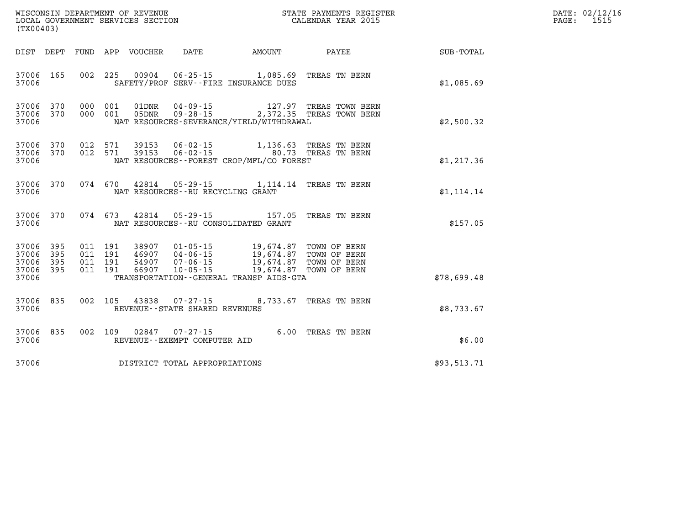| (TX00403)                                                       |                                                                                                                                                                                                                                                                                                                                                                                           |             | DATE: 02/12/16<br>PAGE:<br>1515 |
|-----------------------------------------------------------------|-------------------------------------------------------------------------------------------------------------------------------------------------------------------------------------------------------------------------------------------------------------------------------------------------------------------------------------------------------------------------------------------|-------------|---------------------------------|
|                                                                 | DIST DEPT FUND APP VOUCHER DATE AMOUNT PAYEE TOTAL                                                                                                                                                                                                                                                                                                                                        |             |                                 |
| 37006 165<br>37006                                              | 002 225 00904 06-25-15 1,085.69 TREAS TN BERN<br>SAFETY/PROF SERV--FIRE INSURANCE DUES                                                                                                                                                                                                                                                                                                    | \$1,085.69  |                                 |
| 37006 370<br>37006 370<br>37006                                 | 000 001 01DNR 04-09-15 127.97 TREAS TOWN BERN<br>000 001 05DNR 09-28-15 2,372.35 TREAS TOWN BERN<br>NAT RESOURCES-SEVERANCE/YIELD/WITHDRAWAL                                                                                                                                                                                                                                              | \$2,500.32  |                                 |
| 37006 370<br>37006 370<br>37006                                 | 012 571 39153 06-02-15 1,136.63 TREAS TN BERN<br>012 571 39153 06-02-15 60.73 TREAS TN BERN<br>NAT RESOURCES--FOREST CROP/MFL/CO FOREST                                                                                                                                                                                                                                                   | \$1, 217.36 |                                 |
| 37006 370<br>37006                                              | 074 670 42814 05-29-15 1,114.14 TREAS TN BERN<br>NAT RESOURCES -- RU RECYCLING GRANT                                                                                                                                                                                                                                                                                                      | \$1,114.14  |                                 |
| 37006 370<br>37006                                              | 074 673 42814 05-29-15 157.05 TREAS TN BERN<br>NAT RESOURCES--RU CONSOLIDATED GRANT                                                                                                                                                                                                                                                                                                       | \$157.05    |                                 |
| 37006 395<br>395<br>37006<br>37006<br>395<br>37006 395<br>37006 | $\begin{array}{cccc} 011 & 191 & 38907 & 01\cdot 05\cdot 15 & 19,674.87 & \text{TOWN OF BERN} \\ 011 & 191 & 46907 & 04\cdot 06\cdot 15 & 19,674.87 & \text{TOWN OF BERN} \\ 011 & 191 & 54907 & 07\cdot 06\cdot 15 & 19,674.87 & \text{TOWN OF BERN} \\ 011 & 191 & 66907 & 10\cdot 05\cdot 15 & 19,674.87 & \text{TOWN OF BERN} \end{array}$<br>TRANSPORTATION--GENERAL TRANSP AIDS-GTA | \$78,699.48 |                                 |
| 37006 835<br>37006                                              | 002 105 43838 07-27-15 8,733.67 TREAS TN BERN<br>REVENUE--STATE SHARED REVENUES                                                                                                                                                                                                                                                                                                           | \$8,733.67  |                                 |
| 37006 835<br>37006                                              | 002 109 02847 07-27-15 6.00 TREAS TN BERN<br>REVENUE--EXEMPT COMPUTER AID                                                                                                                                                                                                                                                                                                                 | \$6.00      |                                 |

**37006 DISTRICT TOTAL APPROPRIATIONS \$93,513.71**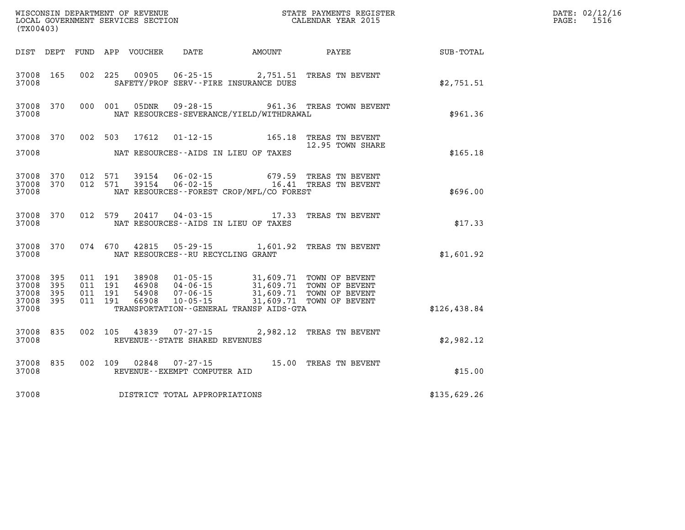| WISCONSIN DEPARTMENT OF REVENUE<br>LOCAL GOVERNMENT SERVICES SECTION<br>(TX00403) |            |                                          |  |                            |                                                  |                                              |                                                                                                                                                                                                                  |              | DATE: 02/12/16<br>$\mathtt{PAGE}$ :<br>1516 |
|-----------------------------------------------------------------------------------|------------|------------------------------------------|--|----------------------------|--------------------------------------------------|----------------------------------------------|------------------------------------------------------------------------------------------------------------------------------------------------------------------------------------------------------------------|--------------|---------------------------------------------|
|                                                                                   |            |                                          |  | DIST DEPT FUND APP VOUCHER | DATE                                             | AMOUNT                                       | PAYEE                                                                                                                                                                                                            | SUB-TOTAL    |                                             |
| 37008 165<br>37008                                                                |            |                                          |  |                            |                                                  | SAFETY/PROF SERV--FIRE INSURANCE DUES        | 002 225 00905 06-25-15 2,751.51 TREAS TN BEVENT                                                                                                                                                                  | \$2,751.51   |                                             |
| 37008 370<br>37008                                                                |            | 000 001                                  |  | 05DNR                      |                                                  | NAT RESOURCES-SEVERANCE/YIELD/WITHDRAWAL     | 09-28-15 961.36 TREAS TOWN BEVENT                                                                                                                                                                                | \$961.36     |                                             |
| 37008 370                                                                         |            | 002 503                                  |  | 17612                      |                                                  |                                              | 01-12-15 165.18 TREAS TN BEVENT                                                                                                                                                                                  |              |                                             |
| 37008                                                                             |            |                                          |  |                            |                                                  | NAT RESOURCES--AIDS IN LIEU OF TAXES         | 12.95 TOWN SHARE                                                                                                                                                                                                 | \$165.18     |                                             |
| 37008 370<br>37008 370<br>37008                                                   |            | 012 571<br>012 571                       |  | 39154<br>39154             |                                                  | NAT RESOURCES - - FOREST CROP/MFL/CO FOREST  | 06-02-15 679.59 TREAS TN BEVENT 06-02-15 16.41 TREAS TN BEVENT                                                                                                                                                   | \$696.00     |                                             |
| 37008 370<br>37008                                                                |            | 012 579                                  |  |                            | 20417 04-03-15                                   | NAT RESOURCES--AIDS IN LIEU OF TAXES         | 17.33 TREAS TN BEVENT                                                                                                                                                                                            | \$17.33      |                                             |
| 37008                                                                             | 37008 370  | 074 670                                  |  |                            | NAT RESOURCES - - RU RECYCLING GRANT             |                                              | 42815 05-29-15 1,601.92 TREAS TN BEVENT                                                                                                                                                                          | \$1,601.92   |                                             |
| 37008 395<br>37008<br>37008<br>37008 395                                          | 395<br>395 | 011 191<br>011 191<br>011 191<br>011 191 |  |                            | $10 - 05 - 15$                                   |                                              | 38908  01-05-15  31,609.71  TOWN OF BEVENT<br>46908  04-06-15  31,609.71  TOWN OF BEVENT<br>54908  07-06-15  31,609.71  TOWN OF BEVENT<br>66908  10-05-15  31,609.71  TOWN OF BEVENT<br>31,609.71 TOWN OF BEVENT |              |                                             |
| 37008                                                                             |            |                                          |  |                            |                                                  | TRANSPORTATION - - GENERAL TRANSP AIDS - GTA |                                                                                                                                                                                                                  | \$126,438.84 |                                             |
| 37008 835<br>37008                                                                |            | 002 105                                  |  | 43839                      | $07 - 27 - 15$<br>REVENUE--STATE SHARED REVENUES |                                              | 2,982.12 TREAS TN BEVENT                                                                                                                                                                                         | \$2,982.12   |                                             |
| 37008 835<br>37008                                                                |            | 002 109                                  |  | 02848                      | 07-27-15<br>REVENUE--EXEMPT COMPUTER AID         |                                              | 15.00 TREAS TN BEVENT                                                                                                                                                                                            | \$15.00      |                                             |
| 37008                                                                             |            |                                          |  |                            | DISTRICT TOTAL APPROPRIATIONS                    |                                              |                                                                                                                                                                                                                  | \$135,629.26 |                                             |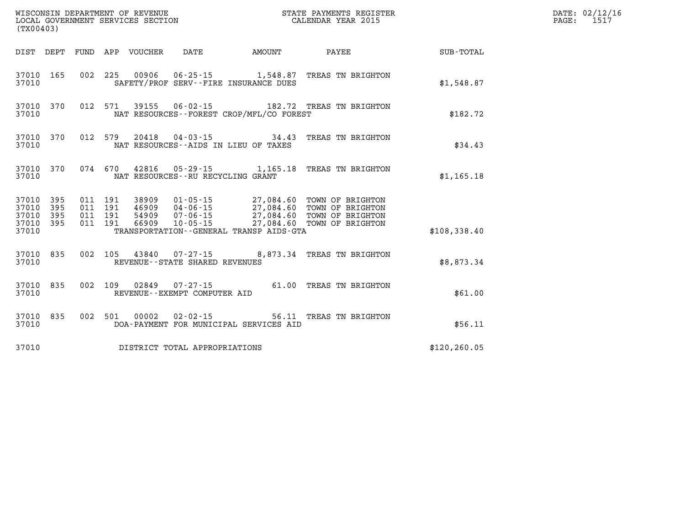| WISCONSIN DEPARTMENT OF REVENUE<br>LOCAL GOVERNMENT SERVICES SECTION<br>(TYOO403)<br>(TX00403) |           |                               |  |               |                                                        | STATE PAYMENTS REGISTER<br>CALENDAR YEAR 2015                            |                                                                                                                                                                                     |               | DATE: 02/12/16<br>1517<br>PAGE: |
|------------------------------------------------------------------------------------------------|-----------|-------------------------------|--|---------------|--------------------------------------------------------|--------------------------------------------------------------------------|-------------------------------------------------------------------------------------------------------------------------------------------------------------------------------------|---------------|---------------------------------|
|                                                                                                |           |                               |  |               |                                                        | DIST DEPT FUND APP VOUCHER DATE AMOUNT                                   | PAYEE                                                                                                                                                                               | SUB-TOTAL     |                                 |
| 37010 165<br>37010                                                                             |           |                               |  |               |                                                        | 002 225 00906 06-25-15 1,548.87<br>SAFETY/PROF SERV--FIRE INSURANCE DUES | TREAS TN BRIGHTON                                                                                                                                                                   | \$1,548.87    |                                 |
| 37010                                                                                          | 37010 370 |                               |  |               |                                                        | NAT RESOURCES - - FOREST CROP/MFL/CO FOREST                              | 012 571 39155 06-02-15 182.72 TREAS TN BRIGHTON                                                                                                                                     | \$182.72      |                                 |
| 37010                                                                                          | 37010 370 |                               |  |               |                                                        | NAT RESOURCES--AIDS IN LIEU OF TAXES                                     | 012 579 20418 04-03-15 34.43 TREAS TN BRIGHTON                                                                                                                                      | \$34.43       |                                 |
| 37010                                                                                          | 37010 370 |                               |  |               |                                                        | NAT RESOURCES--RU RECYCLING GRANT                                        | 074 670 42816 05-29-15 1,165.18 TREAS TN BRIGHTON                                                                                                                                   | \$1,165.18    |                                 |
| 37010 395<br>37010                                                                             | 395       | 011 191<br>011 191<br>011 191 |  |               |                                                        |                                                                          | 38909  01-05-15  27,084.60  TOWN OF BRIGHTON<br>46909 04-06-15 27,084.60 TOWN OF BRIGHTON<br>54909 07-06-15 27,084.60 TOWN OF BRIGHTON<br>66909 10-05-15 27,084.60 TOWN OF BRIGHTON |               |                                 |
| 37010 395<br>37010 395<br>37010                                                                |           | 011 191                       |  |               |                                                        | TRANSPORTATION--GENERAL TRANSP AIDS-GTA                                  |                                                                                                                                                                                     | \$108,338.40  |                                 |
| 37010                                                                                          | 37010 835 | 002 105                       |  |               | REVENUE--STATE SHARED REVENUES                         |                                                                          | 43840  07-27-15  8,873.34  TREAS TN BRIGHTON                                                                                                                                        | \$8,873.34    |                                 |
| 37010                                                                                          | 37010 835 |                               |  |               | 002 109 02849 07-27-15<br>REVENUE--EXEMPT COMPUTER AID |                                                                          | 61.00 TREAS TN BRIGHTON                                                                                                                                                             | \$61.00       |                                 |
| 37010                                                                                          | 37010 835 |                               |  | 002 501 00002 | 02-02-15                                               | DOA-PAYMENT FOR MUNICIPAL SERVICES AID                                   | 56.11 TREAS TN BRIGHTON                                                                                                                                                             | \$56.11       |                                 |
| 37010                                                                                          |           |                               |  |               | DISTRICT TOTAL APPROPRIATIONS                          |                                                                          |                                                                                                                                                                                     | \$120, 260.05 |                                 |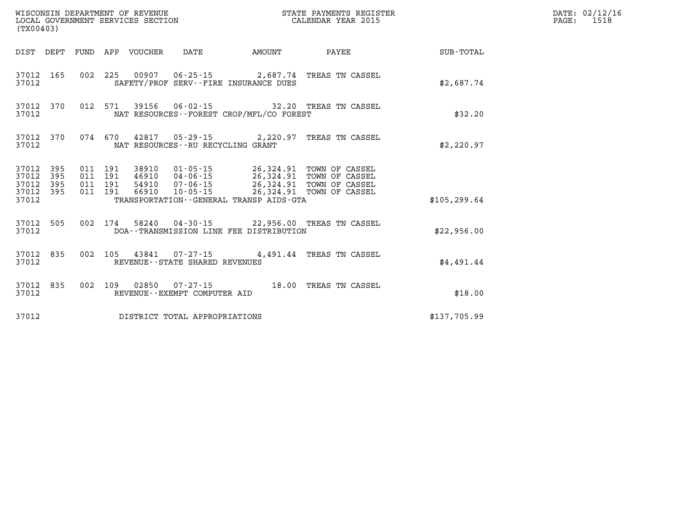| (TX00403)                        |                                |  |  |                                 |                                   |                                          |                                                            |               | DATE: 02/12/16<br>PAGE: 1518 |
|----------------------------------|--------------------------------|--|--|---------------------------------|-----------------------------------|------------------------------------------|------------------------------------------------------------|---------------|------------------------------|
|                                  |                                |  |  | DIST DEPT FUND APP VOUCHER DATE |                                   |                                          | AMOUNT PAYEE                                               | SUB-TOTAL     |                              |
| 37012                            |                                |  |  |                                 |                                   | SAFETY/PROF SERV--FIRE INSURANCE DUES    | 37012 165 002 225 00907 06-25-15 2,687.74 TREAS TN CASSEL  | \$2,687.74    |                              |
| 37012                            |                                |  |  |                                 |                                   | NAT RESOURCES--FOREST CROP/MFL/CO FOREST | 37012 370 012 571 39156 06-02-15 32.20 TREAS TN CASSEL     | \$32.20       |                              |
| 37012                            |                                |  |  |                                 | NAT RESOURCES--RU RECYCLING GRANT |                                          | 37012 370 074 670 42817 05-29-15 2,220.97 TREAS TN CASSEL  | \$2,220.97    |                              |
| 37012<br>37012<br>37012<br>37012 | 395<br>395<br>395<br>37012 395 |  |  |                                 |                                   | TRANSPORTATION--GENERAL TRANSP AIDS-GTA  |                                                            | \$105, 299.64 |                              |
| 37012                            |                                |  |  |                                 |                                   | DOA--TRANSMISSION LINE FEE DISTRIBUTION  | 37012 505 002 174 58240 04-30-15 22,956.00 TREAS TN CASSEL | \$22,956.00   |                              |
| 37012                            |                                |  |  |                                 | REVENUE - - STATE SHARED REVENUES |                                          | 37012 835 002 105 43841 07-27-15 4,491.44 TREAS TN CASSEL  | \$4.491.44    |                              |
| 37012                            | 37012 835                      |  |  |                                 | REVENUE--EXEMPT COMPUTER AID      |                                          | 002 109 02850 07-27-15 18.00 TREAS TN CASSEL               | \$18.00       |                              |
| 37012                            |                                |  |  |                                 | DISTRICT TOTAL APPROPRIATIONS     |                                          |                                                            | \$137,705.99  |                              |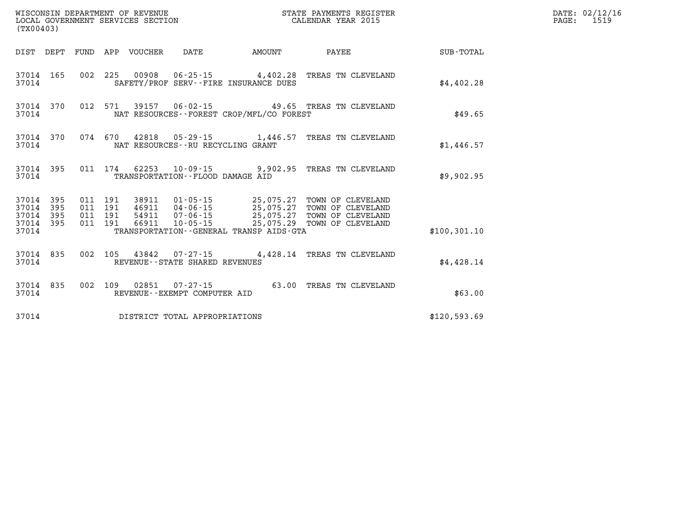| (TX00403) |                                                  |  |                                 |                                      |                                          |                                                                                                                                                                                                                      |               | DATE: 02/12/16<br>$\mathtt{PAGE:}$<br>1519 |
|-----------|--------------------------------------------------|--|---------------------------------|--------------------------------------|------------------------------------------|----------------------------------------------------------------------------------------------------------------------------------------------------------------------------------------------------------------------|---------------|--------------------------------------------|
|           |                                                  |  | DIST DEPT FUND APP VOUCHER DATE |                                      | <b>AMOUNT</b>                            | <b>PAYEE</b>                                                                                                                                                                                                         | SUB-TOTAL     |                                            |
| 37014     | 37014 165                                        |  |                                 |                                      | SAFETY/PROF SERV--FIRE INSURANCE DUES    | 002 225 00908 06-25-15 4,402.28 TREAS TN CLEVELAND                                                                                                                                                                   | \$4,402.28    |                                            |
| 37014     | 37014 370                                        |  |                                 |                                      | NAT RESOURCES--FOREST CROP/MFL/CO FOREST | 012 571 39157 06-02-15 49.65 TREAS TN CLEVELAND                                                                                                                                                                      | \$49.65       |                                            |
| 37014     |                                                  |  |                                 | NAT RESOURCES - - RU RECYCLING GRANT |                                          | 37014 370 074 670 42818 05-29-15 1,446.57 TREAS TN CLEVELAND                                                                                                                                                         | \$1,446.57    |                                            |
| 37014     | 37014 395                                        |  |                                 | TRANSPORTATION--FLOOD DAMAGE AID     |                                          | 011 174 62253 10-09-15 9,902.95 TREAS TN CLEVELAND                                                                                                                                                                   | \$9,902.95    |                                            |
|           | 37014 395<br>37014 395<br>37014 395<br>37014 395 |  |                                 |                                      |                                          | 011 191 38911 01-05-15 25,075.27 TOWN OF CLEVELAND<br>011 191 46911 04-06-15 25,075.27 TOWN OF CLEVELAND<br>011 191 54911 07-06-15 25,075.27 TOWN OF CLEVELAND<br>011 191 66911 10-05-15 25,075.29 TOWN OF CLEVELAND |               |                                            |
| 37014     |                                                  |  |                                 |                                      | TRANSPORTATION--GENERAL TRANSP AIDS-GTA  |                                                                                                                                                                                                                      | \$100, 301.10 |                                            |
| 37014     | 37014 835                                        |  |                                 | REVENUE--STATE SHARED REVENUES       |                                          | 002 105 43842 07-27-15 4,428.14 TREAS TN CLEVELAND                                                                                                                                                                   | \$4,428.14    |                                            |
| 37014     | 37014 835                                        |  |                                 | REVENUE--EXEMPT COMPUTER AID         |                                          | 002 109 02851 07-27-15 63.00 TREAS TN CLEVELAND                                                                                                                                                                      | \$63.00       |                                            |
| 37014     |                                                  |  |                                 | DISTRICT TOTAL APPROPRIATIONS        |                                          |                                                                                                                                                                                                                      | \$120,593.69  |                                            |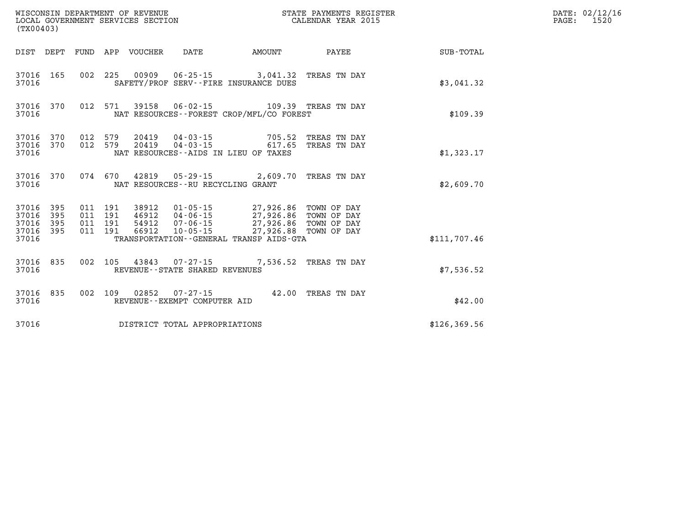| (TX00403)                                        |           |                                          | WISCONSIN DEPARTMENT OF REVENUE<br>LOCAL GOVERNMENT SERVICES SECTION |                                                           | STATE PAYMENTS REGISTER<br>CALENDAR YEAR 2015                                             |                                     |               | DATE: 02/12/16<br>$\mathtt{PAGE}$ :<br>1520 |
|--------------------------------------------------|-----------|------------------------------------------|----------------------------------------------------------------------|-----------------------------------------------------------|-------------------------------------------------------------------------------------------|-------------------------------------|---------------|---------------------------------------------|
|                                                  |           |                                          | DIST DEPT FUND APP VOUCHER                                           | DATE                                                      | <b>AMOUNT</b>                                                                             | PAYEE                               | SUB-TOTAL     |                                             |
| 37016                                            | 37016 165 |                                          |                                                                      |                                                           | 002 225 00909 06-25-15 3,041.32 TREAS TN DAY<br>SAFETY/PROF SERV--FIRE INSURANCE DUES     |                                     | \$3,041.32    |                                             |
| 37016 370<br>37016                               |           |                                          |                                                                      |                                                           | 012 571 39158 06-02-15 109.39 TREAS TN DAY<br>NAT RESOURCES - - FOREST CROP/MFL/CO FOREST |                                     | \$109.39      |                                             |
| 37016 370<br>37016                               | 37016 370 | 012 579<br>012 579                       |                                                                      | 20419   04-03-15<br>NAT RESOURCES - AIDS IN LIEU OF TAXES | 20419  04-03-15  617.65                                                                   | 705.52 TREAS TN DAY<br>TREAS TN DAY | \$1,323.17    |                                             |
| 37016                                            | 37016 370 |                                          |                                                                      | NAT RESOURCES - - RU RECYCLING GRANT                      | 074 670 42819 05-29-15 2,609.70 TREAS TN DAY                                              |                                     | \$2,609.70    |                                             |
| 37016 395<br>37016 395<br>37016 395<br>37016 395 |           | 011 191<br>011 191<br>011 191<br>011 191 | 66912                                                                |                                                           | 10-05-15 27,926.88 TOWN OF DAY                                                            |                                     |               |                                             |
| 37016                                            |           |                                          |                                                                      |                                                           | TRANSPORTATION - - GENERAL TRANSP AIDS - GTA                                              |                                     | \$111,707.46  |                                             |
| 37016 835<br>37016                               |           |                                          |                                                                      | REVENUE - - STATE SHARED REVENUES                         | 002 105 43843 07-27-15 7,536.52 TREAS TN DAY                                              |                                     | \$7,536.52    |                                             |
| 37016 835<br>37016                               |           |                                          |                                                                      | 002 109 02852 07-27-15<br>REVENUE--EXEMPT COMPUTER AID    |                                                                                           | 42.00 TREAS TN DAY                  | \$42.00       |                                             |
| 37016                                            |           |                                          |                                                                      | DISTRICT TOTAL APPROPRIATIONS                             |                                                                                           |                                     | \$126, 369.56 |                                             |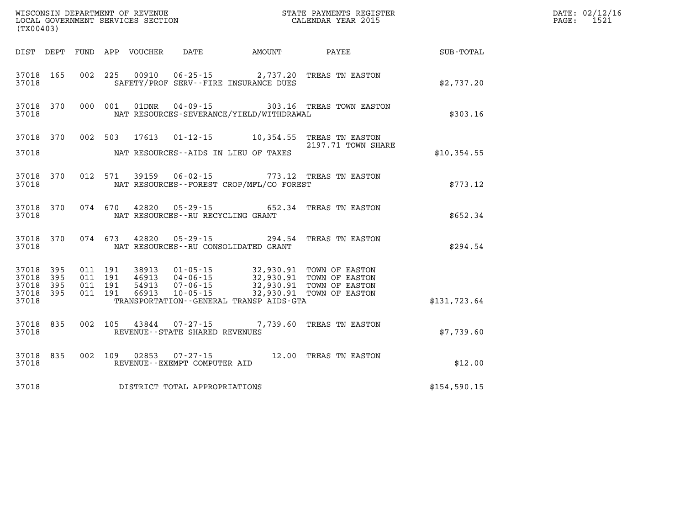| (TX00403)                                 |                          |                                          |         |                            |                                                    |                                                                        |                                                                                                    |              | DATE: 02/12/16<br>1521<br>PAGE: |
|-------------------------------------------|--------------------------|------------------------------------------|---------|----------------------------|----------------------------------------------------|------------------------------------------------------------------------|----------------------------------------------------------------------------------------------------|--------------|---------------------------------|
|                                           |                          |                                          |         | DIST DEPT FUND APP VOUCHER | DATE                                               | <b>EXAMPLE THE PROPERTY OF AMOUNT</b>                                  | PAYEE                                                                                              | SUB-TOTAL    |                                 |
| 37018 165<br>37018                        |                          |                                          | 002 225 |                            |                                                    | SAFETY/PROF SERV--FIRE INSURANCE DUES                                  | 00910  06-25-15  2,737.20 TREAS TN EASTON                                                          | \$2,737.20   |                                 |
| 37018                                     | 37018 370                |                                          | 000 001 | 01DNR                      |                                                    | NAT RESOURCES-SEVERANCE/YIELD/WITHDRAWAL                               | 04-09-15 303.16 TREAS TOWN EASTON                                                                  | \$303.16     |                                 |
| 37018                                     |                          | 37018 370 002 503                        |         |                            |                                                    | NAT RESOURCES--AIDS IN LIEU OF TAXES                                   | 17613  01-12-15  10,354.55  TREAS TN EASTON<br>2197.71 TOWN SHARE                                  | \$10,354.55  |                                 |
| 37018 370<br>37018                        |                          |                                          | 012 571 |                            |                                                    | NAT RESOURCES - - FOREST CROP/MFL/CO FOREST                            | 39159  06-02-15  773.12  TREAS TN EASTON                                                           | \$773.12     |                                 |
| 37018 370<br>37018                        |                          |                                          | 074 670 |                            | NAT RESOURCES - - RU RECYCLING GRANT               |                                                                        | 42820  05-29-15  652.34  TREAS TN EASTON                                                           | \$652.34     |                                 |
| 37018 370<br>37018                        |                          | 074 673                                  |         | 42820                      |                                                    | $05 - 29 - 15$ 294.54<br>NAT RESOURCES--RU CONSOLIDATED GRANT          | TREAS TN EASTON                                                                                    | \$294.54     |                                 |
| 37018<br>37018<br>37018<br>37018<br>37018 | 395<br>395<br>395<br>395 | 011 191<br>011 191<br>011 191<br>011 191 |         | 38913<br>54913<br>66913    | 46913 04-06-15<br>$07 - 06 - 15$<br>$10 - 05 - 15$ | $01 - 05 - 15$ 32,930.91<br>TRANSPORTATION - - GENERAL TRANSP AIDS-GTA | TOWN OF EASTON<br>32,930.91 TOWN OF EASTON<br>32,930.91 TOWN OF EASTON<br>32,930.91 TOWN OF EASTON | \$131,723.64 |                                 |
| 37018 835<br>37018                        |                          | 002 105                                  |         |                            | REVENUE - - STATE SHARED REVENUES                  |                                                                        | 43844 07-27-15 7,739.60 TREAS TN EASTON                                                            | \$7,739.60   |                                 |
| 37018                                     | 37018 835                | 002 109                                  |         | 02853                      | 07-27-15<br>REVENUE--EXEMPT COMPUTER AID           |                                                                        | 12.00 TREAS TN EASTON                                                                              | \$12.00      |                                 |
| 37018                                     |                          |                                          |         |                            | DISTRICT TOTAL APPROPRIATIONS                      |                                                                        |                                                                                                    | \$154,590.15 |                                 |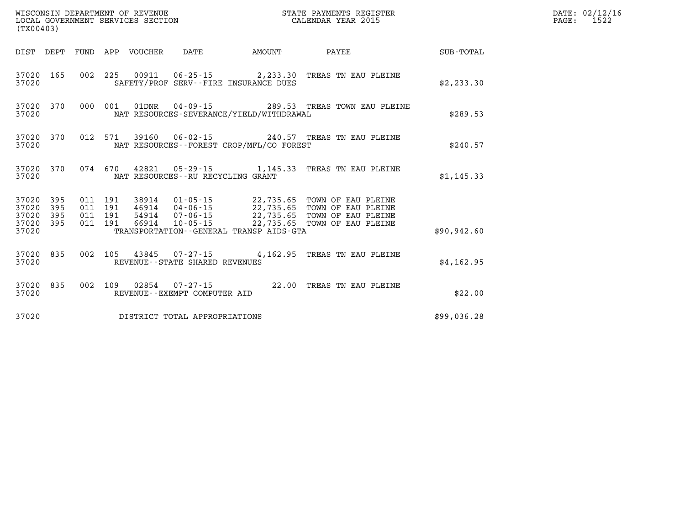| WISCONSIN DEPARTMENT OF REVENUE<br>LOCAL GOVERNMENT SERVICES SECTION<br>(TX00403) |                          |                          |                          |                                  |                                                |                                                                        |                                                                                                                   |              |
|-----------------------------------------------------------------------------------|--------------------------|--------------------------|--------------------------|----------------------------------|------------------------------------------------|------------------------------------------------------------------------|-------------------------------------------------------------------------------------------------------------------|--------------|
| DIST                                                                              | DEPT                     | FUND                     | APP                      | VOUCHER                          | DATE                                           | AMOUNT                                                                 | PAYEE                                                                                                             | SUB-TOTAL    |
| 37020<br>37020                                                                    | 165                      | 002                      | 225                      |                                  | SAFETY/PROF SERV--FIRE INSURANCE DUES          |                                                                        | 00911  06-25-15  2,233.30 TREAS TN EAU PLEINE                                                                     | \$2,233.30   |
| 37020<br>37020                                                                    | 370                      | 000                      | 001                      | 01DNR                            |                                                | NAT RESOURCES-SEVERANCE/YIELD/WITHDRAWAL                               | 04-09-15 289.53 TREAS TOWN EAU PLEINE                                                                             | \$289.53     |
| 37020<br>37020                                                                    | 370                      | 012                      | 571                      |                                  |                                                | NAT RESOURCES - - FOREST CROP/MFL/CO FOREST                            | 39160  06-02-15  240.57  TREAS TN EAU PLEINE                                                                      | \$240.57     |
| 37020<br>37020                                                                    | 370                      |                          | 074 670                  |                                  | NAT RESOURCES - - RU RECYCLING GRANT           | 42821 05-29-15 1,145.33                                                | TREAS TN EAU PLEINE                                                                                               | \$1, 145.33  |
| 37020<br>37020<br>37020<br>37020<br>37020                                         | 395<br>395<br>395<br>395 | 011<br>011<br>011<br>011 | 191<br>191<br>191<br>191 | 38914<br>46914<br>54914<br>66914 | 01-05-15<br>07-06-15<br>$10 - 05 - 15$         | 22,735.65<br>22,735.65<br>TRANSPORTATION - - GENERAL TRANSP AIDS - GTA | 22,735.65 TOWN OF EAU PLEINE<br>04-06-15 22,735.65 TOWN OF EAU PLEINE<br>TOWN OF EAU PLEINE<br>TOWN OF EAU PLEINE | \$90, 942.60 |
| 37020<br>37020                                                                    | 835                      | 002                      | 105                      | 43845                            | REVENUE - - STATE SHARED REVENUES              |                                                                        | 07-27-15 4,162.95 TREAS TN EAU PLEINE                                                                             | \$4, 162.95  |
| 37020<br>37020                                                                    | 835                      | 002                      | 109                      | 02854                            | $07 - 27 - 15$<br>REVENUE--EXEMPT COMPUTER AID | 22.00                                                                  | TREAS TN EAU PLEINE                                                                                               | \$22.00      |
| 37020                                                                             |                          |                          |                          |                                  | DISTRICT TOTAL APPROPRIATIONS                  |                                                                        |                                                                                                                   | \$99,036.28  |

**DATE: 02/12/16<br>PAGE: 1522**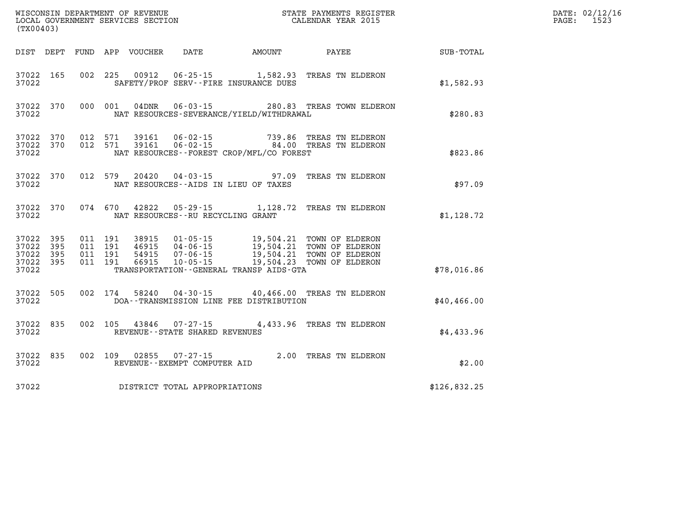| (TX00403)                                                          |                  |                                      |                                              | WISCONSIN DEPARTMENT OF REVENUE<br>LOCAL GOVERNMENT SERVICES SECTION FOR THE STATE PAYMENTS REGIST<br>(TYOO402)<br>STATE PAYMENTS REGISTER |              | DATE: 02/12/16<br>PAGE:<br>1523 |
|--------------------------------------------------------------------|------------------|--------------------------------------|----------------------------------------------|--------------------------------------------------------------------------------------------------------------------------------------------|--------------|---------------------------------|
| DIST DEPT                                                          | FUND APP VOUCHER |                                      |                                              | DATE AMOUNT PAYEE                                                                                                                          | SUB-TOTAL    |                                 |
| 37022 165<br>37022                                                 |                  |                                      | SAFETY/PROF SERV--FIRE INSURANCE DUES        | 002 225 00912 06-25-15 1,582.93 TREAS TN ELDERON                                                                                           | \$1,582.93   |                                 |
| 37022 370<br>37022                                                 | 000 001          |                                      | NAT RESOURCES-SEVERANCE/YIELD/WITHDRAWAL     | 04DNR  06-03-15  280.83  TREAS TOWN ELDERON                                                                                                | \$280.83     |                                 |
| 37022<br>370<br>37022 370<br>37022                                 |                  |                                      | NAT RESOURCES - - FOREST CROP/MFL/CO FOREST  | 012 571 39161 06-02-15 739.86 TREAS TN ELDERON<br>012 571 39161 06-02-15 84.00 TREAS TN ELDERON                                            | \$823.86     |                                 |
| 37022<br>370<br>37022                                              | 012 579          |                                      | NAT RESOURCES -- AIDS IN LIEU OF TAXES       | 20420  04-03-15  97.09  TREAS TN ELDERON                                                                                                   | \$97.09      |                                 |
| 37022<br>370<br>37022                                              | 074 670          | NAT RESOURCES - - RU RECYCLING GRANT |                                              | 42822  05-29-15  1,128.72  TREAS TN ELDERON                                                                                                | \$1,128.72   |                                 |
| 37022<br>395<br>37022<br>395<br>37022<br>395<br>37022 395<br>37022 |                  |                                      | TRANSPORTATION - - GENERAL TRANSP AIDS - GTA |                                                                                                                                            | \$78,016.86  |                                 |
| 37022<br>505<br>37022                                              | 002 174          |                                      | DOA--TRANSMISSION LINE FEE DISTRIBUTION      | 58240  04-30-15  40,466.00  TREAS TN ELDERON                                                                                               | \$40,466.00  |                                 |
| 37022<br>835<br>37022                                              |                  | REVENUE - - STATE SHARED REVENUES    |                                              | 002 105 43846 07-27-15 4,433.96 TREAS TN ELDERON                                                                                           | \$4,433.96   |                                 |
| 835<br>37022<br>37022                                              |                  | REVENUE--EXEMPT COMPUTER AID         |                                              | 002 109 02855 07-27-15 2.00 TREAS TN ELDERON                                                                                               | \$2.00       |                                 |
| 37022                                                              |                  | DISTRICT TOTAL APPROPRIATIONS        |                                              |                                                                                                                                            | \$126,832.25 |                                 |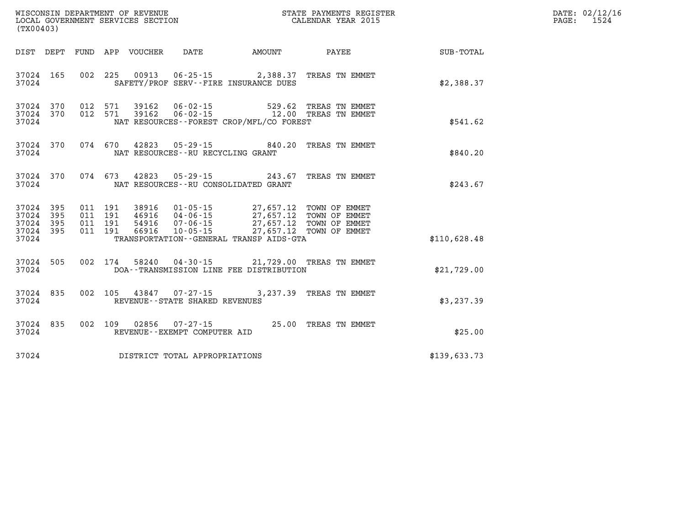| (TX00403)                                |                        |                                          |                                 |                                                             |                                                                                                                                                                                                          |                         |              | DATE: 02/12/16<br>$\mathtt{PAGE}$ :<br>1524 |
|------------------------------------------|------------------------|------------------------------------------|---------------------------------|-------------------------------------------------------------|----------------------------------------------------------------------------------------------------------------------------------------------------------------------------------------------------------|-------------------------|--------------|---------------------------------------------|
|                                          |                        |                                          | DIST DEPT FUND APP VOUCHER DATE |                                                             |                                                                                                                                                                                                          | AMOUNT PAYEE            | SUB-TOTAL    |                                             |
| 37024                                    | 37024 165              |                                          |                                 |                                                             | 002 225 00913 06-25-15 2,388.37 TREAS TN EMMET<br>SAFETY/PROF SERV--FIRE INSURANCE DUES                                                                                                                  |                         | \$2,388.37   |                                             |
| 37024                                    | 37024 370<br>37024 370 | 012 571<br>012 571                       |                                 |                                                             | 39162  06-02-15  529.62  TREAS TN EMMET<br>NAT RESOURCES - - FOREST CROP/MFL/CO FOREST                                                                                                                   |                         | \$541.62     |                                             |
| 37024                                    | 37024 370              |                                          |                                 | NAT RESOURCES - - RU RECYCLING GRANT                        | 074 670 42823 05-29-15 840.20 TREAS TN EMMET                                                                                                                                                             |                         | \$840.20     |                                             |
| 37024                                    | 37024 370              |                                          |                                 |                                                             | 074 673 42823 05-29-15 243.67 TREAS TN EMMET<br>NAT RESOURCES - - RU CONSOLIDATED GRANT                                                                                                                  |                         | \$243.67     |                                             |
| 37024 395<br>37024 395<br>37024<br>37024 | 395<br>37024 395       | 011 191<br>011 191<br>011 191<br>011 191 | 66916                           | 10-05-15                                                    | 38916  01-05-15  27,657.12  TOWN OF EMMET<br>46916  04-06-15  27,657.12  TOWN OF EMMET<br>54916  07-06-15  27,657.12 TOWN OF EMMET<br>27,657.12 TOWN OF EMMET<br>TRANSPORTATION--GENERAL TRANSP AIDS-GTA |                         | \$110,628.48 |                                             |
| 37024                                    | 37024 505              |                                          |                                 |                                                             | 002 174 58240 04-30-15 21,729.00 TREAS TN EMMET<br>DOA--TRANSMISSION LINE FEE DISTRIBUTION                                                                                                               |                         | \$21,729.00  |                                             |
| 37024                                    | 37024 835              |                                          |                                 | 002 105 43847 07-27-15<br>REVENUE - - STATE SHARED REVENUES |                                                                                                                                                                                                          | 3,237.39 TREAS TN EMMET | \$3,237.39   |                                             |
| 37024                                    | 37024 835              |                                          |                                 | REVENUE--EXEMPT COMPUTER AID                                | 002 109 02856 07-27-15 25.00 TREAS TN EMMET                                                                                                                                                              |                         | \$25.00      |                                             |
| 37024                                    |                        |                                          |                                 | DISTRICT TOTAL APPROPRIATIONS                               |                                                                                                                                                                                                          |                         | \$139,633.73 |                                             |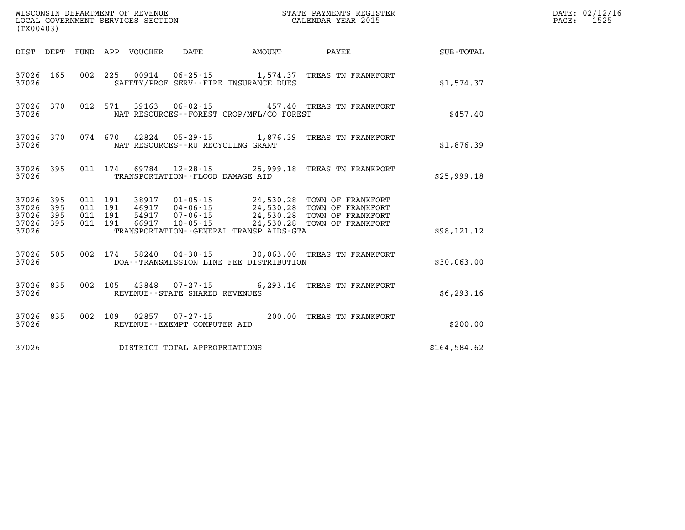|                                              | WISCONSIN DEPARTMENT OF REVENUE<br>LOCAL GOVERNMENT SERVICES SECTION<br>LOCAL GOVERNMENT SERVICES SECTION<br>CALENDAR YEAR 2015<br>(TX00403) |  |  |  |                                                          |  |  |                                                                                                                                                                                                                                                                                                                                                |              |  | DATE: 02/12/16<br>PAGE: 1525 |
|----------------------------------------------|----------------------------------------------------------------------------------------------------------------------------------------------|--|--|--|----------------------------------------------------------|--|--|------------------------------------------------------------------------------------------------------------------------------------------------------------------------------------------------------------------------------------------------------------------------------------------------------------------------------------------------|--------------|--|------------------------------|
|                                              |                                                                                                                                              |  |  |  |                                                          |  |  | DIST DEPT FUND APP VOUCHER DATE AMOUNT PAYEE TOTAL                                                                                                                                                                                                                                                                                             |              |  |                              |
| 37026 165<br>37026                           |                                                                                                                                              |  |  |  | SAFETY/PROF SERV--FIRE INSURANCE DUES                    |  |  | 002 225 00914 06-25-15 1,574.37 TREAS TN FRANKFORT                                                                                                                                                                                                                                                                                             | \$1,574.37   |  |                              |
| 37026 370<br>37026                           |                                                                                                                                              |  |  |  | NAT RESOURCES--FOREST CROP/MFL/CO FOREST                 |  |  | 012 571 39163 06-02-15 457.40 TREAS TN FRANKFORT                                                                                                                                                                                                                                                                                               | \$457.40     |  |                              |
| 37026                                        |                                                                                                                                              |  |  |  | NAT RESOURCES--RU RECYCLING GRANT                        |  |  | 37026 370 074 670 42824 05-29-15 1,876.39 TREAS TN FRANKFORT                                                                                                                                                                                                                                                                                   | \$1,876.39   |  |                              |
| 37026 395<br>37026                           |                                                                                                                                              |  |  |  | TRANSPORTATION--FLOOD DAMAGE AID                         |  |  | 011 174 69784 12-28-15 25,999.18 TREAS TN FRANKPORT                                                                                                                                                                                                                                                                                            | \$25,999.18  |  |                              |
| 37026 395<br>37026<br>37026 395<br>37026 395 | 395                                                                                                                                          |  |  |  | TRANSPORTATION--GENERAL TRANSP AIDS-GTA                  |  |  | $\begin{array}{cccc} 011 & 191 & 38917 & 01\cdot 05\cdot 15 & 24\,, 530\,. 28 & \text{TOWN OF FRANKFORT} \\ 011 & 191 & 46917 & 04\cdot 06\cdot 15 & 24\,, 530\,. 28 & \text{TOWN OF FRANKFORT} \\ 011 & 191 & 54917 & 07\cdot 06\cdot 15 & 24\,, 530\,. 28 & \text{TOWN OF FRANKFORT} \\ 011 & 191 & 66917 & 10\cdot 05\cdot 15 & 24\,, 530\$ |              |  |                              |
| 37026                                        |                                                                                                                                              |  |  |  |                                                          |  |  |                                                                                                                                                                                                                                                                                                                                                | \$98,121.12  |  |                              |
| 37026 505<br>37026                           |                                                                                                                                              |  |  |  | DOA--TRANSMISSION LINE FEE DISTRIBUTION                  |  |  | 002 174 58240 04-30-15 30,063.00 TREAS TN FRANKFORT                                                                                                                                                                                                                                                                                            | \$30,063.00  |  |                              |
| 37026 835<br>37026                           |                                                                                                                                              |  |  |  | 002 105 43848 07-27-15<br>REVENUE--STATE SHARED REVENUES |  |  | 6,293.16 TREAS TN FRANKFORT                                                                                                                                                                                                                                                                                                                    | \$6,293.16   |  |                              |
| 37026 835<br>37026                           |                                                                                                                                              |  |  |  | REVENUE--EXEMPT COMPUTER AID                             |  |  | 002 109 02857 07-27-15 200.00 TREAS TN FRANKFORT                                                                                                                                                                                                                                                                                               | \$200.00     |  |                              |
| 37026                                        |                                                                                                                                              |  |  |  | DISTRICT TOTAL APPROPRIATIONS                            |  |  |                                                                                                                                                                                                                                                                                                                                                | \$164,584.62 |  |                              |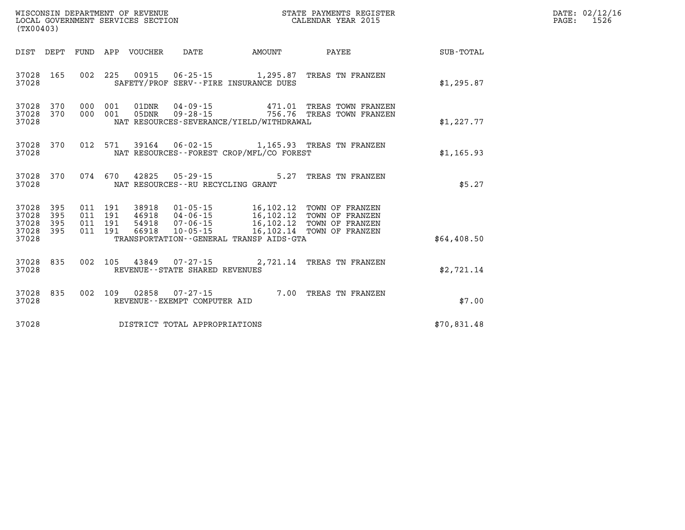| (TX00403)                                         |                        |  |                                   |                                          |                                                                                                                        |             | DATE: 02/12/16<br>$\mathtt{PAGE:}$<br>1526 |
|---------------------------------------------------|------------------------|--|-----------------------------------|------------------------------------------|------------------------------------------------------------------------------------------------------------------------|-------------|--------------------------------------------|
|                                                   |                        |  |                                   |                                          | DIST DEPT FUND APP VOUCHER DATE     AMOUNT     PAYEE                                                                   | SUB-TOTAL   |                                            |
| 37028                                             | 37028 165              |  |                                   | SAFETY/PROF SERV--FIRE INSURANCE DUES    | 002 225 00915 06-25-15 1,295.87 TREAS TN FRANZEN                                                                       | \$1,295.87  |                                            |
| 37028                                             | 37028 370<br>37028 370 |  |                                   | NAT RESOURCES-SEVERANCE/YIELD/WITHDRAWAL | 000 001 01DNR 04-09-15            471.01 TREAS TOWN FRANZEN<br>000 001 05DNR 09-28-15        756.76 TREAS TOWN FRANZEN | \$1,227.77  |                                            |
| 37028                                             | 37028 370              |  |                                   | NAT RESOURCES--FOREST CROP/MFL/CO FOREST | 012 571 39164 06-02-15 1,165.93 TREAS TN FRANZEN                                                                       | \$1,165.93  |                                            |
| 37028                                             | 37028 370              |  | NAT RESOURCES--RU RECYCLING GRANT |                                          | 074 670 42825 05-29-15 5.27 TREAS TN FRANZEN                                                                           | \$5.27      |                                            |
| 37028<br>37028<br>37028 395<br>37028 395<br>37028 | 395<br>395             |  |                                   | TRANSPORTATION--GENERAL TRANSP AIDS-GTA  |                                                                                                                        | \$64,408.50 |                                            |
| 37028 835<br>37028                                |                        |  | REVENUE - - STATE SHARED REVENUES |                                          | 002 105 43849 07-27-15 2,721.14 TREAS TN FRANZEN                                                                       | \$2,721.14  |                                            |
| 37028 835<br>37028                                |                        |  | REVENUE--EXEMPT COMPUTER AID      |                                          | 002 109 02858 07-27-15 7.00 TREAS TN FRANZEN                                                                           | \$7.00      |                                            |
| 37028                                             |                        |  | DISTRICT TOTAL APPROPRIATIONS     |                                          |                                                                                                                        | \$70,831.48 |                                            |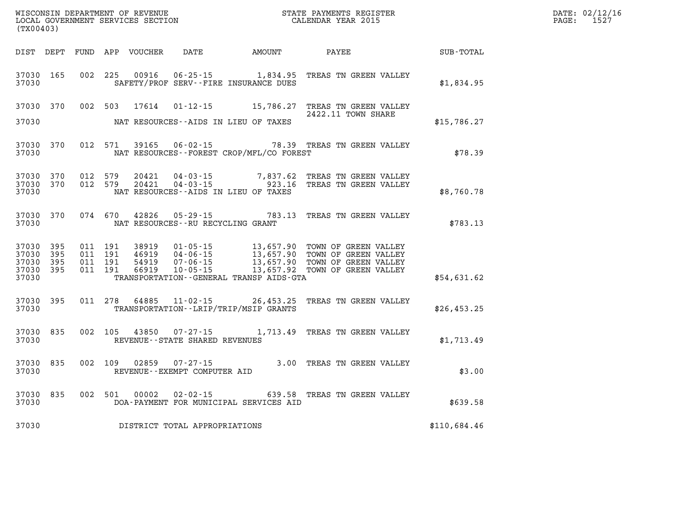| (TX00403)                            |                         |                   |                               |                |                                                        |                                              |                                                                                                                                                                                                          |              | DATE: 02/12/16<br>PAGE: 1527 |
|--------------------------------------|-------------------------|-------------------|-------------------------------|----------------|--------------------------------------------------------|----------------------------------------------|----------------------------------------------------------------------------------------------------------------------------------------------------------------------------------------------------------|--------------|------------------------------|
|                                      |                         |                   |                               |                |                                                        | DIST DEPT FUND APP VOUCHER DATE AMOUNT PAYEE |                                                                                                                                                                                                          | SUB-TOTAL    |                              |
| 37030 165<br>37030                   |                         |                   |                               | 002 225 00916  |                                                        | SAFETY/PROF SERV--FIRE INSURANCE DUES        | 06-25-15 1,834.95 TREAS TN GREEN VALLEY                                                                                                                                                                  | \$1,834.95   |                              |
| 37030                                |                         |                   |                               |                |                                                        | NAT RESOURCES--AIDS IN LIEU OF TAXES         | 37030 370 002 503 17614 01-12-15 15,786.27 TREAS TN GREEN VALLEY<br>2422.11 TOWN SHARE                                                                                                                   | \$15,786.27  |                              |
| 37030                                |                         |                   |                               |                |                                                        | NAT RESOURCES--FOREST CROP/MFL/CO FOREST     | 37030 370 012 571 39165 06-02-15 78.39 TREAS TN GREEN VALLEY                                                                                                                                             | \$78.39      |                              |
| 37030                                | 37030 370               | 37030 370 012 579 | 012 579                       | 20421<br>20421 | NAT RESOURCES--AIDS IN LIEU OF TAXES                   |                                              | 04-03-15 7,837.62 TREAS TN GREEN VALLEY<br>04-03-15 923.16 TREAS TN GREEN VALLEY                                                                                                                         | \$8,760.78   |                              |
| 37030                                |                         |                   |                               |                | NAT RESOURCES--RU RECYCLING GRANT                      |                                              | 37030 370 074 670 42826 05-29-15 783.13 TREAS TN GREEN VALLEY                                                                                                                                            | \$783.13     |                              |
| 37030 395<br>37030<br>37030<br>37030 | 395<br>395<br>37030 395 | 011 191           | 011 191<br>011 191<br>011 191 | 46919          |                                                        | TRANSPORTATION--GENERAL TRANSP AIDS-GTA      | 38919  01-05-15  13,657.90 TOWN OF GREEN VALLEY<br>46919  04-06-15  13,657.90 TOWN OF GREEN VALLEY<br>54919  07-06-15  13,657.90 TOWN OF GREEN VALLEY<br>66919  10-05-15  13,657.92 TOWN OF GREEN VALLEY | \$54,631.62  |                              |
| 37030                                | 37030 395               |                   |                               |                |                                                        | TRANSPORTATION - - LRIP/TRIP/MSIP GRANTS     | 011 278 64885 11-02-15 26,453.25 TREAS TN GREEN VALLEY                                                                                                                                                   | \$26,453.25  |                              |
| 37030                                | 37030 835               |                   | 002 105                       |                | REVENUE - - STATE SHARED REVENUES                      |                                              | 43850  07-27-15   1,713.49   TREAS TN GREEN VALLEY                                                                                                                                                       | \$1,713.49   |                              |
| 37030                                | 37030 835               |                   |                               |                | 002 109 02859 07-27-15<br>REVENUE--EXEMPT COMPUTER AID |                                              | 3.00 TREAS TN GREEN VALLEY                                                                                                                                                                               | \$3.00       |                              |
| 37030                                | 37030 835               |                   |                               | 002 501 00002  |                                                        | DOA-PAYMENT FOR MUNICIPAL SERVICES AID       | 02-02-15 639.58 TREAS TN GREEN VALLEY                                                                                                                                                                    | \$639.58     |                              |
| 37030                                |                         |                   |                               |                | DISTRICT TOTAL APPROPRIATIONS                          |                                              |                                                                                                                                                                                                          | \$110,684.46 |                              |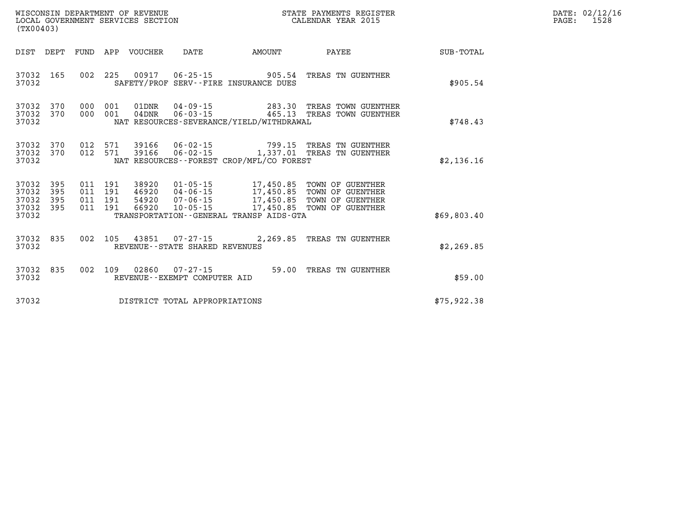| (TX00403)                                 |                          |                          |                          | WISCONSIN DEPARTMENT OF REVENUE<br>LOCAL GOVERNMENT SERVICES SECTION |                                                          |                                                                                                  | STATE PAYMENTS REGISTER<br>CALENDAR YEAR 2015                                |             |
|-------------------------------------------|--------------------------|--------------------------|--------------------------|----------------------------------------------------------------------|----------------------------------------------------------|--------------------------------------------------------------------------------------------------|------------------------------------------------------------------------------|-------------|
| DIST                                      | DEPT                     | FUND                     | APP                      | <b>VOUCHER</b>                                                       | DATE                                                     | AMOUNT                                                                                           | PAYEE                                                                        | SUB-TOTAL   |
| 37032<br>37032                            | 165                      | 002                      | 225                      | 00917                                                                | $06 - 25 - 15$                                           | 905.54<br>SAFETY/PROF SERV--FIRE INSURANCE DUES                                                  | TREAS TN GUENTHER                                                            | \$905.54    |
| 37032<br>37032<br>37032                   | 370<br>370               | 000<br>000               | 001<br>001               | 01DNR<br>$04$ DNR                                                    | 04-09-15<br>$06 - 03 - 15$                               | 283.30<br>465.13<br>NAT RESOURCES-SEVERANCE/YIELD/WITHDRAWAL                                     | TREAS TOWN GUENTHER<br>TREAS TOWN GUENTHER                                   | \$748.43    |
| 37032<br>37032<br>37032                   | 370<br>370               | 012<br>012               | 571<br>571               | 39166<br>39166                                                       | 06-02-15                                                 | 799.15<br>NAT RESOURCES - - FOREST CROP/MFL/CO FOREST                                            | TREAS TN GUENTHER<br>06-02-15 1,337.01 TREAS TN GUENTHER                     | \$2,136.16  |
| 37032<br>37032<br>37032<br>37032<br>37032 | 395<br>395<br>395<br>395 | 011<br>011<br>011<br>011 | 191<br>191<br>191<br>191 | 38920<br>46920<br>54920<br>66920                                     | $01 - 05 - 15$<br>$04 - 06 - 15$<br>07-06-15<br>10-05-15 | 17,450.85<br>17,450.85<br>17,450.85<br>17,450.85<br>TRANSPORTATION - - GENERAL TRANSP AIDS - GTA | TOWN OF GUENTHER<br>TOWN OF GUENTHER<br>TOWN OF GUENTHER<br>TOWN OF GUENTHER | \$69,803.40 |
| 37032<br>37032                            | 835                      | 002                      | 105                      | 43851                                                                | $07 - 27 - 15$<br>REVENUE - - STATE SHARED REVENUES      | 2,269.85                                                                                         | TREAS TN GUENTHER                                                            | \$2,269.85  |
| 37032<br>37032                            | 835                      | 002                      | 109                      | 02860                                                                | $07 - 27 - 15$<br>REVENUE--EXEMPT COMPUTER AID           | 59.00                                                                                            | TREAS TN GUENTHER                                                            | \$59.00     |
| 37032                                     |                          |                          |                          |                                                                      | DISTRICT TOTAL APPROPRIATIONS                            |                                                                                                  |                                                                              | \$75,922.38 |

**DATE: 02/12/16<br>PAGE: 1528**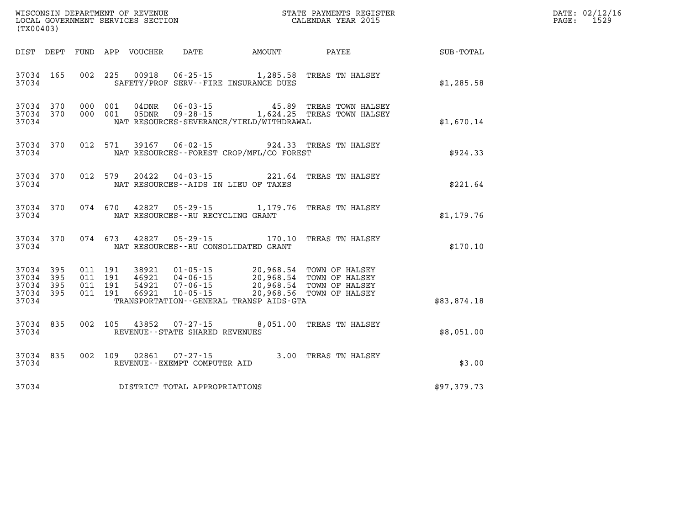| (TX00403)                                                 |  |         |               |                                                  |                                          | WISCONSIN DEPARTMENT OF REVENUE<br>LOCAL GOVERNMENT SERVICES SECTION<br>(TYO0402)                                                                                                                                                                                                                                                                      |             | DATE: 02/12/16<br>$\mathtt{PAGE:}$<br>1529 |
|-----------------------------------------------------------|--|---------|---------------|--------------------------------------------------|------------------------------------------|--------------------------------------------------------------------------------------------------------------------------------------------------------------------------------------------------------------------------------------------------------------------------------------------------------------------------------------------------------|-------------|--------------------------------------------|
| DIST DEPT                                                 |  |         |               |                                                  |                                          | FUND APP VOUCHER DATE AMOUNT PAYEE                                                                                                                                                                                                                                                                                                                     | SUB-TOTAL   |                                            |
| 37034 165<br>37034                                        |  |         |               |                                                  | SAFETY/PROF SERV--FIRE INSURANCE DUES    | 002 225 00918 06-25-15 1,285.58 TREAS TN HALSEY                                                                                                                                                                                                                                                                                                        | \$1,285.58  |                                            |
| 37034 370<br>37034 370<br>37034                           |  |         |               |                                                  | NAT RESOURCES-SEVERANCE/YIELD/WITHDRAWAL |                                                                                                                                                                                                                                                                                                                                                        | \$1,670.14  |                                            |
| 37034 370<br>37034                                        |  |         |               |                                                  | NAT RESOURCES--FOREST CROP/MFL/CO FOREST | 012 571 39167 06-02-15 924.33 TREAS TN HALSEY                                                                                                                                                                                                                                                                                                          | \$924.33    |                                            |
| 37034 370<br>37034                                        |  | 012 579 |               |                                                  | NAT RESOURCES -- AIDS IN LIEU OF TAXES   | 20422  04-03-15  221.64  TREAS TN HALSEY                                                                                                                                                                                                                                                                                                               | \$221.64    |                                            |
| 37034 370<br>37034                                        |  |         |               | NAT RESOURCES -- RU RECYCLING GRANT              |                                          | 074 670 42827 05-29-15 1,179.76 TREAS TN HALSEY                                                                                                                                                                                                                                                                                                        | \$1,179.76  |                                            |
| 37034 370<br>37034                                        |  |         | 074 673 42827 |                                                  | NAT RESOURCES -- RU CONSOLIDATED GRANT   | 05-29-15 170.10 TREAS TN HALSEY                                                                                                                                                                                                                                                                                                                        | \$170.10    |                                            |
| 37034 395<br>37034 395<br>37034 395<br>37034 395<br>37034 |  |         |               |                                                  | TRANSPORTATION--GENERAL TRANSP AIDS-GTA  | $\begin{array}{cccc} 011 & 191 & 38921 & 01\cdot 05\cdot 15 & 20,968.54 & \text{TOWN OF HALSEY} \\ 011 & 191 & 46921 & 04\cdot 06\cdot 15 & 20,968.54 & \text{TOWN OF HALSEY} \\ 011 & 191 & 54921 & 07\cdot 06\cdot 15 & 20,968.54 & \text{TOWN OF HALSEY} \\ 011 & 191 & 66921 & 10\cdot 05\cdot 15 & 20,968.56 & \text{TOWN OF HALSEY} \end{array}$ | \$83,874.18 |                                            |
| 37034 835<br>37034                                        |  |         | 002 105 43852 | $07 - 27 - 15$<br>REVENUE--STATE SHARED REVENUES |                                          | 8,051.00 TREAS TN HALSEY                                                                                                                                                                                                                                                                                                                               | \$8,051.00  |                                            |
| 37034 835<br>37034                                        |  |         | 002 109 02861 | 07-27-15<br>REVENUE--EXEMPT COMPUTER AID         |                                          | 3.00 TREAS TN HALSEY                                                                                                                                                                                                                                                                                                                                   | \$3.00      |                                            |
|                                                           |  |         |               | 37034 DISTRICT TOTAL APPROPRIATIONS              |                                          |                                                                                                                                                                                                                                                                                                                                                        | \$97,379.73 |                                            |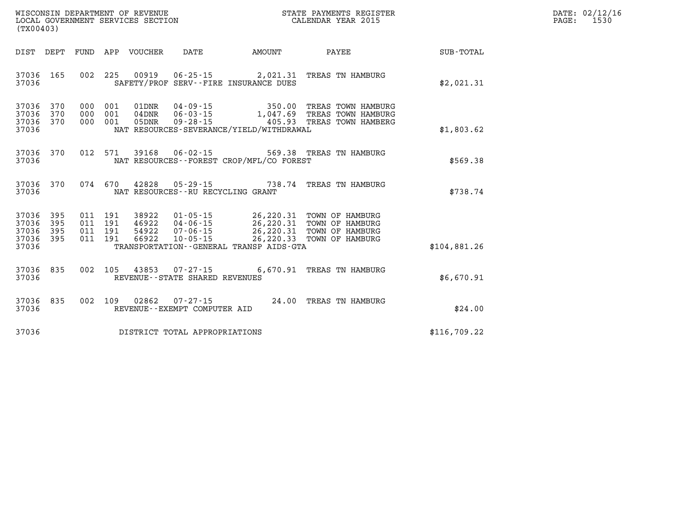| DATE: | 02/12/16 |
|-------|----------|
| PAGE: | 1530     |

| WISCONSIN DEPARTMENT OF REVENUE<br>(TX00403)                                             | LOCAL GOVERNMENT SERVICES SECTION                                                                                                              |           | STATE PAYMENTS REGISTER<br>CALENDAR YEAR 2015                                                           |              |
|------------------------------------------------------------------------------------------|------------------------------------------------------------------------------------------------------------------------------------------------|-----------|---------------------------------------------------------------------------------------------------------|--------------|
| DEPT<br>FUND<br>DIST                                                                     | APP VOUCHER<br>DATE                                                                                                                            | AMOUNT    | PAYEE                                                                                                   | SUB-TOTAL    |
| 165<br>002<br>37036<br>37036                                                             | 225<br>00919<br>SAFETY/PROF SERV--FIRE INSURANCE DUES                                                                                          |           | 06-25-15 2,021.31 TREAS TN HAMBURG                                                                      | \$2,021.31   |
| 37036<br>370<br>000<br>37036<br>370<br>000<br>37036<br>370<br>000<br>37036               | $04 - 09 - 15$<br>001<br>01DNR<br>$06 - 03 - 15$<br>001<br>04DNR<br>001<br>05DNR<br>$09 - 28 - 15$<br>NAT RESOURCES-SEVERANCE/YIELD/WITHDRAWAL |           | 350.00 TREAS TOWN HAMBURG<br>1,047.69 TREAS TOWN HAMBURG<br>405.93 TREAS TOWN HAMBERG                   | \$1,803.62   |
| 012<br>370<br>37036<br>37036                                                             | 571<br>39168<br>$06 - 02 - 15$<br>NAT RESOURCES - - FOREST CROP/MFL/CO FOREST                                                                  |           | 569.38 TREAS TN HAMBURG                                                                                 | \$569.38     |
| 370<br>074<br>37036<br>37036                                                             | 670<br>42828<br>$05 - 29 - 15$<br>NAT RESOURCES - - RU RECYCLING GRANT                                                                         | 738.74    | TREAS TN HAMBURG                                                                                        | \$738.74     |
| 37036<br>395<br>011<br>395<br>37036<br>011<br>37036<br>395<br>011<br>37036<br>395<br>011 | 191<br>$01 - 05 - 15$<br>38922<br>191<br>46922<br>$04 - 06 - 15$<br>54922<br>191<br>$07 - 06 - 15$<br>191<br>66922<br>$10 - 05 - 15$           | 26,220.33 | 26, 220.31 TOWN OF HAMBURG<br>26,220.31 TOWN OF HAMBURG<br>26,220.31 TOWN OF HAMBURG<br>TOWN OF HAMBURG |              |
| 37036                                                                                    | TRANSPORTATION - - GENERAL TRANSP AIDS - GTA                                                                                                   |           |                                                                                                         | \$104,881.26 |
| 835<br>002<br>37036<br>37036                                                             | 105<br>43853<br>07-27-15<br>REVENUE - - STATE SHARED REVENUES                                                                                  | 6,670.91  | TREAS TN HAMBURG                                                                                        | \$6,670.91   |
| 835<br>37036<br>002<br>37036                                                             | 109<br>02862<br>$07 - 27 - 15$<br>REVENUE--EXEMPT COMPUTER AID                                                                                 |           | 24.00 TREAS TN HAMBURG                                                                                  | \$24.00      |
| 37036                                                                                    | DISTRICT TOTAL APPROPRIATIONS                                                                                                                  |           |                                                                                                         | \$116,709.22 |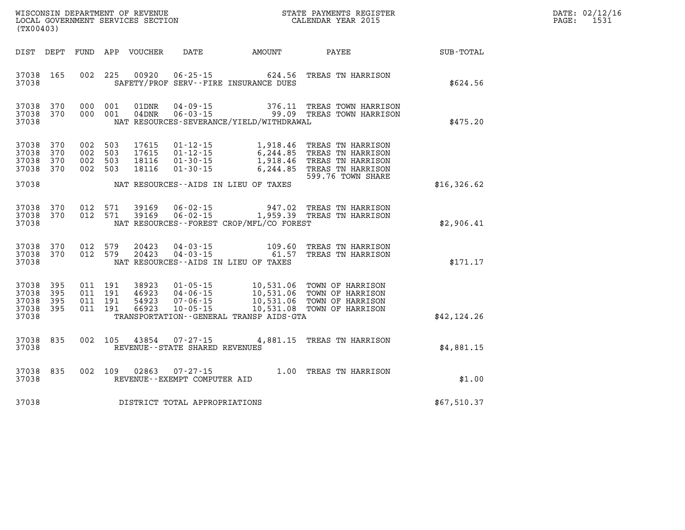| WISCONSIN DEPARTMENT OF REVENUE   | STATE PAYMENTS REGISTER | DATE: | .: 02/12/16 |
|-----------------------------------|-------------------------|-------|-------------|
| LOCAL GOVERNMENT SERVICES SECTION | CALENDAR YEAR 2015      | PAGE  | $1 - 2$     |

| (TX00403)                                         |                   |                           |                                          | LOCAL GOVERNMENT SERVICES SECTION |                                          |                                          | CALENDAR YEAR 2015                                                                                                                                                                           |             | PAGE: | 1531 |
|---------------------------------------------------|-------------------|---------------------------|------------------------------------------|-----------------------------------|------------------------------------------|------------------------------------------|----------------------------------------------------------------------------------------------------------------------------------------------------------------------------------------------|-------------|-------|------|
| DIST DEPT                                         |                   |                           |                                          |                                   |                                          |                                          | FUND APP VOUCHER DATE AMOUNT PAYEE                                                                                                                                                           | SUB-TOTAL   |       |      |
| 37038 165<br>37038                                |                   |                           | 002 225                                  |                                   |                                          | SAFETY/PROF SERV--FIRE INSURANCE DUES    | 00920  06-25-15  624.56  TREAS TN HARRISON                                                                                                                                                   | \$624.56    |       |      |
| 37038 370<br>37038 370<br>37038                   |                   |                           | 000 001<br>000 001                       | 01DNR<br>$04\rm{DNR}$             |                                          | NAT RESOURCES-SEVERANCE/YIELD/WITHDRAWAL |                                                                                                                                                                                              | \$475.20    |       |      |
| 37038<br>37038<br>37038<br>37038 370<br>37038     | 370<br>370<br>370 | 002<br>002 503<br>002 503 | 503<br>002 503                           | 17615<br>17615<br>18116<br>18116  | $01 - 30 - 15$                           | NAT RESOURCES--AIDS IN LIEU OF TAXES     | 01-12-15 1,918.46 TREAS TN HARRISON<br>01-12-15 6,244.85 TREAS TN HARRISON<br>01-30-15 1,918.46 TREAS TN HARRISON<br>6,244.85 TREAS TN HARRISON<br>599.76 TOWN SHARE                         | \$16,326.62 |       |      |
| 37038<br>37038<br>37038                           | 370<br>370        |                           | 012 571<br>012 571                       |                                   |                                          | NAT RESOURCES--FOREST CROP/MFL/CO FOREST | 39169   06-02-15   947.02   TREAS TN HARRISON<br>39169   06-02-15   1,959.39   TREAS TN HARRISON                                                                                             | \$2,906.41  |       |      |
| 37038 370<br>37038 370<br>37038                   |                   |                           | 012 579<br>012 579                       | 20423<br>20423                    |                                          | NAT RESOURCES--AIDS IN LIEU OF TAXES     | 04-03-15 109.60 TREAS TN HARRISON<br>04-03-15 61.57 TREAS TN HARRISON                                                                                                                        | \$171.17    |       |      |
| 37038 395<br>37038<br>37038<br>37038 395<br>37038 | 395<br>395        |                           | 011 191<br>011 191<br>011 191<br>011 191 |                                   |                                          | TRANSPORTATION--GENERAL TRANSP AIDS-GTA  | 38923  01-05-15  10,531.06  TOWN OF HARRISON<br>46923  04-06-15  10,531.06  TOWN OF HARRISON<br>54923  07-06-15  10,531.06  TOWN OF HARRISON<br>66923  10-05-15  10,531.08  TOWN OF HARRISON | \$42,124.26 |       |      |
| 37038<br>37038                                    | 835               |                           | 002 105                                  | 43854                             | REVENUE - - STATE SHARED REVENUES        |                                          | 07-27-15 4,881.15 TREAS TN HARRISON                                                                                                                                                          | \$4,881.15  |       |      |
| 37038 835<br>37038                                |                   |                           | 002 109                                  | 02863                             | 07-27-15<br>REVENUE--EXEMPT COMPUTER AID |                                          | 1.00 TREAS TN HARRISON                                                                                                                                                                       | \$1.00      |       |      |
| 37038                                             |                   |                           |                                          |                                   | DISTRICT TOTAL APPROPRIATIONS            |                                          |                                                                                                                                                                                              | \$67,510.37 |       |      |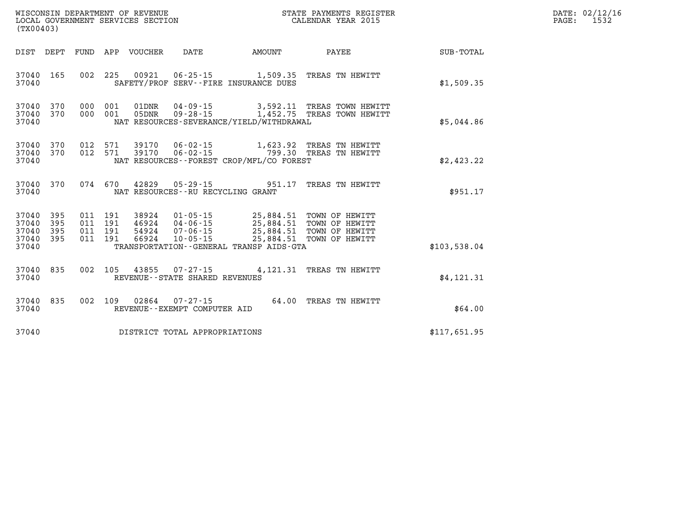| (TX00403)                                                 | WISCONSIN DEPARTMENT OF REVENUE<br>LOCAL GOVERNMENT SERVICES SECTION<br>LOCAL GOVERNMENT SERVICES SECTION<br>CALENDAR YEAR 2015                                                                          |                       |              | DATE: 02/12/16<br>$\mathtt{PAGE:}$<br>1532 |
|-----------------------------------------------------------|----------------------------------------------------------------------------------------------------------------------------------------------------------------------------------------------------------|-----------------------|--------------|--------------------------------------------|
| DIST DEPT FUND APP VOUCHER DATE                           | <b>AMOUNT</b>                                                                                                                                                                                            | PAYEE                 | SUB-TOTAL    |                                            |
| 37040 165<br>37040                                        | 002 225 00921 06-25-15 1,509.35 TREAS TN HEWITT<br>SAFETY/PROF SERV--FIRE INSURANCE DUES                                                                                                                 |                       | \$1,509.35   |                                            |
| 370<br>37040<br>37040 370<br>37040                        | 000 001 01DNR 04-09-15 3,592.11 TREAS TOWN HEWITT<br>000 001 05DNR 09-28-15 1,452.75 TREAS TOWN HEWITT<br>NAT RESOURCES-SEVERANCE/YIELD/WITHDRAWAL                                                       |                       | \$5,044.86   |                                            |
| 37040 370<br>37040 370<br>37040                           | 012 571 39170 06-02-15 1,623.92 TREAS TN HEWITT<br>012 571 39170 06-02-15 799.30 TREAS TN HEWITT<br>NAT RESOURCES--FOREST CROP/MFL/CO FOREST                                                             |                       | \$2,423.22   |                                            |
| 37040 370<br>37040                                        | 074 670 42829 05-29-15 951.17 TREAS TN HEWITT<br>NAT RESOURCES--RU RECYCLING GRANT                                                                                                                       |                       | \$951.17     |                                            |
| 395<br>37040<br>37040<br>395<br>37040<br>395<br>37040 395 | 011 191 38924 01-05-15 25,884.51 TOWN OF HEWITT<br>011 191 46924 04-06-15 25,884.51 TOWN OF HEWITT<br>011 191 54924 07-06-15 25,884.51 TOWN OF HEWITT<br>011 191 66924 10-05-15 25,884.51 TOWN OF HEWITT |                       |              |                                            |
| 37040                                                     | TRANSPORTATION--GENERAL TRANSP AIDS-GTA                                                                                                                                                                  |                       | \$103.538.04 |                                            |
| 37040 835<br>37040                                        | 002 105 43855 07-27-15 4,121.31 TREAS TN HEWITT<br>REVENUE--STATE SHARED REVENUES                                                                                                                        |                       | \$4,121.31   |                                            |
| 37040 835<br>37040                                        | 002 109 02864 07-27-15<br>REVENUE--EXEMPT COMPUTER AID                                                                                                                                                   | 64.00 TREAS TN HEWITT | \$64.00      |                                            |
| 37040                                                     | DISTRICT TOTAL APPROPRIATIONS                                                                                                                                                                            |                       | \$117,651.95 |                                            |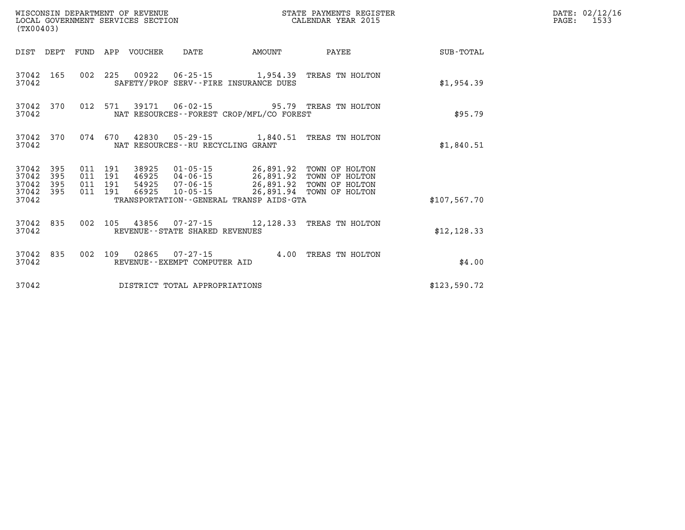| (TX00403)                                |            |                                          | WISCONSIN DEPARTMENT OF REVENUE | LOCAL GOVERNMENT SERVICES SECTION |                                              | STATE PAYMENTS REGISTER<br>CALENDAR YEAR 2015                                                                                                                         |              | DATE: 02/12/16<br>PAGE:<br>1533 |
|------------------------------------------|------------|------------------------------------------|---------------------------------|-----------------------------------|----------------------------------------------|-----------------------------------------------------------------------------------------------------------------------------------------------------------------------|--------------|---------------------------------|
|                                          |            |                                          | DIST DEPT FUND APP VOUCHER      | DATE                              | AMOUNT                                       | PAYEE                                                                                                                                                                 | SUB-TOTAL    |                                 |
| 37042                                    | 37042 165  |                                          |                                 |                                   | SAFETY/PROF SERV--FIRE INSURANCE DUES        | 002 225 00922 06-25-15 1,954.39 TREAS TN HOLTON                                                                                                                       | \$1,954.39   |                                 |
| 37042                                    | 37042 370  |                                          |                                 |                                   | NAT RESOURCES - - FOREST CROP/MFL/CO FOREST  | 012 571 39171 06-02-15 95.79 TREAS TN HOLTON                                                                                                                          | \$95.79      |                                 |
| 37042 370<br>37042                       |            |                                          |                                 | NAT RESOURCES--RU RECYCLING GRANT |                                              | 074 670 42830 05-29-15 1,840.51 TREAS TN HOLTON                                                                                                                       | \$1,840.51   |                                 |
| 37042 395<br>37042<br>37042<br>37042 395 | 395<br>395 | 011 191<br>011 191<br>011 191<br>011 191 | 66925                           |                                   |                                              | 38925 01-05-15 26,891.92 TOWN OF HOLTON<br>46925 04-06-15 26,891.92 TOWN OF HOLTON<br>54925  07-06-15  26,891.92  TOWN OF HOLTON<br>10-05-15 26,891.94 TOWN OF HOLTON |              |                                 |
| 37042                                    |            |                                          |                                 |                                   | TRANSPORTATION - - GENERAL TRANSP AIDS - GTA |                                                                                                                                                                       | \$107,567.70 |                                 |
| 37042 835<br>37042                       |            |                                          |                                 | REVENUE - - STATE SHARED REVENUES |                                              | 002 105 43856 07-27-15 12,128.33 TREAS TN HOLTON                                                                                                                      | \$12, 128.33 |                                 |
| 37042                                    | 37042 835  | 002 109                                  |                                 | REVENUE - - EXEMPT COMPUTER AID   |                                              | 02865  07-27-15  4.00 TREAS TN HOLTON                                                                                                                                 | \$4.00       |                                 |
| 37042                                    |            |                                          |                                 | DISTRICT TOTAL APPROPRIATIONS     |                                              |                                                                                                                                                                       | \$123,590.72 |                                 |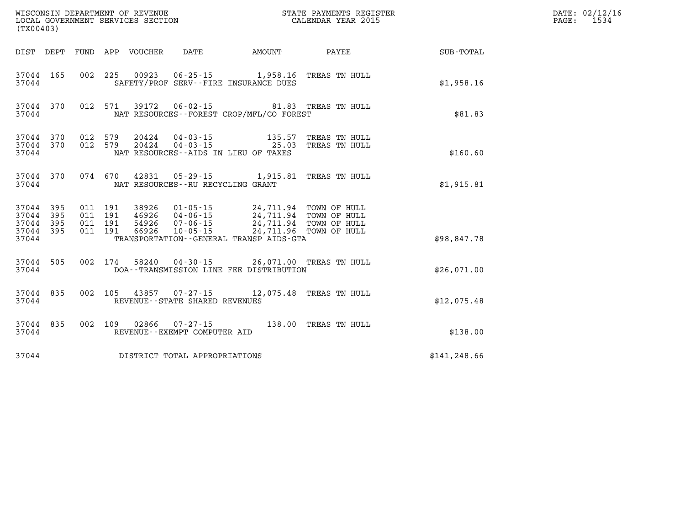| (TX00403)                                             |                        |                                          |         |                                 | WISCONSIN DEPARTMENT OF REVENUE<br>LOCAL GOVERNMENT SERVICES SECTION |                                                                                                                                                                                                     | STATE PAYMENTS REGISTER<br>CALENDAR YEAR 2015 |               | DATE: 02/12/16<br>$\mathtt{PAGE:}$<br>1534 |
|-------------------------------------------------------|------------------------|------------------------------------------|---------|---------------------------------|----------------------------------------------------------------------|-----------------------------------------------------------------------------------------------------------------------------------------------------------------------------------------------------|-----------------------------------------------|---------------|--------------------------------------------|
|                                                       |                        |                                          |         | DIST DEPT FUND APP VOUCHER DATE |                                                                      | <b>AMOUNT</b>                                                                                                                                                                                       | <b>PAYEE</b>                                  | SUB-TOTAL     |                                            |
| 37044                                                 | 37044 165              |                                          |         |                                 |                                                                      | 002 225 00923 06-25-15 1,958.16 TREAS TN HULL<br>SAFETY/PROF SERV--FIRE INSURANCE DUES                                                                                                              |                                               | \$1,958.16    |                                            |
| 37044                                                 | 37044 370              |                                          |         |                                 |                                                                      | 012 571 39172 06-02-15 81.83 TREAS TN HULL<br>NAT RESOURCES - - FOREST CROP/MFL/CO FOREST                                                                                                           |                                               | \$81.83       |                                            |
| 37044                                                 | 37044 370<br>37044 370 | 012 579                                  | 012 579 |                                 |                                                                      | 20424  04 - 03 - 15   135.57<br>20424  04-03-15  25.03  TREAS TN HULL<br>NAT RESOURCES--AIDS IN LIEU OF TAXES                                                                                       | TREAS TN HULL                                 | \$160.60      |                                            |
| 37044                                                 | 37044 370              |                                          |         |                                 | NAT RESOURCES - - RU RECYCLING GRANT                                 | 074 670 42831 05-29-15 1,915.81 TREAS TN HULL                                                                                                                                                       |                                               | \$1,915.81    |                                            |
| 37044 395<br>37044 395<br>37044<br>37044 395<br>37044 | 395                    | 011 191<br>011 191<br>011 191<br>011 191 |         | 38926<br>66926                  | 10-05-15                                                             | 01-05-15   24,711.94   TOWN OF HULL<br>04-06-15   24,711.94   TOWN OF HULL<br>$54926$ $07 - 06 - 15$ $24, 711.94$ TOWN OF HULL<br>24,711.96 TOWN OF HULL<br>TRANSPORTATION--GENERAL TRANSP AIDS-GTA |                                               | \$98,847.78   |                                            |
| 37044                                                 | 37044 505              |                                          |         |                                 |                                                                      | 002 174 58240 04-30-15 26,071.00 TREAS TN HULL<br>DOA--TRANSMISSION LINE FEE DISTRIBUTION                                                                                                           |                                               | \$26,071.00   |                                            |
| 37044                                                 | 37044 835              |                                          |         |                                 | REVENUE--STATE SHARED REVENUES                                       | 002 105 43857 07-27-15 12,075.48 TREAS TN HULL                                                                                                                                                      |                                               | \$12,075.48   |                                            |
| 37044                                                 | 37044 835              |                                          |         |                                 | REVENUE--EXEMPT COMPUTER AID                                         | 002 109 02866 07-27-15 138.00 TREAS TN HULL                                                                                                                                                         |                                               | \$138.00      |                                            |
| 37044                                                 |                        |                                          |         |                                 | DISTRICT TOTAL APPROPRIATIONS                                        |                                                                                                                                                                                                     |                                               | \$141, 248.66 |                                            |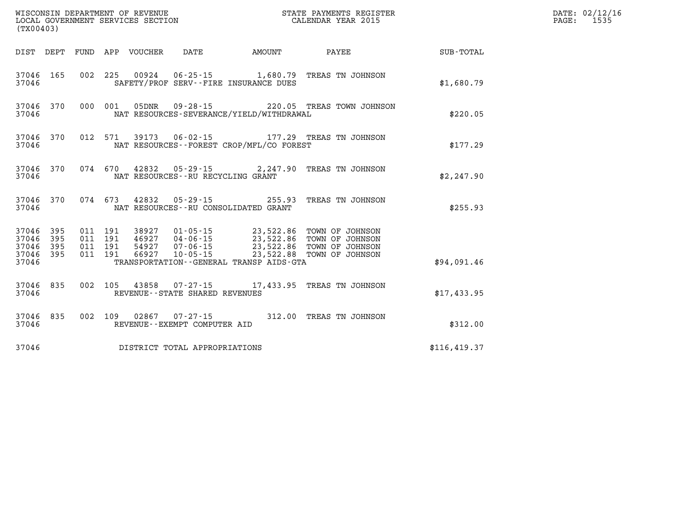| (TX00403)                                             |     |  |  |  |                                     |                                          |                                                                                                                                                                                                              |               | DATE: 02/12/16<br>PAGE: 1535 |
|-------------------------------------------------------|-----|--|--|--|-------------------------------------|------------------------------------------|--------------------------------------------------------------------------------------------------------------------------------------------------------------------------------------------------------------|---------------|------------------------------|
|                                                       |     |  |  |  |                                     |                                          |                                                                                                                                                                                                              |               |                              |
| 37046 165<br>37046                                    |     |  |  |  |                                     | SAFETY/PROF SERV--FIRE INSURANCE DUES    | 002 225 00924 06-25-15 1,680.79 TREAS TN JOHNSON                                                                                                                                                             | \$1,680.79    |                              |
| 37046 370<br>37046                                    |     |  |  |  |                                     | NAT RESOURCES-SEVERANCE/YIELD/WITHDRAWAL | 000 001 05DNR 09-28-15 220.05 TREAS TOWN JOHNSON                                                                                                                                                             | \$220.05      |                              |
| 37046 370<br>37046                                    |     |  |  |  |                                     | NAT RESOURCES--FOREST CROP/MFL/CO FOREST | 012 571 39173 06-02-15 177.29 TREAS TN JOHNSON                                                                                                                                                               | \$177.29      |                              |
| 37046 370<br>37046                                    |     |  |  |  | NAT RESOURCES--RU RECYCLING GRANT   |                                          | 074 670 42832 05-29-15 2,247.90 TREAS TN JOHNSON                                                                                                                                                             | \$2, 247.90   |                              |
| 37046 370<br>37046                                    |     |  |  |  |                                     | NAT RESOURCES -- RU CONSOLIDATED GRANT   | 074 673 42832 05-29-15 255.93 TREAS TN JOHNSON                                                                                                                                                               | \$255.93      |                              |
| 37046 395<br>37046<br>37046 395<br>37046 395<br>37046 | 395 |  |  |  |                                     | TRANSPORTATION--GENERAL TRANSP AIDS-GTA  | 011 191 38927 01-05-15 23,522.86 TOWN OF JOHNSON<br>011 191 46927 04-06-15 23,522.86 TOWN OF JOHNSON<br>011 191 54927 07-06-15 23,522.86 TOWN OF JOHNSON<br>011 191 66927 10-05-15 23,522.88 TOWN OF JOHNSON | \$94,091.46   |                              |
| 37046 835<br>37046                                    |     |  |  |  | REVENUE--STATE SHARED REVENUES      |                                          | 002 105 43858 07-27-15 17,433.95 TREAS TN JOHNSON                                                                                                                                                            | \$17,433.95   |                              |
| 37046 835<br>37046                                    |     |  |  |  | REVENUE--EXEMPT COMPUTER AID        |                                          | 002 109 02867 07-27-15 312.00 TREAS TN JOHNSON                                                                                                                                                               | \$312.00      |                              |
|                                                       |     |  |  |  | 37046 DISTRICT TOTAL APPROPRIATIONS |                                          |                                                                                                                                                                                                              | \$116, 419.37 |                              |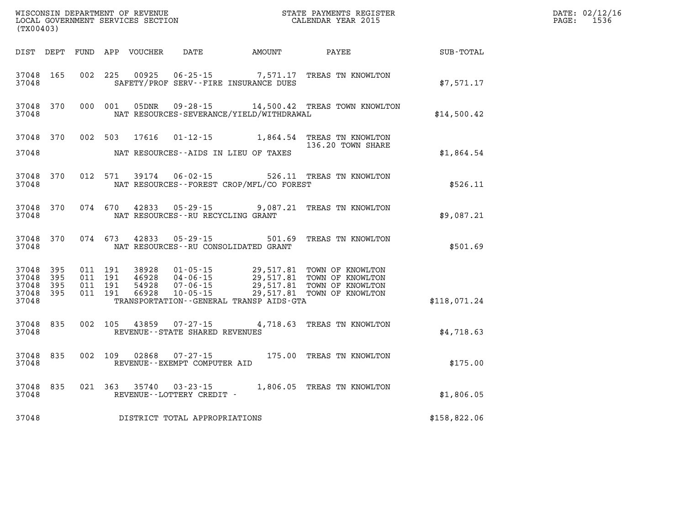| WISCONSIN DEPARTMENT OF REVENUE<br>LOCAL GOVERNMENT SERVICES SECTION<br>(TX00403) |              |                                          |         |                  |                                                        |                                                   | STATE PAYMENTS REGISTER<br>CALENDAR YEAR 2015                                                                                                                            |              | DATE: 02/12/16<br>$\mathtt{PAGE}$ :<br>1536 |
|-----------------------------------------------------------------------------------|--------------|------------------------------------------|---------|------------------|--------------------------------------------------------|---------------------------------------------------|--------------------------------------------------------------------------------------------------------------------------------------------------------------------------|--------------|---------------------------------------------|
| DIST DEPT                                                                         |              |                                          |         | FUND APP VOUCHER | DATE                                                   | AMOUNT                                            | PAYEE                                                                                                                                                                    | SUB-TOTAL    |                                             |
| 37048 165<br>37048                                                                |              |                                          |         | 002 225 00925    |                                                        | SAFETY/PROF SERV--FIRE INSURANCE DUES             | 06-25-15 7,571.17 TREAS TN KNOWLTON                                                                                                                                      | \$7,571.17   |                                             |
| 37048 370<br>37048                                                                |              | 000 001                                  |         | 05DNR            | $09 - 28 - 15$                                         | NAT RESOURCES-SEVERANCE/YIELD/WITHDRAWAL          | 14,500.42 TREAS TOWN KNOWLTON                                                                                                                                            | \$14,500.42  |                                             |
| 37048                                                                             | 37048 370    |                                          |         | 002 503 17616    |                                                        | NAT RESOURCES--AIDS IN LIEU OF TAXES              | 01-12-15 1,864.54 TREAS TN KNOWLTON<br>136.20 TOWN SHARE                                                                                                                 | \$1,864.54   |                                             |
| 37048                                                                             | 37048 370    |                                          | 012 571 |                  | 39174 06-02-15                                         | NAT RESOURCES - - FOREST CROP/MFL/CO FOREST       | 526.11 TREAS TN KNOWLTON                                                                                                                                                 | \$526.11     |                                             |
| 37048                                                                             | 37048 370    |                                          | 074 670 | 42833            | $05 - 29 - 15$<br>NAT RESOURCES - - RU RECYCLING GRANT |                                                   | 9,087.21 TREAS TN KNOWLTON                                                                                                                                               | \$9,087.21   |                                             |
| 37048                                                                             | 37048 370    | 074 673                                  |         | 42833            | $05 - 29 - 15$                                         | 501.69<br>NAT RESOURCES - - RU CONSOLIDATED GRANT | TREAS TN KNOWLTON                                                                                                                                                        | \$501.69     |                                             |
| 37048 395<br>37048<br>37048<br>37048 395<br>37048                                 | 395<br>- 395 | 011 191<br>011 191<br>011 191<br>011 191 |         | 66928            | $10 - 05 - 15$                                         | TRANSPORTATION--GENERAL TRANSP AIDS-GTA           | 38928  01-05-15  29,517.81  TOWN OF KNOWLTON<br>46928  04-06-15  29,517.81 TOWN OF KNOWLTON<br>54928  07-06-15  29,517.81 TOWN OF KNOWLTON<br>29,517.81 TOWN OF KNOWLTON | \$118,071.24 |                                             |
|                                                                                   |              |                                          |         |                  |                                                        |                                                   |                                                                                                                                                                          |              |                                             |
| 37048 835<br>37048                                                                |              |                                          | 002 105 | 43859            | 07-27-15<br>REVENUE--STATE SHARED REVENUES             |                                                   | 4,718.63 TREAS TN KNOWLTON                                                                                                                                               | \$4,718.63   |                                             |
| 37048 835<br>37048                                                                |              | 002 109                                  |         | 02868            | 07-27-15<br>REVENUE--EXEMPT COMPUTER AID               |                                                   | 175.00 TREAS TN KNOWLTON                                                                                                                                                 | \$175.00     |                                             |
| 37048 835<br>37048                                                                |              |                                          | 021 363 | 35740            | $03 - 23 - 15$<br>REVENUE--LOTTERY CREDIT -            |                                                   | 1,806.05 TREAS TN KNOWLTON                                                                                                                                               | \$1,806.05   |                                             |
| 37048                                                                             |              |                                          |         |                  | DISTRICT TOTAL APPROPRIATIONS                          |                                                   |                                                                                                                                                                          | \$158,822.06 |                                             |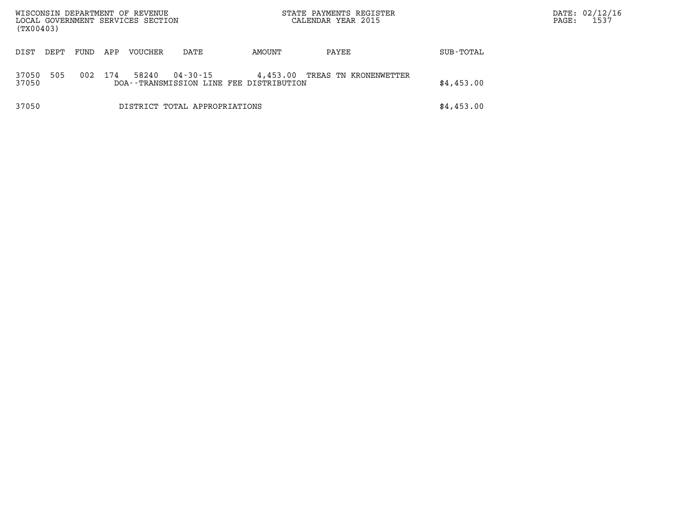| WISCONSIN DEPARTMENT OF REVENUE<br>LOCAL GOVERNMENT SERVICES SECTION<br>(TX00403) |      |      |     |         |                                                     | STATE PAYMENTS REGISTER<br>CALENDAR YEAR 2015 |                       |            | DATE: 02/12/16<br>1537<br>PAGE: |
|-----------------------------------------------------------------------------------|------|------|-----|---------|-----------------------------------------------------|-----------------------------------------------|-----------------------|------------|---------------------------------|
| DIST                                                                              | DEPT | FUND | APP | VOUCHER | DATE                                                | AMOUNT                                        | PAYEE                 | SUB-TOTAL  |                                 |
| 37050<br>37050                                                                    | 505  | 002  | 174 | 58240   | 04-30-15<br>DOA--TRANSMISSION LINE FEE DISTRIBUTION | 4,453.00                                      | TREAS TN KRONENWETTER | \$4,453.00 |                                 |
| 37050                                                                             |      |      |     |         | DISTRICT TOTAL APPROPRIATIONS                       |                                               |                       | \$4,453.00 |                                 |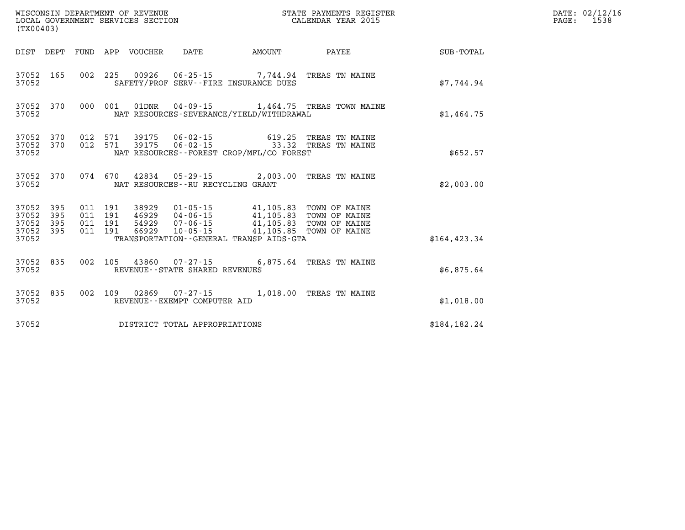| (TX00403)                                     |                        |  |  |  |                                      |                                                                                         |                                                                                             |               | DATE: 02/12/16<br>$\mathtt{PAGE:}$<br>1538 |
|-----------------------------------------------|------------------------|--|--|--|--------------------------------------|-----------------------------------------------------------------------------------------|---------------------------------------------------------------------------------------------|---------------|--------------------------------------------|
|                                               |                        |  |  |  |                                      | DIST DEPT FUND APP VOUCHER DATE AMOUNT                                                  | <b>PAYEE</b>                                                                                | SUB-TOTAL     |                                            |
| 37052                                         | 37052 165              |  |  |  |                                      | 002 225 00926 06-25-15 7,744.94 TREAS TN MAINE<br>SAFETY/PROF SERV--FIRE INSURANCE DUES |                                                                                             | \$7.744.94    |                                            |
| 37052                                         |                        |  |  |  |                                      | NAT RESOURCES-SEVERANCE/YIELD/WITHDRAWAL                                                | 37052 370 000 001 01DNR 04-09-15 1,464.75 TREAS TOWN MAINE                                  | \$1,464.75    |                                            |
| 37052                                         | 37052 370<br>37052 370 |  |  |  |                                      | NAT RESOURCES - - FOREST CROP/MFL/CO FOREST                                             | 012 571 39175 06-02-15 619.25 TREAS TN MAINE<br>012 571 39175 06-02-15 33.32 TREAS TN MAINE | \$652.57      |                                            |
| 37052                                         | 37052 370              |  |  |  | NAT RESOURCES - - RU RECYCLING GRANT | 074 670 42834 05-29-15 2,003.00 TREAS TN MAINE                                          |                                                                                             | \$2,003.00    |                                            |
| 37052<br>37052<br>37052<br>37052 395<br>37052 | 395<br>395<br>395      |  |  |  |                                      | TRANSPORTATION--GENERAL TRANSP AIDS-GTA                                                 |                                                                                             | \$164, 423.34 |                                            |
| 37052                                         | 37052 835              |  |  |  | REVENUE - - STATE SHARED REVENUES    | 002 105 43860 07-27-15 6,875.64 TREAS TN MAINE                                          |                                                                                             | \$6,875.64    |                                            |
| 37052 835<br>37052                            |                        |  |  |  | REVENUE--EXEMPT COMPUTER AID         | 002 109 02869 07-27-15 1,018.00 TREAS TN MAINE                                          |                                                                                             | \$1,018.00    |                                            |
| 37052                                         |                        |  |  |  | DISTRICT TOTAL APPROPRIATIONS        |                                                                                         |                                                                                             | \$184,182.24  |                                            |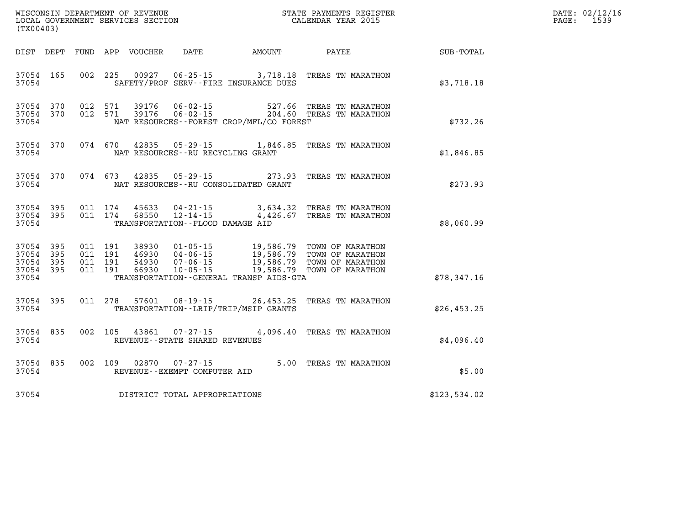| WISCONSIN DEPARTMENT OF REVENUE<br>LOCAL GOVERNMENT SERVICES SECTION<br>(TX00403) |           |         |                                          |                            |                                                                      |                                                                          | STATE PAYMENTS REGISTER<br>CALENDAR YEAR 2015                                                                                                                                    |              | DATE: 02/12/16<br>PAGE:<br>1539 |
|-----------------------------------------------------------------------------------|-----------|---------|------------------------------------------|----------------------------|----------------------------------------------------------------------|--------------------------------------------------------------------------|----------------------------------------------------------------------------------------------------------------------------------------------------------------------------------|--------------|---------------------------------|
|                                                                                   |           |         |                                          | DIST DEPT FUND APP VOUCHER | DATE                                                                 | AMOUNT                                                                   | PAYEE                                                                                                                                                                            | SUB-TOTAL    |                                 |
| 37054 165<br>37054                                                                |           |         |                                          |                            |                                                                      | 002 225 00927 06-25-15 3,718.18<br>SAFETY/PROF SERV--FIRE INSURANCE DUES | TREAS TN MARATHON                                                                                                                                                                | \$3,718.18   |                                 |
| 37054 370<br>37054 370<br>37054                                                   |           |         | 012 571<br>012 571                       | 39176                      |                                                                      | NAT RESOURCES - - FOREST CROP/MFL/CO FOREST                              | 06-02-15 527.66 TREAS TN MARATHON<br>39176  06-02-15  204.60  TREAS TN MARATHON                                                                                                  | \$732.26     |                                 |
| 37054                                                                             | 37054 370 |         |                                          |                            | NAT RESOURCES--RU RECYCLING GRANT                                    |                                                                          | 074 670 42835 05-29-15 1,846.85 TREAS TN MARATHON                                                                                                                                | \$1,846.85   |                                 |
| 37054                                                                             | 37054 370 |         |                                          |                            |                                                                      | NAT RESOURCES -- RU CONSOLIDATED GRANT                                   | 074 673 42835 05-29-15 273.93 TREAS TN MARATHON                                                                                                                                  | \$273.93     |                                 |
| 37054 395<br>37054                                                                | 37054 395 | 011 174 | 011 174                                  | 68550                      | 45633 04-21-15<br>$12 - 14 - 15$<br>TRANSPORTATION--FLOOD DAMAGE AID | 4,426.67                                                                 | 3,634.32 TREAS TN MARATHON<br>TREAS TN MARATHON                                                                                                                                  | \$8,060.99   |                                 |
| 37054 395<br>37054 395<br>37054 395<br>37054 395<br>37054                         |           |         | 011 191<br>011 191<br>011 191<br>011 191 | 54930<br>66930             | 07-06-15                                                             | TRANSPORTATION--GENERAL TRANSP AIDS-GTA                                  | 38930   01-05-15   19,586.79   TOWN OF MARATHON<br>46930   04-06-15   19,586.79   TOWN OF MARATHON<br>07-06-15 19,586.79 TOWN OF MARATHON<br>10-05-15 19,586.79 TOWN OF MARATHON | \$78,347.16  |                                 |
| 37054                                                                             | 37054 395 |         | 011 278                                  | 57601                      |                                                                      | TRANSPORTATION--LRIP/TRIP/MSIP GRANTS                                    | 08-19-15 26,453.25 TREAS TN MARATHON                                                                                                                                             | \$26,453.25  |                                 |
| 37054                                                                             | 37054 835 |         |                                          | 002 105 43861              | REVENUE--STATE SHARED REVENUES                                       |                                                                          | 07-27-15 4,096.40 TREAS TN MARATHON                                                                                                                                              | \$4,096.40   |                                 |
| 37054                                                                             | 37054 835 |         |                                          | 002 109 02870              | 07-27-15<br>REVENUE--EXEMPT COMPUTER AID                             |                                                                          | 5.00 TREAS TN MARATHON                                                                                                                                                           | \$5.00       |                                 |
| 37054                                                                             |           |         |                                          |                            | DISTRICT TOTAL APPROPRIATIONS                                        |                                                                          |                                                                                                                                                                                  | \$123,534.02 |                                 |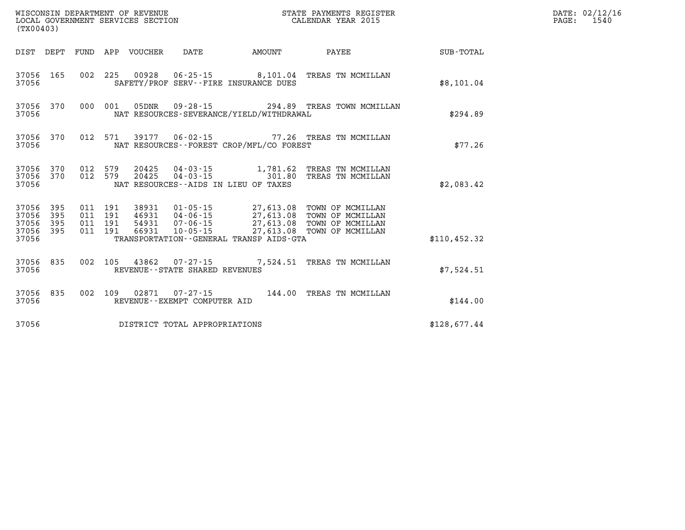| % WISCONSIN DEPARTMENT OF REVENUE $$\tt STATE~PAYMENTS~REGISTER$ LOCAL GOVERNMENT SERVICES SECTION $$\tt CALENDAR~YEAR~2015$<br>(TX00403) |                    |  |  |                                 |                                |                                             |                                                                                                                                                                                                                  |               | DATE: 02/12/16<br>$\mathtt{PAGE:}$<br>1540 |
|-------------------------------------------------------------------------------------------------------------------------------------------|--------------------|--|--|---------------------------------|--------------------------------|---------------------------------------------|------------------------------------------------------------------------------------------------------------------------------------------------------------------------------------------------------------------|---------------|--------------------------------------------|
|                                                                                                                                           |                    |  |  | DIST DEPT FUND APP VOUCHER DATE |                                | <b>EXAMPLE THE AMOUNT</b>                   | <b>PAYEE</b>                                                                                                                                                                                                     | SUB-TOTAL     |                                            |
| 37056                                                                                                                                     |                    |  |  |                                 |                                | SAFETY/PROF SERV--FIRE INSURANCE DUES       | 37056 165 002 225 00928 06-25-15 8,101.04 TREAS TN MCMILLAN                                                                                                                                                      | \$8,101.04    |                                            |
| 37056                                                                                                                                     |                    |  |  |                                 |                                | NAT RESOURCES-SEVERANCE/YIELD/WITHDRAWAL    | 37056 370 000 001 05DNR 09-28-15 294.89 TREAS TOWN MCMILLAN                                                                                                                                                      | \$294.89      |                                            |
|                                                                                                                                           | 37056 370<br>37056 |  |  |                                 |                                | NAT RESOURCES - - FOREST CROP/MFL/CO FOREST | 012 571 39177 06-02-15 77.26 TREAS TN MCMILLAN                                                                                                                                                                   | \$77.26       |                                            |
| 37056                                                                                                                                     |                    |  |  |                                 |                                | NAT RESOURCES--AIDS IN LIEU OF TAXES        | $37056$ $370$ $012$ $579$ $20425$ $04-03-15$ $1,781.62$ TREAS TN MCMILLAN<br>$37056$ $370$ $012$ $579$ $20425$ $04-03-15$ $301.80$ TREAS TN MCMILLAN                                                             | \$2,083.42    |                                            |
| 37056 395<br>37056 395<br>37056 395<br>37056 395<br>37056                                                                                 |                    |  |  |                                 |                                | TRANSPORTATION--GENERAL TRANSP AIDS-GTA     | 011 191 38931 01-05-15 27,613.08 TOWN OF MCMILLAN<br>011 191 46931 04-06-15 27,613.08 TOWN OF MCMILLAN<br>011 191 54931 07-06-15 27,613.08 TOWN OF MCMILLAN<br>011 191 66931 10-05-15 27,613.08 TOWN OF MCMILLAN | \$110, 452.32 |                                            |
| 37056                                                                                                                                     |                    |  |  |                                 | REVENUE--STATE SHARED REVENUES |                                             | 37056 835 002 105 43862 07-27-15 7,524.51 TREAS TN MCMILLAN                                                                                                                                                      | \$7,524.51    |                                            |
| 37056                                                                                                                                     | 37056 835          |  |  |                                 | REVENUE--EXEMPT COMPUTER AID   |                                             | 002 109 02871 07-27-15 144.00 TREAS TN MCMILLAN                                                                                                                                                                  | \$144.00      |                                            |
| 37056                                                                                                                                     |                    |  |  |                                 | DISTRICT TOTAL APPROPRIATIONS  |                                             |                                                                                                                                                                                                                  | \$128,677.44  |                                            |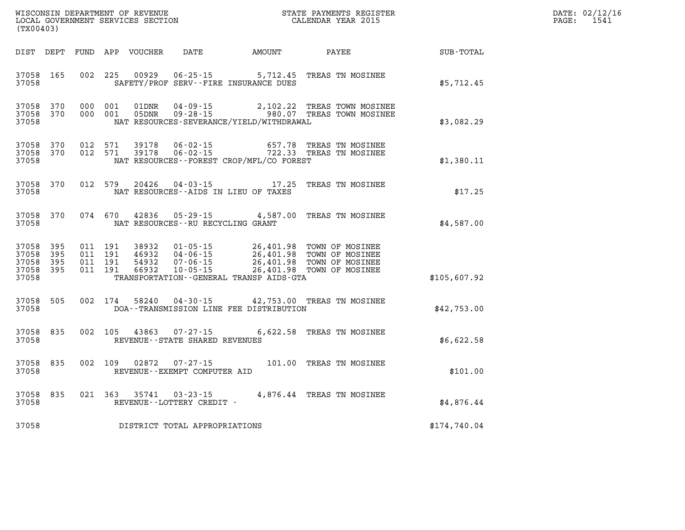| WISCONSIN DEPARTMENT OF REVENUE<br>LOCAL GOVERNMENT SERVICES SECTION<br>(TX00403) |                       |                                          |         |                                  |                                                     |                                                   | STATE PAYMENTS REGISTER<br>CALENDAR YEAR 2015                                                                             |              | DATE: 02/12/16<br>$\mathtt{PAGE:}$<br>1541 |
|-----------------------------------------------------------------------------------|-----------------------|------------------------------------------|---------|----------------------------------|-----------------------------------------------------|---------------------------------------------------|---------------------------------------------------------------------------------------------------------------------------|--------------|--------------------------------------------|
|                                                                                   |                       |                                          |         | DIST DEPT FUND APP VOUCHER       |                                                     | DATE AMOUNT                                       | PAYEE                                                                                                                     | SUB-TOTAL    |                                            |
| 37058 165<br>37058                                                                |                       | 002 225                                  |         | 00929                            | $06 - 25 - 15$                                      | 5,712.45<br>SAFETY/PROF SERV--FIRE INSURANCE DUES | TREAS TN MOSINEE                                                                                                          | \$5,712.45   |                                            |
| 37058 370<br>37058 370<br>37058                                                   |                       | 000 001<br>000 001                       |         | 01DNR<br>05DNR                   |                                                     | NAT RESOURCES-SEVERANCE/YIELD/WITHDRAWAL          | 04-09-15 2,102.22 TREAS TOWN MOSINEE<br>09-28-15 980.07 TREAS TOWN MOSINEE                                                | \$3,082.29   |                                            |
| 37058 370<br>37058 370<br>37058                                                   |                       | 012 571<br>012 571                       |         | 39178<br>39178                   | 06-02-15                                            | NAT RESOURCES - - FOREST CROP/MFL/CO FOREST       | 657.78 TREAS TN MOSINEE<br>06-02-15 722.33 TREAS TN MOSINEE                                                               | \$1,380.11   |                                            |
| 37058 370<br>37058                                                                |                       |                                          |         |                                  |                                                     | NAT RESOURCES -- AIDS IN LIEU OF TAXES            | 012 579 20426 04-03-15 17.25 TREAS TN MOSINEE                                                                             | \$17.25      |                                            |
| 37058 370<br>37058                                                                |                       |                                          | 074 670 |                                  | NAT RESOURCES - - RU RECYCLING GRANT                | 42836 05-29-15 4,587.00                           | TREAS TN MOSINEE                                                                                                          | \$4,587.00   |                                            |
| 37058 395<br>37058<br>37058<br>37058<br>37058                                     | 395<br>- 395<br>- 395 | 011 191<br>011 191<br>011 191<br>011 191 |         | 38932<br>46932<br>54932<br>66932 | 04-06-15<br>07-06-15<br>$10 - 05 - 15$              | TRANSPORTATION--GENERAL TRANSP AIDS-GTA           | 01-05-15 26,401.98 TOWN OF MOSINEE<br>26,401.98 TOWN OF MOSINEE<br>26,401.98 TOWN OF MOSINEE<br>26,401.98 TOWN OF MOSINEE | \$105,607.92 |                                            |
| 37058 505<br>37058                                                                |                       | 002 174                                  |         | 58240                            |                                                     | DOA--TRANSMISSION LINE FEE DISTRIBUTION           | 04-30-15 42,753.00 TREAS TN MOSINEE                                                                                       | \$42,753.00  |                                            |
| 37058 835<br>37058                                                                |                       |                                          |         | 002 105 43863                    | $07 - 27 - 15$<br>REVENUE - - STATE SHARED REVENUES |                                                   | 6,622.58 TREAS TN MOSINEE                                                                                                 | \$6,622.58   |                                            |
| 37058 835<br>37058                                                                |                       | 002 109                                  |         | 02872                            | REVENUE--EXEMPT COMPUTER AID                        |                                                   | 07-27-15 101.00 TREAS TN MOSINEE                                                                                          | \$101.00     |                                            |
| 37058 835<br>37058                                                                |                       |                                          |         |                                  | 021 363 35741 03-23-15<br>REVENUE--LOTTERY CREDIT - |                                                   | 4,876.44 TREAS TN MOSINEE                                                                                                 | \$4,876.44   |                                            |
| 37058                                                                             |                       |                                          |         |                                  | DISTRICT TOTAL APPROPRIATIONS                       |                                                   |                                                                                                                           | \$174,740.04 |                                            |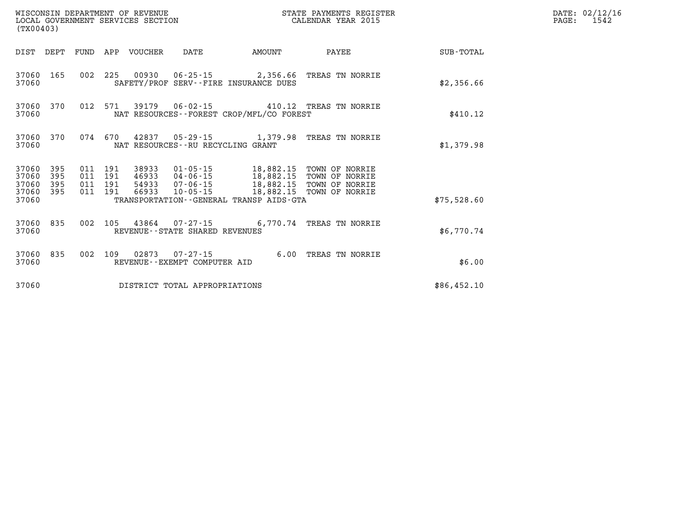| WISCONSIN DEPARTMENT OF REVENUE<br>LOCAL GOVERNMENT SERVICES SECTION<br>(TX00403) |            |                                          |         |                            |                                                 |                                              | STATE PAYMENTS REGISTER<br>CALENDAR YEAR 2015                                                                                                                                 |             | DATE: 02/12/16<br>$\mathtt{PAGE}$ :<br>1542 |
|-----------------------------------------------------------------------------------|------------|------------------------------------------|---------|----------------------------|-------------------------------------------------|----------------------------------------------|-------------------------------------------------------------------------------------------------------------------------------------------------------------------------------|-------------|---------------------------------------------|
|                                                                                   |            |                                          |         | DIST DEPT FUND APP VOUCHER | DATE                                            | AMOUNT                                       | PAYEE                                                                                                                                                                         | SUB-TOTAL   |                                             |
| 37060                                                                             | 37060 165  |                                          |         |                            |                                                 | SAFETY/PROF SERV--FIRE INSURANCE DUES        | 002 225 00930 06-25-15 2,356.66 TREAS TN NORRIE                                                                                                                               | \$2,356.66  |                                             |
| 37060                                                                             | 37060 370  |                                          |         |                            |                                                 | NAT RESOURCES - - FOREST CROP/MFL/CO FOREST  | 012 571 39179 06-02-15 410.12 TREAS TN NORRIE                                                                                                                                 | \$410.12    |                                             |
| 37060                                                                             | 37060 370  |                                          |         |                            | NAT RESOURCES--RU RECYCLING GRANT               |                                              | 074  670  42837  05-29-15  1,379.98  TREAS TN NORRIE                                                                                                                          | \$1,379.98  |                                             |
| 37060 395<br>37060<br>37060<br>37060 395                                          | 395<br>395 | 011 191<br>011 191<br>011 191<br>011 191 |         | 66933                      |                                                 |                                              | 38933  01-05-15   18,882.15   TOWN OF NORRIE<br>46933  04-06-15  18,882.15  TOWN OF NORRIE<br>54933  07-06-15  18,882.15  TOWN OF NORRIE<br>10-05-15 18,882.15 TOWN OF NORRIE |             |                                             |
| 37060                                                                             |            |                                          |         |                            |                                                 | TRANSPORTATION - - GENERAL TRANSP AIDS - GTA |                                                                                                                                                                               | \$75,528.60 |                                             |
| 37060 835<br>37060                                                                |            |                                          |         |                            | REVENUE--STATE SHARED REVENUES                  |                                              | 002 105 43864 07-27-15 6,770.74 TREAS TN NORRIE                                                                                                                               | \$6,770.74  |                                             |
| 37060                                                                             | 37060 835  |                                          | 002 109 |                            | 02873  07-27-15<br>REVENUE--EXEMPT COMPUTER AID |                                              | 6.00 TREAS TN NORRIE                                                                                                                                                          | \$6.00      |                                             |
| 37060                                                                             |            |                                          |         |                            | DISTRICT TOTAL APPROPRIATIONS                   |                                              |                                                                                                                                                                               | \$86,452.10 |                                             |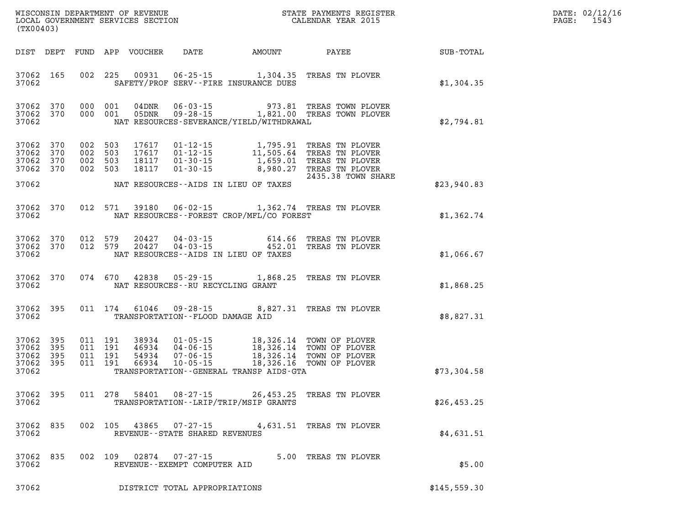| DATE: | 02/12/16 |
|-------|----------|
| PAGE: | 1543     |

| (TX00403)                                                    |               |                                                            |                                                                                                                                                                                                                                                     | WISCONSIN DEPARTMENT OF REVENUE<br>LOCAL GOVERNMENT SERVICES SECTION<br>(TWO0403) | DATE: 02/12/1<br>1543<br>$\mathtt{PAGE}$ : |
|--------------------------------------------------------------|---------------|------------------------------------------------------------|-----------------------------------------------------------------------------------------------------------------------------------------------------------------------------------------------------------------------------------------------------|-----------------------------------------------------------------------------------|--------------------------------------------|
|                                                              |               |                                                            |                                                                                                                                                                                                                                                     |                                                                                   |                                            |
| 37062                                                        |               | SAFETY/PROF SERV--FIRE INSURANCE DUES                      | 37062 165 002 225 00931 06-25-15 1,304.35 TREAS TN PLOVER                                                                                                                                                                                           | \$1,304.35                                                                        |                                            |
| 37062 370<br>37062 370<br>37062                              |               | NAT RESOURCES-SEVERANCE/YIELD/WITHDRAWAL                   | $0.00$ $0.01$ $0.4$ $0.01$ $0.05$ $0.09$ $0.09$ $0.01$ $0.09$ $0.09$ $0.01$ $0.09$ $0.09$ $0.09$ $0.09$ $0.09$ $0.09$ $0.09$ $0.09$ $0.09$ $0.09$ $0.09$ $0.09$ $0.09$ $0.09$ $0.09$ $0.09$ $0.09$ $0.09$ $0.09$ $0.09$ $0.09$                      | \$2,794.81                                                                        |                                            |
| 37062 370<br>37062 370<br>37062<br>370<br>37062 370<br>37062 |               | NAT RESOURCES--AIDS IN LIEU OF TAXES                       | 002 503 17617 01-12-15 1,795.91 TREAS TN PLOVER<br>002 503 17617 01-12-15 11,505.64 TREAS TN PLOVER<br>002 503 18117 01-30-15 1,659.01 TREAS TN PLOVER<br>002 503 18117 01-30-15 8,980.27 TREAS TN PLOVER<br>2435.38 TOWN SHA<br>2435.38 TOWN SHARE | \$23,940.83                                                                       |                                            |
| 37062 370<br>37062                                           |               | NAT RESOURCES--FOREST CROP/MFL/CO FOREST                   | 012 571 39180 06-02-15 1,362.74 TREAS TN PLOVER                                                                                                                                                                                                     | \$1,362.74                                                                        |                                            |
| 37062 370<br>37062 370<br>37062                              |               | NAT RESOURCES--AIDS IN LIEU OF TAXES                       | 012 579 20427 04-03-15 614.66 TREAS TN PLOVER<br>012 579 20427 04-03-15 452.01 TREAS TN PLOVER                                                                                                                                                      | \$1,066.67                                                                        |                                            |
| 37062                                                        |               | NAT RESOURCES--RU RECYCLING GRANT                          | 37062 370 074 670 42838 05-29-15 1,868.25 TREAS TN PLOVER                                                                                                                                                                                           | \$1,868.25                                                                        |                                            |
| 37062                                                        |               | TRANSPORTATION--FLOOD DAMAGE AID                           | 37062 395 011 174 61046 09-28-15 8,827.31 TREAS TN PLOVER                                                                                                                                                                                           | \$8,827.31                                                                        |                                            |
| 37062 395<br>37062<br>395<br>37062 395<br>37062 395<br>37062 |               | TRANSPORTATION - - GENERAL TRANSP AIDS - GTA               |                                                                                                                                                                                                                                                     | \$73,304.58                                                                       |                                            |
| 37062 395 011 278 58401<br>37062                             |               | $08 - 27 - 15$<br>TRANSPORTATION - - LRIP/TRIP/MSIP GRANTS | 26,453.25 TREAS TN PLOVER                                                                                                                                                                                                                           | \$26,453.25                                                                       |                                            |
| 835<br>37062<br>37062                                        | 002 105       | 43865 07-27-15<br>REVENUE - - STATE SHARED REVENUES        | 4,631.51 TREAS TN PLOVER                                                                                                                                                                                                                            | \$4,631.51                                                                        |                                            |
| 37062<br>835<br>37062                                        | 002 109 02874 | $07 - 27 - 15$<br>REVENUE - - EXEMPT COMPUTER AID          | 5.00 TREAS TN PLOVER                                                                                                                                                                                                                                | \$5.00                                                                            |                                            |
| 37062                                                        |               | DISTRICT TOTAL APPROPRIATIONS                              |                                                                                                                                                                                                                                                     | \$145,559.30                                                                      |                                            |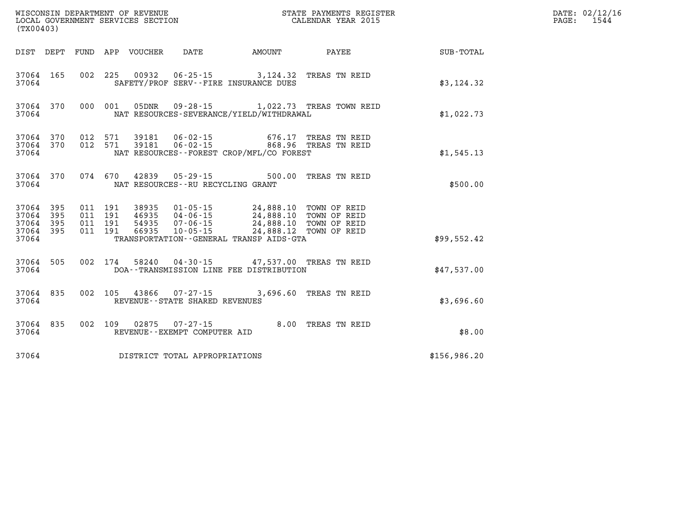| (TX00403)                       |                        |                               |         |                                                          |                                                                                                                                         |                                                 |              | DATE: 02/12/16<br>1544<br>$\mathtt{PAGE}$ : |
|---------------------------------|------------------------|-------------------------------|---------|----------------------------------------------------------|-----------------------------------------------------------------------------------------------------------------------------------------|-------------------------------------------------|--------------|---------------------------------------------|
|                                 |                        |                               |         |                                                          |                                                                                                                                         | DIST DEPT FUND APP VOUCHER DATE AMOUNT PAYEE    | SUB-TOTAL    |                                             |
| 37064                           | 37064 165              |                               |         |                                                          | 002 225 00932 06-25-15 3,124.32 TREAS TN REID<br>SAFETY/PROF SERV--FIRE INSURANCE DUES                                                  |                                                 | \$3,124.32   |                                             |
| 37064                           | 37064 370              |                               |         |                                                          | NAT RESOURCES-SEVERANCE/YIELD/WITHDRAWAL                                                                                                | 000 001 05DNR 09-28-15 1,022.73 TREAS TOWN REID | \$1,022.73   |                                             |
| 37064                           | 37064 370              | 37064 370 012 571             |         |                                                          | 012 571 39181 06-02-15 676.17 TREAS TNREID<br>012 571 39181 06-02-15 868.96 TREAS TNREID<br>NAT RESOURCES - - FOREST CROP/MFL/CO FOREST |                                                 | \$1,545.13   |                                             |
| 37064                           | 37064 370              |                               |         |                                                          | 074 670 42839 05-29-15 500.00 TREAS TN REID<br>NAT RESOURCES--RU RECYCLING GRANT                                                        |                                                 | \$500.00     |                                             |
| 37064 395<br>37064 395<br>37064 | 37064 395<br>37064 395 | 011 191<br>011 191<br>011 191 | 011 191 |                                                          | TRANSPORTATION--GENERAL TRANSP AIDS-GTA                                                                                                 |                                                 | \$99,552.42  |                                             |
| 37064                           | 37064 505              |                               |         |                                                          | 002 174 58240 04-30-15 47,537.00 TREAS TN REID<br>DOA--TRANSMISSION LINE FEE DISTRIBUTION                                               |                                                 | \$47,537.00  |                                             |
|                                 | 37064 835<br>37064     |                               |         | 002 105 43866 07-27-15<br>REVENUE--STATE SHARED REVENUES |                                                                                                                                         | 3,696.60 TREAS TN REID                          | \$3,696.60   |                                             |
| 37064                           | 37064 835              |                               |         | REVENUE--EXEMPT COMPUTER AID                             | 002 109 02875 07-27-15 8.00 TREAS TN REID                                                                                               |                                                 | \$8.00       |                                             |
| 37064                           |                        |                               |         | DISTRICT TOTAL APPROPRIATIONS                            |                                                                                                                                         |                                                 | \$156,986.20 |                                             |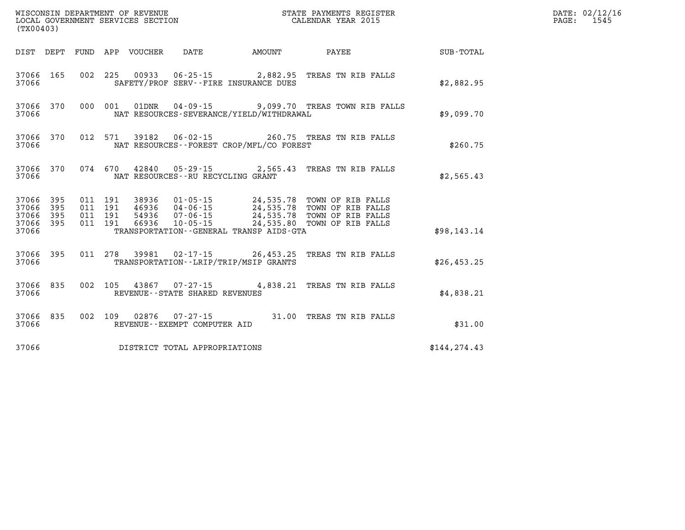| WISCONSIN DEPARTMENT OF REVENUE<br>LOCAL GOVERNMENT SERVICES SECTION<br>CALENDAR YEAR 2015<br>(TX00403) |  |           |  |  |                                       |                                              |                                                                |                                                              | DATE: 02/12/16<br>PAGE: 1545 |
|---------------------------------------------------------------------------------------------------------|--|-----------|--|--|---------------------------------------|----------------------------------------------|----------------------------------------------------------------|--------------------------------------------------------------|------------------------------|
|                                                                                                         |  |           |  |  |                                       |                                              |                                                                | DIST DEPT FUND APP VOUCHER DATE AMOUNT PAYEE PAYER SUB-TOTAL |                              |
|                                                                                                         |  | 37066 200 |  |  |                                       | SAFETY/PROF SERV--FIRE INSURANCE DUES        | 37066 165 002 225 00933 06-25-15 2,882.95 TREAS TN RIB FALLS   | \$2,882.95                                                   |                              |
| 37066                                                                                                   |  |           |  |  |                                       | NAT RESOURCES-SEVERANCE/YIELD/WITHDRAWAL     | 37066 370 000 001 01DNR 04-09-15 9,099.70 TREAS TOWN RIB FALLS | \$9,099.70                                                   |                              |
| 37066                                                                                                   |  |           |  |  |                                       | NAT RESOURCES--FOREST CROP/MFL/CO FOREST     | 37066 370 012 571 39182 06-02-15 260.75 TREAS TN RIB FALLS     | \$260.75                                                     |                              |
|                                                                                                         |  | 37066 200 |  |  | NAT RESOURCES -- RU RECYCLING GRANT   |                                              | 37066 370 074 670 42840 05-29-15 2,565.43 TREAS TN RIB FALLS   | \$2,565.43                                                   |                              |
|                                                                                                         |  |           |  |  |                                       |                                              |                                                                |                                                              |                              |
| 37066                                                                                                   |  |           |  |  |                                       | TRANSPORTATION - GENERAL TRANSP AIDS-GTA     |                                                                | \$98,143.14                                                  |                              |
|                                                                                                         |  |           |  |  |                                       | 37066 TRANSPORTATION - LRIP/TRIP/MSIP GRANTS | 37066 395 011 278 39981 02-17-15 26,453.25 TREAS TN RIB FALLS  | \$26,453.25                                                  |                              |
|                                                                                                         |  |           |  |  | 37066 REVENUE - STATE SHARED REVENUES |                                              | 37066 835 002 105 43867 07-27-15 4,838.21 TREAS TN RIB FALLS   | \$4,838.21                                                   |                              |
|                                                                                                         |  |           |  |  | 37066 REVENUE - - EXEMPT COMPUTER AID |                                              | 37066 835 002 109 02876 07-27-15 31.00 TREAS TN RIB FALLS      | \$31.00                                                      |                              |
|                                                                                                         |  |           |  |  | 37066 DISTRICT TOTAL APPROPRIATIONS   |                                              |                                                                | \$144, 274.43                                                |                              |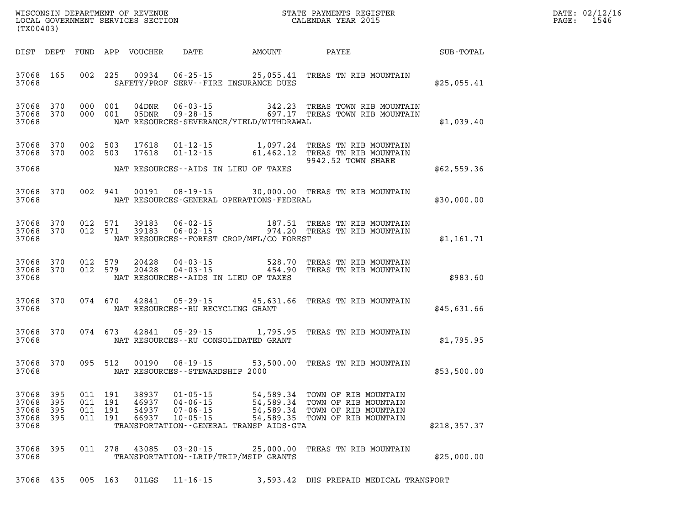| DATE: | 02/12/16 |
|-------|----------|
| PAGE: | 1546     |

| (TX00403)                                    |           |                   |                               |                         |                                        |                                              |                                                                                                                                                                       | $\mathbb{R}^n$ | DATE: 02/12/1<br>$\mathtt{PAGE:}$<br>1546 |
|----------------------------------------------|-----------|-------------------|-------------------------------|-------------------------|----------------------------------------|----------------------------------------------|-----------------------------------------------------------------------------------------------------------------------------------------------------------------------|----------------|-------------------------------------------|
|                                              |           |                   |                               |                         |                                        |                                              |                                                                                                                                                                       |                |                                           |
| 37068                                        |           |                   |                               |                         |                                        | SAFETY/PROF SERV--FIRE INSURANCE DUES        | 37068 165 002 225 00934 06-25-15 25,055.41 TREAS TN RIB MOUNTAIN                                                                                                      | \$25,055.41    |                                           |
| 37068 370<br>37068                           | 37068 370 |                   |                               |                         |                                        | NAT RESOURCES-SEVERANCE/YIELD/WITHDRAWAL     | 000 001 04DNR 06-03-15 342.23 TREAS TOWN RIB MOUNTAIN<br>000 001 05DNR 09-28-15 697.17 TREAS TOWN RIB MOUNTAIN                                                        | \$1,039.40     |                                           |
| 37068 370<br>37068 370                       |           |                   |                               |                         |                                        |                                              | 002 503 17618 01-12-15 1,097.24 TREAS TN RIB MOUNTAIN<br>002 503 17618 01-12-15 61,462.12 TREAS TN RIB MOUNTAIN<br>9942.52 TOWN SHARE                                 | \$62,559.36    |                                           |
| 37068                                        |           |                   |                               |                         |                                        | NAT RESOURCES-GENERAL OPERATIONS-FEDERAL     | 37068 370 002 941 00191 08-19-15 30,000.00 TREAS TN RIB MOUNTAIN                                                                                                      | \$30,000.00    |                                           |
| 37068 370<br>37068 370<br>37068              |           |                   |                               |                         |                                        | NAT RESOURCES--FOREST CROP/MFL/CO FOREST     | 012 571 39183 06-02-15 187.51 TREAS TN RIB MOUNTAIN<br>012 571 39183 06-02-15 974.20 TREAS TN RIB MOUNTAIN                                                            | \$1,161.71     |                                           |
| 37068                                        |           |                   |                               |                         |                                        | NAT RESOURCES--AIDS IN LIEU OF TAXES         | 37068 370 012 579 20428 04-03-15 528.70 TREAS TN RIB MOUNTAIN<br>37068 370 012 579 20428 04-03-15 454.90 TREAS TN RIB MOUNTAIN                                        | \$983.60       |                                           |
| 37068                                        |           |                   |                               |                         | NAT RESOURCES--RU RECYCLING GRANT      |                                              | 37068 370 074 670 42841 05-29-15 45,631.66 TREAS TN RIB MOUNTAIN                                                                                                      | \$45,631.66    |                                           |
|                                              |           |                   |                               |                         |                                        | 37068 NAT RESOURCES--RU CONSOLIDATED GRANT   | 37068 370 074 673 42841 05-29-15 1,795.95 TREAS TN RIB MOUNTAIN                                                                                                       | \$1,795.95     |                                           |
|                                              |           | 37068 370 095 512 |                               |                         |                                        | 37068 NAT RESOURCES - STEWARDSHIP 2000       | 00190  08-19-15  53,500.00  TREAS  TN RIB MOUNTAIN                                                                                                                    | \$53,500.00    |                                           |
| 37068 395<br>37068 395<br>37068 395<br>37068 |           |                   | 011 191<br>011 191<br>011 191 | 46937<br>54937<br>66937 | 04-06-15<br>07-06-15<br>$10 - 05 - 15$ | TRANSPORTATION - - GENERAL TRANSP AIDS - GTA | 37068 395 011 191 38937 01-05-15 54,589.34 TOWN OF RIB MOUNTAIN<br>54,589.34 TOWN OF RIB MOUNTAIN<br>54,589.34 TOWN OF RIB MOUNTAIN<br>54,589.35 TOWN OF RIB MOUNTAIN | \$218,357.37   |                                           |
| 37068 395<br>37068                           |           |                   |                               |                         | 011 278 43085 03-20-15                 | TRANSPORTATION - - LRIP/TRIP/MSIP GRANTS     | 25,000.00 TREAS TN RIB MOUNTAIN                                                                                                                                       | \$25,000.00    |                                           |
| 37068 435                                    |           |                   | 005 163                       | 01LGS                   | 11-16-15                               |                                              | 3,593.42 DHS PREPAID MEDICAL TRANSPORT                                                                                                                                |                |                                           |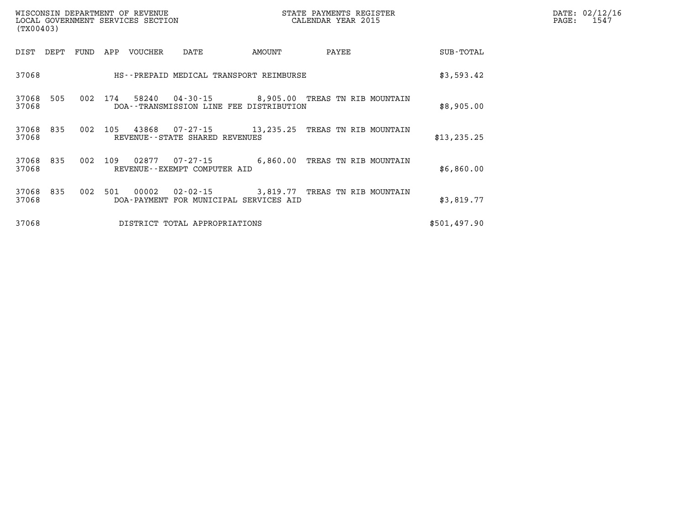| (TX00403)                    | WISCONSIN DEPARTMENT OF REVENUE<br>LOCAL GOVERNMENT SERVICES SECTION | STATE PAYMENTS REGISTER<br>CALENDAR YEAR 2015 |              | DATE: 02/12/16<br>$\mathtt{PAGE:}$<br>1547 |
|------------------------------|----------------------------------------------------------------------|-----------------------------------------------|--------------|--------------------------------------------|
| FUND<br>DIST<br>DEPT         | APP<br>VOUCHER<br>DATE                                               | AMOUNT<br>PAYEE                               | SUB-TOTAL    |                                            |
| 37068                        | HS--PREPAID MEDICAL TRANSPORT REIMBURSE                              |                                               | \$3,593.42   |                                            |
| 37068<br>505<br>002<br>37068 | 58240<br>174<br>DOA--TRANSMISSION LINE FEE DISTRIBUTION              | 04-30-15 8,905.00 TREAS TN RIB MOUNTAIN       | \$8,905.00   |                                            |
| 37068 835<br>002<br>37068    | 43868<br>105<br>REVENUE--STATE SHARED REVENUES                       |                                               | \$13, 235.25 |                                            |
| 37068 835<br>002<br>37068    | 02877<br>109<br>07-27-15<br>REVENUE--EXEMPT COMPUTER AID             | 6,860.00<br>TREAS TN RIB MOUNTAIN             | \$6,860.00   |                                            |
| 002<br>37068 835<br>37068    | 00002<br>501<br>DOA-PAYMENT FOR MUNICIPAL SERVICES AID               | 02-02-15 3,819.77 TREAS TN RIB MOUNTAIN       | \$3,819.77   |                                            |
| 37068                        | DISTRICT TOTAL APPROPRIATIONS                                        |                                               | \$501,497.90 |                                            |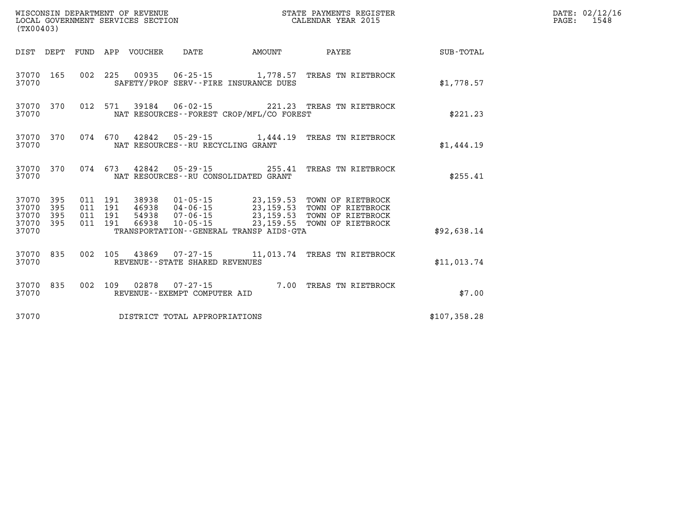| (TX00403)              |                        |  |  |                                 |                                     |                                          |                                                                                                                                                                                                                      |              | DATE: 02/12/16<br>PAGE:<br>1548 |
|------------------------|------------------------|--|--|---------------------------------|-------------------------------------|------------------------------------------|----------------------------------------------------------------------------------------------------------------------------------------------------------------------------------------------------------------------|--------------|---------------------------------|
|                        |                        |  |  | DIST DEPT FUND APP VOUCHER DATE |                                     | <b>AMOUNT</b>                            | <b>PAYEE</b>                                                                                                                                                                                                         | SUB-TOTAL    |                                 |
| 37070 165<br>37070     |                        |  |  |                                 |                                     | SAFETY/PROF SERV--FIRE INSURANCE DUES    | 002 225 00935 06-25-15 1,778.57 TREAS TN RIETBROCK                                                                                                                                                                   | \$1,778.57   |                                 |
| 37070                  | 37070 370              |  |  |                                 |                                     | NAT RESOURCES--FOREST CROP/MFL/CO FOREST | 012 571 39184 06-02-15 221.23 TREAS TN RIETBROCK                                                                                                                                                                     | \$221.23     |                                 |
| 37070                  |                        |  |  |                                 | NAT RESOURCES -- RU RECYCLING GRANT |                                          | 37070 370 074 670 42842 05-29-15 1,444.19 TREAS TN RIETBROCK                                                                                                                                                         | \$1,444.19   |                                 |
| 37070                  |                        |  |  |                                 |                                     | NAT RESOURCES--RU CONSOLIDATED GRANT     | 37070 370 074 673 42842 05-29-15 255.41 TREAS TN RIETBROCK                                                                                                                                                           | \$255.41     |                                 |
| 37070 395<br>37070 395 | 37070 395<br>37070 395 |  |  |                                 |                                     |                                          | 011 191 38938 01-05-15 23,159.53 TOWN OF RIETBROCK<br>011 191 46938 04-06-15 23,159.53 TOWN OF RIETBROCK<br>011 191 54938 07-06-15 23,159.53 TOWN OF RIETBROCK<br>011 191 66938 10-05-15 23,159.55 TOWN OF RIETBROCK |              |                                 |
| 37070                  |                        |  |  |                                 |                                     | TRANSPORTATION--GENERAL TRANSP AIDS-GTA  |                                                                                                                                                                                                                      | \$92,638.14  |                                 |
| 37070                  |                        |  |  |                                 | REVENUE--STATE SHARED REVENUES      |                                          | 37070 835 002 105 43869 07-27-15 11,013.74 TREAS TN RIETBROCK                                                                                                                                                        | \$11,013.74  |                                 |
| 37070                  | 37070 835              |  |  |                                 | REVENUE--EXEMPT COMPUTER AID        |                                          | 002 109 02878 07-27-15 7.00 TREAS TN RIETBROCK                                                                                                                                                                       | \$7.00       |                                 |
| 37070                  |                        |  |  |                                 | DISTRICT TOTAL APPROPRIATIONS       |                                          |                                                                                                                                                                                                                      | \$107,358.28 |                                 |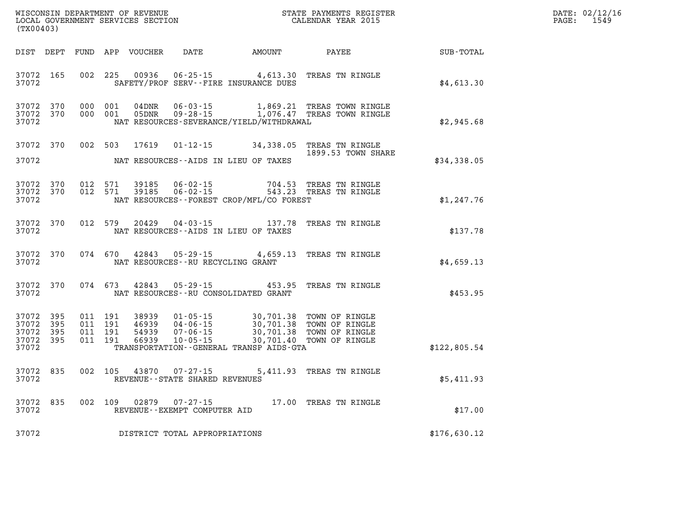| DATE: | 02/12/16 |
|-------|----------|
| PAGE: | 1549     |

|                                                           | LOCAL GOVERNMENT SERVICES SECTION<br>(TX00403) |  |  |               | CALENDAR YEAR 2015                  |                                              | PAGE:                                                                                                  | 1549                                                                      |  |  |
|-----------------------------------------------------------|------------------------------------------------|--|--|---------------|-------------------------------------|----------------------------------------------|--------------------------------------------------------------------------------------------------------|---------------------------------------------------------------------------|--|--|
|                                                           |                                                |  |  |               |                                     |                                              |                                                                                                        | DIST DEPT FUND APP VOUCHER DATE AMOUNT PAYEE SUB-TOTAL                    |  |  |
| 37072                                                     | 37072 165                                      |  |  |               |                                     | SAFETY/PROF SERV--FIRE INSURANCE DUES        | 002 225 00936 06-25-15 4,613.30 TREAS TN RINGLE                                                        | \$4,613.30                                                                |  |  |
| 37072 370<br>37072                                        | 37072 370                                      |  |  |               |                                     | NAT RESOURCES-SEVERANCE/YIELD/WITHDRAWAL     | 000 001 04DNR 06-03-15 1,869.21 TREAS TOWN RINGLE<br>000 001 05DNR 09-28-15 1,076.47 TREAS TOWN RINGLE | \$2,945.68                                                                |  |  |
| 37072 370<br>37072                                        |                                                |  |  |               |                                     | NAT RESOURCES--AIDS IN LIEU OF TAXES         | 002 503 17619 01-12-15 34,338.05 TREAS TN RINGLE<br>1899.53 TOWN SHARE                                 | \$34,338.05                                                               |  |  |
| 37072 370<br>37072                                        | 37072 370                                      |  |  |               |                                     | NAT RESOURCES--FOREST CROP/MFL/CO FOREST     | 012 571 39185 06-02-15 704.53 TREAS TN RINGLE<br>012 571 39185 06-02-15 543.23 TREAS TN RINGLE         | \$1,247.76                                                                |  |  |
| 37072                                                     | 37072 370                                      |  |  |               |                                     |                                              |                                                                                                        | 012 579 20429 04-03-15 137.78 TREAS TN RINGLE<br>\$137.78 PREAS TN RINGLE |  |  |
| 37072                                                     | 37072 370                                      |  |  | 074 670 42843 |                                     | NAT RESOURCES -- RU RECYCLING GRANT          | 05-29-15 4,659.13 TREAS TN RINGLE                                                                      | \$4,659.13                                                                |  |  |
| 37072                                                     | 37072 370                                      |  |  |               |                                     | NAT RESOURCES - - RU CONSOLIDATED GRANT      | 074 673 42843 05-29-15 453.95 TREAS TN RINGLE                                                          | \$453.95                                                                  |  |  |
| 37072 395<br>37072 395<br>37072 395<br>37072 395<br>37072 |                                                |  |  |               |                                     | TRANSPORTATION - - GENERAL TRANSP AIDS - GTA |                                                                                                        | \$122,805.54                                                              |  |  |
| 37072                                                     | 37072 835                                      |  |  |               | REVENUE--STATE SHARED REVENUES      |                                              | 002 105 43870 07-27-15 5,411.93 TREAS TN RINGLE                                                        | \$5,411.93                                                                |  |  |
| 37072 835<br>37072                                        |                                                |  |  |               | REVENUE--EXEMPT COMPUTER AID        |                                              | 002 109 02879 07-27-15 17.00 TREAS TN RINGLE                                                           | \$17.00                                                                   |  |  |
|                                                           |                                                |  |  |               | 37072 DISTRICT TOTAL APPROPRIATIONS |                                              |                                                                                                        | \$176,630.12                                                              |  |  |

WISCONSIN DEPARTMENT OF REVENUE **STATE PAYMENTS REGISTER**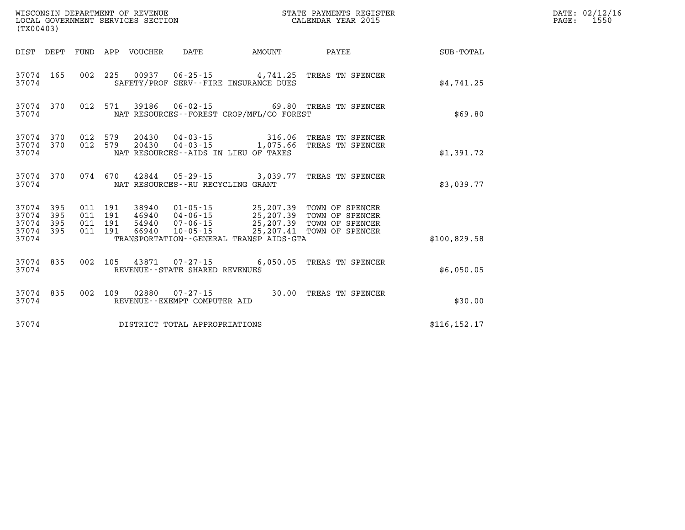| WISCONSIN DEPARTMENT OF REVENUE<br>LOCAL GOVERNMENT SERVICES SECTION<br>(TX00403) |           |                               |         |                            |                                                        |                                             | STATE PAYMENTS REGISTER<br>CALENDAR YEAR 2015                                                                                                                                            |               | DATE: 02/12/16<br>$\mathtt{PAGE:}$<br>1550 |
|-----------------------------------------------------------------------------------|-----------|-------------------------------|---------|----------------------------|--------------------------------------------------------|---------------------------------------------|------------------------------------------------------------------------------------------------------------------------------------------------------------------------------------------|---------------|--------------------------------------------|
|                                                                                   |           |                               |         | DIST DEPT FUND APP VOUCHER | DATE                                                   | AMOUNT                                      | PAYEE                                                                                                                                                                                    | SUB-TOTAL     |                                            |
| 37074                                                                             | 37074 165 |                               |         |                            |                                                        | SAFETY/PROF SERV--FIRE INSURANCE DUES       | 002 225 00937 06-25-15 4,741.25 TREAS TN SPENCER                                                                                                                                         | \$4,741.25    |                                            |
| 37074                                                                             | 37074 370 |                               |         |                            |                                                        | NAT RESOURCES - - FOREST CROP/MFL/CO FOREST | 012 571 39186 06-02-15 69.80 TREAS TN SPENCER                                                                                                                                            | \$69.80       |                                            |
| 37074                                                                             | 37074 370 | 37074 370 012 579             |         |                            |                                                        | NAT RESOURCES--AIDS IN LIEU OF TAXES        | 012 579 20430 04-03-15 316.06 TREAS TN SPENCER<br>012 579 20430 04-03-15 1,075.66 TREAS TN SPENCER                                                                                       | \$1,391.72    |                                            |
| 37074                                                                             |           |                               |         |                            | NAT RESOURCES - - RU RECYCLING GRANT                   |                                             | 37074 370 074 670 42844 05-29-15 3,039.77 TREAS TN SPENCER                                                                                                                               | \$3,039.77    |                                            |
| 37074 395<br>37074 395<br>37074 395                                               | 37074 395 | 011 191<br>011 191<br>011 191 | 011 191 |                            |                                                        |                                             | 38940  01-05-15  25,207.39  TOWN OF SPENCER<br>46940  04-06-15  25,207.39  TOWN OF SPENCER<br>54940  07-06-15  25,207.39  TOWN OF SPENCER<br>66940  10-05-15  25,207.41  TOWN OF SPENCER |               |                                            |
| 37074                                                                             |           |                               |         |                            |                                                        | TRANSPORTATION--GENERAL TRANSP AIDS-GTA     |                                                                                                                                                                                          | \$100,829.58  |                                            |
| 37074                                                                             | 37074 835 |                               |         |                            | REVENUE - - STATE SHARED REVENUES                      |                                             | 002 105 43871 07-27-15 6,050.05 TREAS TN SPENCER                                                                                                                                         | \$6,050.05    |                                            |
| 37074                                                                             | 37074 835 |                               |         |                            | 002 109 02880 07-27-15<br>REVENUE--EXEMPT COMPUTER AID |                                             | 30.00 TREAS TN SPENCER                                                                                                                                                                   | \$30.00       |                                            |
| 37074                                                                             |           |                               |         |                            | DISTRICT TOTAL APPROPRIATIONS                          |                                             |                                                                                                                                                                                          | \$116, 152.17 |                                            |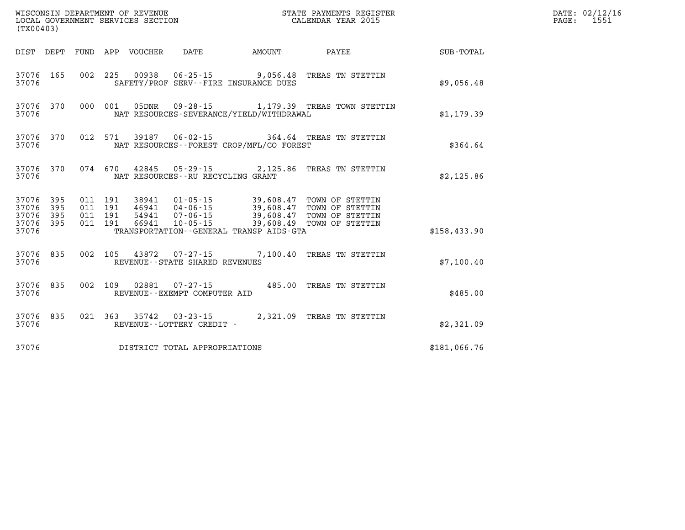| (TX00403)                           |           |                    |         | WISCONSIN DEPARTMENT OF REVENUE<br>LOCAL GOVERNMENT SERVICES SECTION |                                          | STATE PAYMENTS REGISTER<br>CALENDAR YEAR 2015                                                                                                                                            |              | DATE: 02/12/16<br>1551<br>$\mathtt{PAGE}$ : |
|-------------------------------------|-----------|--------------------|---------|----------------------------------------------------------------------|------------------------------------------|------------------------------------------------------------------------------------------------------------------------------------------------------------------------------------------|--------------|---------------------------------------------|
|                                     |           |                    |         |                                                                      | DIST DEPT FUND APP VOUCHER DATE AMOUNT   | <b>PAYEE</b>                                                                                                                                                                             | SUB-TOTAL    |                                             |
| 37076                               | 37076 165 |                    |         |                                                                      | SAFETY/PROF SERV--FIRE INSURANCE DUES    | 002 225 00938 06-25-15 9,056.48 TREAS TN STETTIN                                                                                                                                         | \$9,056.48   |                                             |
| 37076                               |           |                    |         |                                                                      | NAT RESOURCES-SEVERANCE/YIELD/WITHDRAWAL | 37076 370 000 001 05DNR 09-28-15 1,179.39 TREAS TOWN STETTIN                                                                                                                             | \$1,179.39   |                                             |
| 37076                               | 37076 370 |                    |         |                                                                      | NAT RESOURCES--FOREST CROP/MFL/CO FOREST | 012 571 39187 06-02-15 364.64 TREAS TN STETTIN                                                                                                                                           | \$364.64     |                                             |
| 37076                               | 37076 370 |                    |         |                                                                      | NAT RESOURCES -- RU RECYCLING GRANT      | 074 670 42845 05-29-15 2,125.86 TREAS TN STETTIN                                                                                                                                         | \$2,125.86   |                                             |
| 37076 395<br>37076 395<br>37076 395 |           | 011 191<br>011 191 | 011 191 |                                                                      |                                          | 38941  01-05-15  39,608.47  TOWN OF STETTIN<br>46941  04-06-15  39,608.47  TOWN OF STETTIN<br>54941  07-06-15  39,608.47  TOWN OF STETTIN<br>66941  10-05-15  39,608.49  TOWN OF STETTIN |              |                                             |
| 37076                               | 37076 395 | 011 191            |         |                                                                      | TRANSPORTATION--GENERAL TRANSP AIDS-GTA  |                                                                                                                                                                                          | \$158,433.90 |                                             |
| 37076                               |           |                    |         | REVENUE - - STATE SHARED REVENUES                                    |                                          | 37076 835 002 105 43872 07-27-15 7,100.40 TREAS TN STETTIN                                                                                                                               | \$7,100.40   |                                             |
| 37076                               | 37076 835 |                    |         | REVENUE--EXEMPT COMPUTER AID                                         |                                          | 002 109 02881 07-27-15 485.00 TREAS TN STETTIN                                                                                                                                           | \$485.00     |                                             |
| 37076                               | 37076 835 |                    |         | REVENUE - - LOTTERY CREDIT -                                         |                                          | 021 363 35742 03-23-15 2,321.09 TREAS TN STETTIN                                                                                                                                         | \$2,321.09   |                                             |
| 37076                               |           |                    |         | DISTRICT TOTAL APPROPRIATIONS                                        |                                          |                                                                                                                                                                                          | \$181,066.76 |                                             |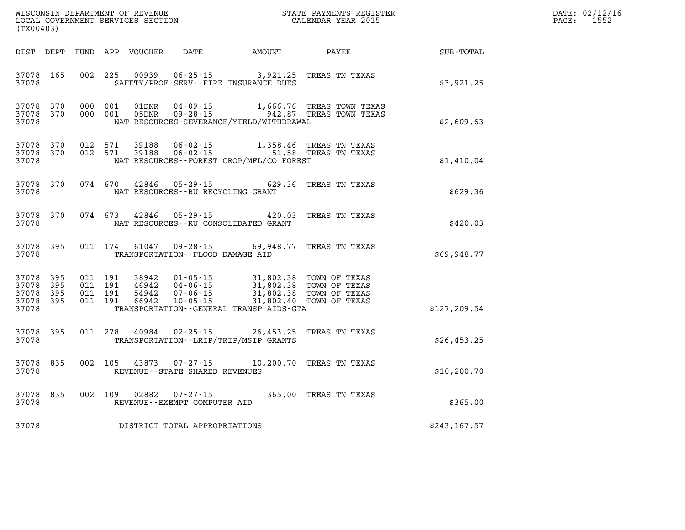| (TX00403)                                         |                   |                                          |         | WISCONSIN DEPARTMENT OF REVENUE<br>LOCAL GOVERNMENT SERVICES SECTION |                                   |                                                               | STATE PAYMENTS REGISTER<br>CALENDAR YEAR 2015                                                                                                                                                                   |               | DATE: 02/12/16<br>PAGE: 1552 |
|---------------------------------------------------|-------------------|------------------------------------------|---------|----------------------------------------------------------------------|-----------------------------------|---------------------------------------------------------------|-----------------------------------------------------------------------------------------------------------------------------------------------------------------------------------------------------------------|---------------|------------------------------|
|                                                   |                   |                                          |         |                                                                      |                                   | DIST DEPT FUND APP VOUCHER DATE AMOUNT                        | PAYEE                                                                                                                                                                                                           | SUB-TOTAL     |                              |
| 37078 165<br>37078                                |                   |                                          |         | 002 225 00939                                                        |                                   | SAFETY/PROF SERV--FIRE INSURANCE DUES                         | 06-25-15 3,921.25 TREAS TN TEXAS                                                                                                                                                                                | \$3,921.25    |                              |
| 37078 370<br>37078                                | 37078 370 000 001 | 000 001                                  |         | 01DNR                                                                |                                   | NAT RESOURCES-SEVERANCE/YIELD/WITHDRAWAL                      | 01DNR  04-09-15   1,666.76 TREAS TOWN TEXAS<br>05DNR  09-28-15   942.87 TREAS TOWN TEXAS                                                                                                                        | \$2,609.63    |                              |
| 37078 370<br>37078                                | 37078 370 012 571 | 012 571                                  |         |                                                                      |                                   | NAT RESOURCES--FOREST CROP/MFL/CO FOREST                      |                                                                                                                                                                                                                 | \$1,410.04    |                              |
| 37078                                             | 37078 370         |                                          |         |                                                                      | NAT RESOURCES--RU RECYCLING GRANT |                                                               | 074 670 42846 05-29-15 629.36 TREAS TN TEXAS                                                                                                                                                                    | \$629.36      |                              |
| 37078                                             | 37078 370         |                                          | 074 673 |                                                                      |                                   | 42846 05-29-15 420.03<br>NAT RESOURCES--RU CONSOLIDATED GRANT | TREAS TN TEXAS                                                                                                                                                                                                  | \$420.03      |                              |
| 37078                                             | 37078 395         |                                          |         | 011 174 61047                                                        | TRANSPORTATION--FLOOD DAMAGE AID  |                                                               | 09-28-15 69,948.77 TREAS TN TEXAS                                                                                                                                                                               | \$69,948.77   |                              |
| 37078 395<br>37078<br>37078<br>37078 395<br>37078 | - 395<br>- 395    | 011 191<br>011 191<br>011 191<br>011 191 |         | 66942                                                                | 10-05-15                          | TRANSPORTATION - - GENERAL TRANSP AIDS - GTA                  | 38942   01-05-15   31,802.38 TOWN OF TEXAS<br>46942   04-06-15   31,802.38 TOWN OF TEXAS<br>54942   07-06-15   31,802.38 TOWN OF TEXAS<br>66942   10-05-15   31,802.40 TOWN OF TEXAS<br>31,802.40 TOWN OF TEXAS | \$127, 209.54 |                              |
| 37078 395<br>37078                                |                   |                                          |         |                                                                      |                                   | TRANSPORTATION - - LRIP/TRIP/MSIP GRANTS                      | 011 278 40984 02-25-15 26,453.25 TREAS TN TEXAS                                                                                                                                                                 | \$26,453.25   |                              |
| 37078 835<br>37078                                |                   |                                          |         |                                                                      | REVENUE - - STATE SHARED REVENUES |                                                               | 002 105 43873 07-27-15 10,200.70 TREAS TN TEXAS                                                                                                                                                                 | \$10, 200.70  |                              |
| 37078                                             | 37078 835         |                                          |         |                                                                      | REVENUE--EXEMPT COMPUTER AID      |                                                               | 002 109 02882 07-27-15 365.00 TREAS TN TEXAS                                                                                                                                                                    | \$365.00      |                              |
| 37078                                             |                   |                                          |         |                                                                      | DISTRICT TOTAL APPROPRIATIONS     |                                                               |                                                                                                                                                                                                                 | \$243,167.57  |                              |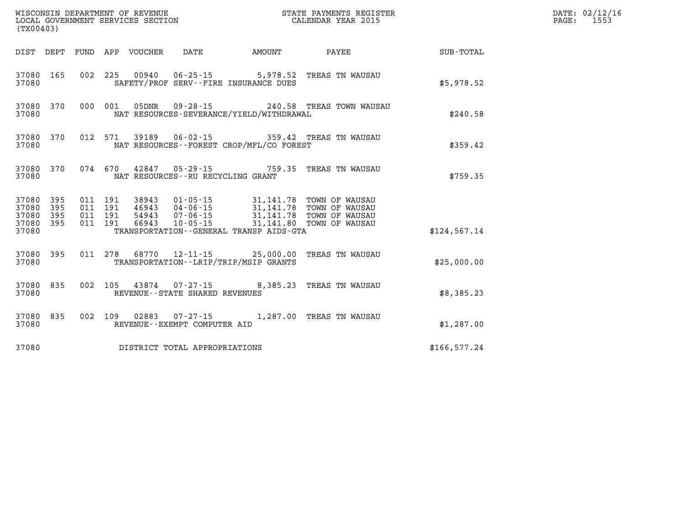| (TX00403)              |  |  |                                     |                                              |                                                                                                                                                                                                                                                                                                                                        |                                                    | DATE: 02/12/16<br>PAGE: 1553 |
|------------------------|--|--|-------------------------------------|----------------------------------------------|----------------------------------------------------------------------------------------------------------------------------------------------------------------------------------------------------------------------------------------------------------------------------------------------------------------------------------------|----------------------------------------------------|------------------------------|
|                        |  |  |                                     |                                              |                                                                                                                                                                                                                                                                                                                                        | DIST DEPT FUND APP VOUCHER DATE AMOUNT PAYEE TOTAL |                              |
| 37080 165<br>37080     |  |  |                                     | SAFETY/PROF SERV--FIRE INSURANCE DUES        | 002 225 00940 06-25-15 5,978.52 TREAS TN WAUSAU                                                                                                                                                                                                                                                                                        | \$5,978.52                                         |                              |
| 37080 370<br>37080     |  |  |                                     | NAT RESOURCES-SEVERANCE/YIELD/WITHDRAWAL     | 000 001 05DNR 09-28-15 240.58 TREAS TOWN WAUSAU                                                                                                                                                                                                                                                                                        | \$240.58                                           |                              |
| 37080 370<br>37080     |  |  |                                     | NAT RESOURCES -- FOREST CROP/MFL/CO FOREST   | 012 571 39189  06-02-15  359.42 TREAS TN WAUSAU                                                                                                                                                                                                                                                                                        | \$359.42                                           |                              |
| 37080 370<br>37080     |  |  |                                     | NAT RESOURCES - - RU RECYCLING GRANT         | 074 670 42847 05-29-15 759.35 TREAS TN WAUSAU                                                                                                                                                                                                                                                                                          | \$759.35                                           |                              |
| 37080 395<br>37080 395 |  |  |                                     |                                              | $\begin{array}{cccc} 011 & 191 & 38943 & 01\cdot 05\cdot 15 & 31,141.78 & \text{TOWN OF WAUSAU} \\ 011 & 191 & 46943 & 04\cdot 06\cdot 15 & 31,141.78 & \text{TOWN OF WAUSAU} \\ 011 & 191 & 54943 & 07\cdot 06\cdot 15 & 31,141.78 & \text{TOWN OF WAUSAU} \\ 011 & 191 & 66943 & 10\cdot 05\cdot 15 & 31,141.80 & \text{TOWN OF WAU$ |                                                    |                              |
| 37080 395<br>37080 395 |  |  |                                     |                                              |                                                                                                                                                                                                                                                                                                                                        |                                                    |                              |
| 37080                  |  |  |                                     | TRANSPORTATION - - GENERAL TRANSP AIDS - GTA |                                                                                                                                                                                                                                                                                                                                        | \$124,567.14                                       |                              |
| 37080 395<br>37080     |  |  |                                     | TRANSPORTATION - - LRIP/TRIP/MSIP GRANTS     | 011 278 68770 12-11-15 25,000.00 TREAS TN WAUSAU                                                                                                                                                                                                                                                                                       | \$25,000.00                                        |                              |
| 37080 835<br>37080     |  |  | REVENUE--STATE SHARED REVENUES      |                                              | 002 105 43874 07-27-15 8,385.23 TREAS TN WAUSAU                                                                                                                                                                                                                                                                                        | \$8,385.23                                         |                              |
| 37080 835<br>37080     |  |  | REVENUE--EXEMPT COMPUTER AID        |                                              | 002 109 02883 07-27-15 1,287.00 TREAS TN WAUSAU                                                                                                                                                                                                                                                                                        | \$1,287.00                                         |                              |
|                        |  |  | 37080 DISTRICT TOTAL APPROPRIATIONS |                                              |                                                                                                                                                                                                                                                                                                                                        | \$166,577.24                                       |                              |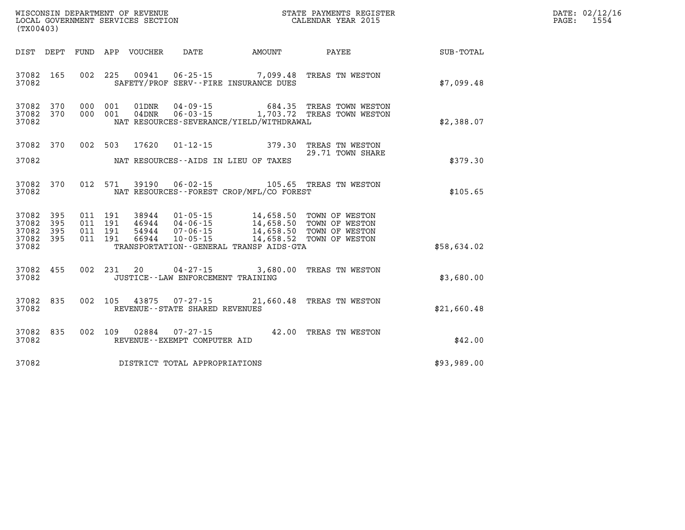| WISCONSIN DEPARTMENT OF REVENUE           | STATE PAYMENTS REGISTER | DATE: 02/12/16 |
|-------------------------------------------|-------------------------|----------------|
| LOCAL GOVERNMENT SERVICES SECTION         | CALENDAR YEAR 2015      | 1554<br>PAGE:  |
| $(mv \wedge \wedge \wedge \wedge \wedge)$ |                         |                |

| (TX00403)                                                             |                          |                                                                                |                                                    |                                                                   |                                                                                          |             |
|-----------------------------------------------------------------------|--------------------------|--------------------------------------------------------------------------------|----------------------------------------------------|-------------------------------------------------------------------|------------------------------------------------------------------------------------------|-------------|
| DIST<br>DEPT                                                          | FUND                     | APP VOUCHER DATE                                                               |                                                    | AMOUNT                                                            | PAYEE                                                                                    | SUB-TOTAL   |
| 37082<br>165<br>37082                                                 | 002                      | 225<br>00941                                                                   |                                                    | SAFETY/PROF SERV--FIRE INSURANCE DUES                             | 06-25-15 7,099.48 TREAS TN WESTON                                                        | \$7,099.48  |
| 37082<br>370<br>370<br>37082<br>37082                                 | 000<br>000               | 001<br>01DNR<br>001<br>$04$ DNR                                                |                                                    | NAT RESOURCES-SEVERANCE/YIELD/WITHDRAWAL                          | 04-09-15 684.35 TREAS TOWN WESTON<br>06-03-15 1,703.72 TREAS TOWN WESTON                 | \$2,388.07  |
| 370<br>37082                                                          |                          | 002 503<br>17620                                                               | $01 - 12 - 15$                                     | 379.30                                                            | TREAS TN WESTON<br>29.71 TOWN SHARE                                                      |             |
| 37082                                                                 |                          |                                                                                | NAT RESOURCES--AIDS IN LIEU OF TAXES               |                                                                   |                                                                                          | \$379.30    |
| 370<br>37082<br>37082                                                 | 012                      | 571                                                                            | 39190 06-02-15                                     | NAT RESOURCES - - FOREST CROP/MFL/CO FOREST                       | 105.65 TREAS TN WESTON                                                                   | \$105.65    |
| 395<br>37082<br>37082<br>395<br>37082<br>395<br>37082<br>395<br>37082 | 011<br>011<br>011<br>011 | 191<br>38944<br>46944 04-06-15<br>191<br>191<br>54944<br>66944<br>191<br>66944 | $01 - 05 - 15$<br>$07 - 06 - 15$<br>$10 - 05 - 15$ | 14,658.50<br>14,658.52<br>TRANSPORTATION--GENERAL TRANSP AIDS-GTA | TOWN OF WESTON<br>14,658.50 TOWN OF WESTON<br>14,658.50 TOWN OF WESTON<br>TOWN OF WESTON | \$58,634.02 |
| 455<br>37082<br>37082                                                 | 002                      | 231<br>20                                                                      | JUSTICE - - LAW ENFORCEMENT TRAINING               | $04 - 27 - 15$ 3,680.00                                           | TREAS TN WESTON                                                                          | \$3,680.00  |
| 37082<br>835<br>37082                                                 | 002                      | 105 43875 07-27-15                                                             | REVENUE - - STATE SHARED REVENUES                  |                                                                   | 21,660.48 TREAS TN WESTON                                                                | \$21,660.48 |
| 835<br>37082<br>37082                                                 | 002                      | 109<br>02884                                                                   | $07 - 27 - 15$<br>REVENUE--EXEMPT COMPUTER AID     | 42.00                                                             | TREAS TN WESTON                                                                          | \$42.00     |
| 37082                                                                 |                          |                                                                                | DISTRICT TOTAL APPROPRIATIONS                      |                                                                   |                                                                                          | \$93,989.00 |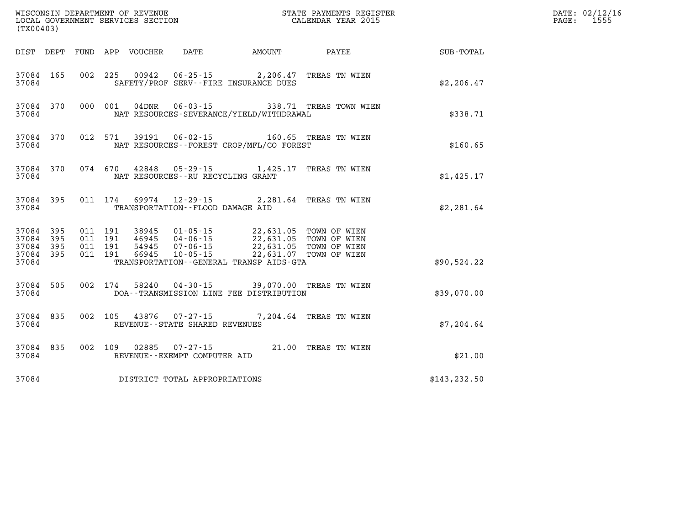| (TX00403) |                                                  |  | WISCONSIN DEPARTMENT OF REVENUE<br>LOCAL GOVERNMENT SERVICES SECTION<br>(TX00403) | STATE PAYMENTS REGISTER<br>CALENDAR YEAR 2015                                                                                                                                                    |                                               |               | DATE: 02/12/16<br>$\mathtt{PAGE:}$<br>1555 |
|-----------|--------------------------------------------------|--|-----------------------------------------------------------------------------------|--------------------------------------------------------------------------------------------------------------------------------------------------------------------------------------------------|-----------------------------------------------|---------------|--------------------------------------------|
|           |                                                  |  |                                                                                   |                                                                                                                                                                                                  | DIST DEPT FUND APP VOUCHER DATE AMOUNT PAYEE  | SUB-TOTAL     |                                            |
| 37084     | 37084 165                                        |  |                                                                                   | 002 225 00942 06-25-15 2,206.47 TREAS TN WIEN<br>SAFETY/PROF SERV--FIRE INSURANCE DUES                                                                                                           |                                               | \$2, 206.47   |                                            |
| 37084     | 37084 370                                        |  |                                                                                   | NAT RESOURCES-SEVERANCE/YIELD/WITHDRAWAL                                                                                                                                                         | 000 001 04DNR 06-03-15 338.71 TREAS TOWN WIEN | \$338.71      |                                            |
| 37084     | 37084 370                                        |  |                                                                                   | 012 571 39191 06-02-15 160.65 TREAS TN WIEN<br>NAT RESOURCES - - FOREST CROP/MFL/CO FOREST                                                                                                       |                                               | \$160.65      |                                            |
| 37084     |                                                  |  | NAT RESOURCES--RU RECYCLING GRANT                                                 | 37084 370 074 670 42848 05-29-15 1,425.17 TREAS TN WIEN                                                                                                                                          |                                               | \$1,425.17    |                                            |
| 37084     |                                                  |  | TRANSPORTATION--FLOOD DAMAGE AID                                                  | 37084 395 011 174 69974 12-29-15 2,281.64 TREAS TN WIEN                                                                                                                                          |                                               | \$2,281.64    |                                            |
|           | 37084 395<br>37084 395<br>37084 395<br>37084 395 |  |                                                                                   | 011 191 38945 01-05-15 22,631.05 TOWN OF WIEN<br>011 191 46945 04-06-15 22,631.05 TOWN OF WIEN<br>011 191 54945 07-06-15 22,631.05 TOWN OF WIEN<br>011 191 66945 10-05-15 22,631.07 TOWN OF WIEN |                                               |               |                                            |
| 37084     |                                                  |  |                                                                                   | TRANSPORTATION - - GENERAL TRANSP AIDS - GTA                                                                                                                                                     |                                               | \$90,524.22   |                                            |
| 37084     | 37084 505                                        |  |                                                                                   | 002 174 58240 04-30-15 39,070.00 TREAS TN WIEN<br>DOA--TRANSMISSION LINE FEE DISTRIBUTION                                                                                                        |                                               | \$39,070.00   |                                            |
| 37084     | 37084 835                                        |  | REVENUE - - STATE SHARED REVENUES                                                 | 002 105 43876 07-27-15 7,204.64 TREAS TN WIEN                                                                                                                                                    |                                               | \$7,204.64    |                                            |
| 37084     | 37084 835                                        |  | REVENUE--EXEMPT COMPUTER AID                                                      | 002 109 02885 07-27-15 21.00 TREAS TN WIEN                                                                                                                                                       |                                               | \$21.00       |                                            |
| 37084     |                                                  |  | DISTRICT TOTAL APPROPRIATIONS                                                     |                                                                                                                                                                                                  |                                               | \$143, 232.50 |                                            |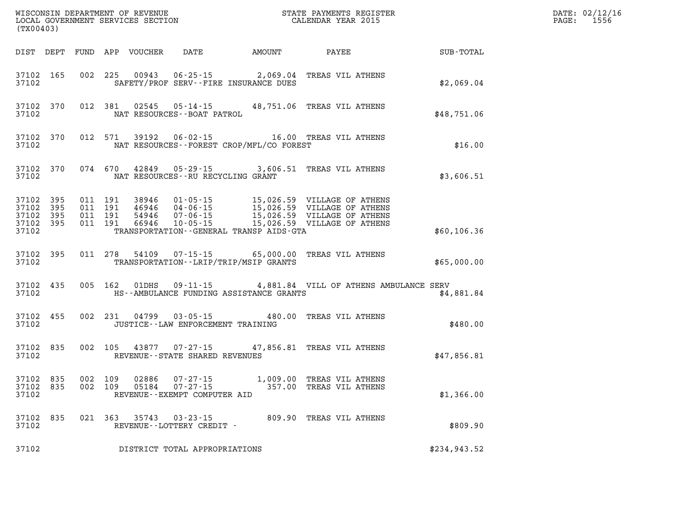| (TX00403)                                |                  |                    |                    |                |                                              | STATE PAYMENTS REGISTER                                                                                                                                                                   |                  | DATE: 02/12/16<br>PAGE: 1556 |
|------------------------------------------|------------------|--------------------|--------------------|----------------|----------------------------------------------|-------------------------------------------------------------------------------------------------------------------------------------------------------------------------------------------|------------------|------------------------------|
|                                          |                  |                    |                    |                | DIST DEPT FUND APP VOUCHER DATE AMOUNT PAYEE |                                                                                                                                                                                           | <b>SUB-TOTAL</b> |                              |
| 37102 165<br>37102                       |                  |                    |                    |                | SAFETY/PROF SERV--FIRE INSURANCE DUES        | 002 225 00943 06-25-15 2,069.04 TREAS VIL ATHENS                                                                                                                                          | \$2,069.04       |                              |
| 37102                                    | 37102 370        |                    |                    |                | NAT RESOURCES--BOAT PATROL                   | 012 381 02545 05-14-15 48,751.06 TREAS VIL ATHENS                                                                                                                                         | \$48,751.06      |                              |
| 37102                                    | 37102 370        |                    |                    |                | NAT RESOURCES--FOREST CROP/MFL/CO FOREST     | 012 571 39192 06-02-15 16.00 TREAS VIL ATHENS                                                                                                                                             | \$16.00          |                              |
| 37102                                    | 37102 370        |                    |                    |                | NAT RESOURCES--RU RECYCLING GRANT            | 074 670 42849 05-29-15 3,606.51 TREAS VIL ATHENS                                                                                                                                          | \$3,606.51       |                              |
| 37102<br>37102 395<br>37102 395<br>37102 | 395<br>37102 395 | 011 191<br>011 191 | 011 191<br>011 191 |                | TRANSPORTATION--GENERAL TRANSP AIDS-GTA      | 38946 01-05-15 15,026.59 VILLAGE OF ATHENS<br>46946 04-06-15 15,026.59 VILLAGE OF ATHENS<br>54946 07-06-15 15,026.59 VILLAGE OF ATHENS<br>66946 10-05-15 -----15,026.59 VILLAGE OF ATHENS | \$60,106.36      |                              |
| 37102                                    | 37102 395        |                    |                    |                | TRANSPORTATION - - LRIP/TRIP/MSIP GRANTS     | 011 278 54109 07-15-15 65,000.00 TREAS VIL ATHENS                                                                                                                                         | \$65,000.00      |                              |
| 37102                                    | 37102 435        |                    |                    |                |                                              | 005 162 01DHS 09-11-15 4,881.84 VILL OF ATHENS AMBULANCE SERV<br>HS--AMBULANCE FUNDING ASSISTANCE GRANTS                                                                                  | \$4,881.84       |                              |
| 37102                                    | 37102 455        |                    |                    |                | JUSTICE--LAW ENFORCEMENT TRAINING            | 002 231 04799 03-05-15 480.00 TREAS VIL ATHENS                                                                                                                                            | \$480.00         |                              |
| 37102                                    | 37102 835        |                    |                    |                | REVENUE--STATE SHARED REVENUES               | 002 105 43877 07-27-15 47,856.81 TREAS VIL ATHENS                                                                                                                                         | \$47,856.81      |                              |
| 37102 835<br>37102 835<br>37102          |                  |                    | 002 109<br>002 109 | 02886<br>05184 | REVENUE--EXEMPT COMPUTER AID                 | 07-27-15 1,009.00 TREAS VIL ATHENS<br>07-27-15 357.00 TREAS VIL ATHENS                                                                                                                    | \$1,366.00       |                              |
| 37102                                    | 37102 835        |                    |                    |                | REVENUE--LOTTERY CREDIT -                    | 021 363 35743 03-23-15 809.90 TREAS VIL ATHENS                                                                                                                                            | \$809.90         |                              |
| 37102                                    |                  |                    |                    |                | DISTRICT TOTAL APPROPRIATIONS                |                                                                                                                                                                                           | \$234,943.52     |                              |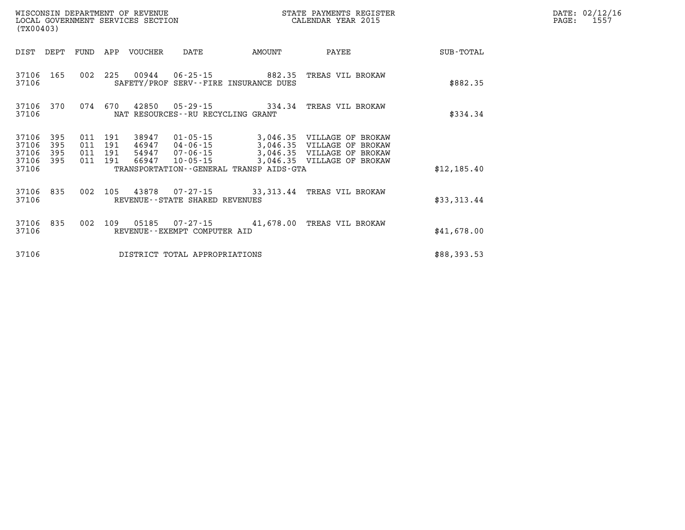|                | WISCONSIN DEPARTMENT OF REVENUE<br>STATE PAYMENTS REGISTER<br>LOCAL GOVERNMENT SERVICES SECTION<br>CALENDAR YEAR 2015<br>(TX00403) |            |            |                |                                      |                                                                |                                                          |                  |  |  |  |
|----------------|------------------------------------------------------------------------------------------------------------------------------------|------------|------------|----------------|--------------------------------------|----------------------------------------------------------------|----------------------------------------------------------|------------------|--|--|--|
| DIST           | DEPT                                                                                                                               | FUND       | APP        | <b>VOUCHER</b> | DATE                                 | <b>AMOUNT</b>                                                  | PAYEE                                                    | <b>SUB-TOTAL</b> |  |  |  |
| 37106<br>37106 | 165                                                                                                                                | 002        | 225        | 00944          |                                      | $06 - 25 - 15$ 882.35<br>SAFETY/PROF SERV--FIRE INSURANCE DUES | TREAS VIL BROKAW                                         | \$882.35         |  |  |  |
| 37106<br>37106 | 370                                                                                                                                | 074        | 670        | 42850          | NAT RESOURCES - - RU RECYCLING GRANT | $05 - 29 - 15$ 334.34                                          | TREAS VIL BROKAW                                         | \$334.34         |  |  |  |
| 37106<br>37106 | 395<br>395                                                                                                                         | 011<br>011 | 191<br>191 | 38947<br>46947 | 01-05-15<br>04-06-15                 |                                                                | 3,046.35 VILLAGE OF BROKAW<br>3,046.35 VILLAGE OF BROKAW |                  |  |  |  |
| 37106          | 395                                                                                                                                | 011        | 191        | 54947          | 07-06-15                             |                                                                | 3,046.35 VILLAGE OF BROKAW                               |                  |  |  |  |
| 37106<br>37106 | 395                                                                                                                                | 011        | 191        | 66947          | $10 - 05 - 15$                       | TRANSPORTATION - - GENERAL TRANSP AIDS - GTA                   | 3,046.35 VILLAGE OF BROKAW                               | \$12, 185.40     |  |  |  |
| 37106<br>37106 | 835                                                                                                                                | 002        | 105        | 43878          | REVENUE--STATE SHARED REVENUES       | $07 - 27 - 15$ 33, 313.44                                      | TREAS VIL BROKAW                                         | \$33,313.44      |  |  |  |
| 37106<br>37106 | 835                                                                                                                                | 002        | 109        | 05185          | REVENUE - - EXEMPT COMPUTER AID      | $07 - 27 - 15$ 41,678.00                                       | TREAS VIL BROKAW                                         | \$41,678.00      |  |  |  |
| 37106          |                                                                                                                                    |            |            |                | DISTRICT TOTAL APPROPRIATIONS        |                                                                |                                                          | \$88,393.53      |  |  |  |

**DATE: 02/12/16<br>PAGE: 1557**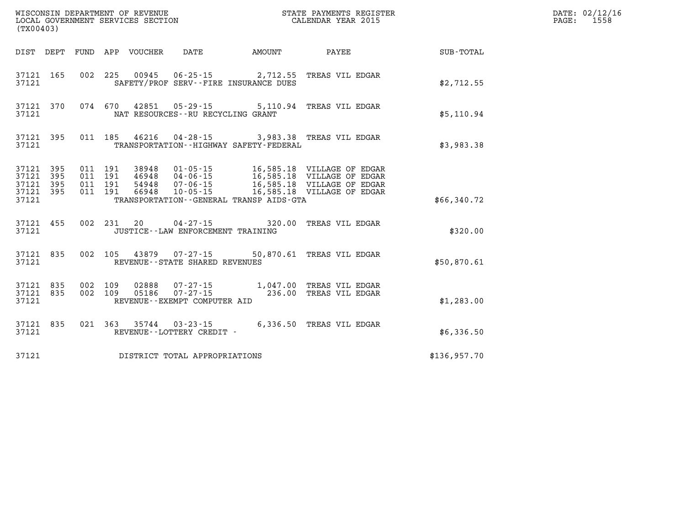| (TX00403)                       |                        |         |                    |                                        |                                             |                                                                                                                                                                                                  |              | DATE: 02/12/16<br>PAGE: 1558 |
|---------------------------------|------------------------|---------|--------------------|----------------------------------------|---------------------------------------------|--------------------------------------------------------------------------------------------------------------------------------------------------------------------------------------------------|--------------|------------------------------|
|                                 |                        |         |                    | DIST DEPT FUND APP VOUCHER DATE AMOUNT |                                             | <b>PAYEE</b>                                                                                                                                                                                     | SUB-TOTAL    |                              |
| 37121                           | 37121 165              |         |                    |                                        | SAFETY/PROF SERV--FIRE INSURANCE DUES       | 002 225 00945 06-25-15 2,712.55 TREAS VIL EDGAR                                                                                                                                                  | \$2,712.55   |                              |
| 37121                           | 37121 370              |         |                    | NAT RESOURCES - - RU RECYCLING GRANT   |                                             | 074 670 42851 05-29-15 5,110.94 TREAS VIL EDGAR                                                                                                                                                  | \$5,110.94   |                              |
| 37121                           |                        |         |                    |                                        | TRANSPORTATION - - HIGHWAY SAFETY - FEDERAL | 37121 395 011 185 46216 04-28-15 3,983.38 TREAS VIL EDGAR                                                                                                                                        | \$3,983.38   |                              |
| 37121 395<br>37121 395<br>37121 | 37121 395<br>37121 395 | 011 191 | 011 191<br>011 191 |                                        | TRANSPORTATION--GENERAL TRANSP AIDS-GTA     | 011  191  38948  01-05-15  16,585.18  VILLAGE OF EDGAR<br>46948 04-06-15 16,585.18 VILLAGE OF EDGAR<br>54948 07-06-15 16,585.18 VILLAGE OF EDGAR<br>66948 10-05-15 16,585.18 VILLAGE OF EDGAR    | \$66,340.72  |                              |
| 37121                           | 37121 455              |         |                    | JUSTICE - - LAW ENFORCEMENT TRAINING   |                                             | 002 231 20 04-27-15 320.00 TREAS VIL EDGAR                                                                                                                                                       | \$320.00     |                              |
| 37121                           | 37121 835              |         |                    | REVENUE - - STATE SHARED REVENUES      |                                             | 002 105 43879 07-27-15 50,870.61 TREAS VIL EDGAR                                                                                                                                                 | \$50.870.61  |                              |
| 37121                           | 37121 835<br>37121 835 |         |                    | REVENUE--EXEMPT COMPUTER AID           |                                             | $\begin{array}{cccc} 002 & 109 & 02888 & 07\text{-}27\text{-}15 & 1,047.00 & \text{TREAS VIL EDGAR} \\ 002 & 109 & 05186 & 07\text{-}27\text{-}15 & 236.00 & \text{TREAS VIL EDGAR} \end{array}$ | \$1,283.00   |                              |
| 37121                           | 37121 835              |         |                    | REVENUE--LOTTERY CREDIT -              |                                             | 021 363 35744 03-23-15 6,336.50 TREAS VIL EDGAR                                                                                                                                                  | \$6,336.50   |                              |
| 37121                           |                        |         |                    | DISTRICT TOTAL APPROPRIATIONS          |                                             |                                                                                                                                                                                                  | \$136,957.70 |                              |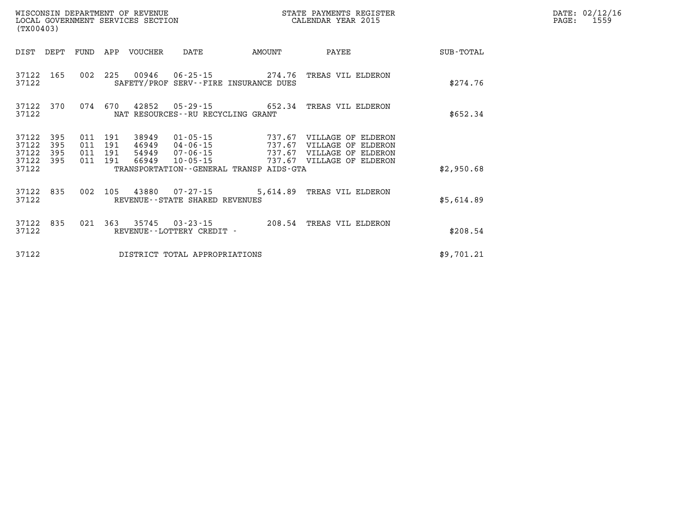| (TX00403)               |            |            |            | WISCONSIN DEPARTMENT OF REVENUE | LOCAL GOVERNMENT SERVICES SECTION |                                                                        | STATE PAYMENTS REGISTER<br>CALENDAR YEAR 2015            |            | DATE: 02/12/16<br>PAGE:<br>1559 |
|-------------------------|------------|------------|------------|---------------------------------|-----------------------------------|------------------------------------------------------------------------|----------------------------------------------------------|------------|---------------------------------|
| DIST                    | DEPT       | FUND       | APP        | VOUCHER                         | DATE                              | AMOUNT                                                                 | PAYEE                                                    | SUB-TOTAL  |                                 |
| 37122 165<br>37122      |            |            |            |                                 |                                   | 002 225 00946 06-25-15 274.76<br>SAFETY/PROF SERV--FIRE INSURANCE DUES | TREAS VIL ELDERON                                        | \$274.76   |                                 |
| 37122<br>37122          | 370        | 074        | 670        | 42852                           | NAT RESOURCES--RU RECYCLING GRANT |                                                                        |                                                          | \$652.34   |                                 |
| 37122<br>37122          | 395<br>395 | 011<br>011 | 191<br>191 | 38949<br>46949                  | 04-06-15                          | 737.67                                                                 | 01-05-15 737.67 VILLAGE OF ELDERON<br>VILLAGE OF ELDERON |            |                                 |
| 37122<br>37122<br>37122 | 395<br>395 | 011<br>011 | 191<br>191 | 54949<br>66949                  | 07-06-15<br>$10 - 05 - 15$        | 737.67<br>TRANSPORTATION--GENERAL TRANSP AIDS-GTA                      | VILLAGE OF ELDERON<br>737.67 VILLAGE OF ELDERON          | \$2,950.68 |                                 |
| 37122 835<br>37122      |            | 002        | 105        |                                 | REVENUE--STATE SHARED REVENUES    |                                                                        | 43880  07-27-15  5,614.89  TREAS VIL ELDERON             | \$5,614.89 |                                 |
| 37122<br>37122          | 835        |            |            | 021 363 35745                   | REVENUE - - LOTTERY CREDIT -      |                                                                        |                                                          | \$208.54   |                                 |
| 37122                   |            |            |            |                                 | DISTRICT TOTAL APPROPRIATIONS     |                                                                        |                                                          | \$9,701.21 |                                 |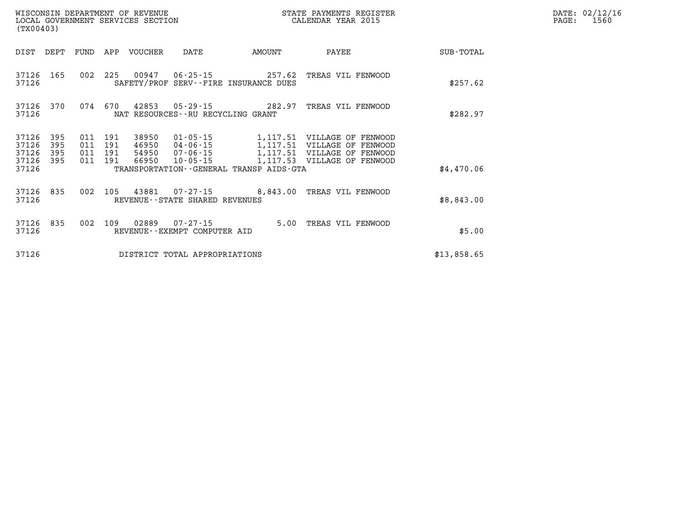| (TX00403)          |            |                |            | WISCONSIN DEPARTMENT OF REVENUE |                                          |                                         | STATE PAYMENTS REGISTER<br>LOCAL GOVERNMENT SERVICES SECTION CALENDAR YEAR 2015 |             | DATE: 02/12/16<br>1560<br>PAGE: |
|--------------------|------------|----------------|------------|---------------------------------|------------------------------------------|-----------------------------------------|---------------------------------------------------------------------------------|-------------|---------------------------------|
| DIST DEPT          |            |                |            | FUND APP VOUCHER                | DATE                                     | AMOUNT                                  | PAYEE                                                                           | SUB-TOTAL   |                                 |
| 37126 165<br>37126 |            |                |            |                                 |                                          | SAFETY/PROF SERV--FIRE INSURANCE DUES   | 002 225 00947 06-25-15 257.62 TREAS VIL FENWOOD                                 | \$257.62    |                                 |
| 37126 370<br>37126 |            |                |            |                                 | NAT RESOURCES - - RU RECYCLING GRANT     |                                         | 074 670 42853 05-29-15 282.97 TREAS VIL FENWOOD                                 | \$282.97    |                                 |
| 37126<br>37126     | 395<br>395 | 011<br>011     | 191<br>191 | 38950<br>46950                  | 01-05-15<br>04-06-15                     | 1,117.51                                | 1,117.51 VILLAGE OF FENWOOD<br>VILLAGE OF FENWOOD                               |             |                                 |
| 37126<br>37126 395 | 395        | 011<br>011 191 | 191        | 54950<br>66950                  | 07-06-15<br>$10 - 05 - 15$               |                                         | 1,117.51 VILLAGE OF FENWOOD<br>1,117.53 VILLAGE OF FENWOOD                      |             |                                 |
| 37126              |            |                |            |                                 |                                          | TRANSPORTATION--GENERAL TRANSP AIDS-GTA |                                                                                 | \$4,470.06  |                                 |
| 37126 835<br>37126 |            |                |            |                                 | REVENUE--STATE SHARED REVENUES           |                                         | 002 105 43881 07-27-15 8,843.00 TREAS VIL FENWOOD                               | \$8,843.00  |                                 |
| 37126 835<br>37126 |            |                | 002 109    | 02889                           | 07-27-15<br>REVENUE--EXEMPT COMPUTER AID |                                         | 5.00 TREAS VIL FENWOOD                                                          | \$5.00      |                                 |
| 37126              |            |                |            |                                 | DISTRICT TOTAL APPROPRIATIONS            |                                         |                                                                                 | \$13,858.65 |                                 |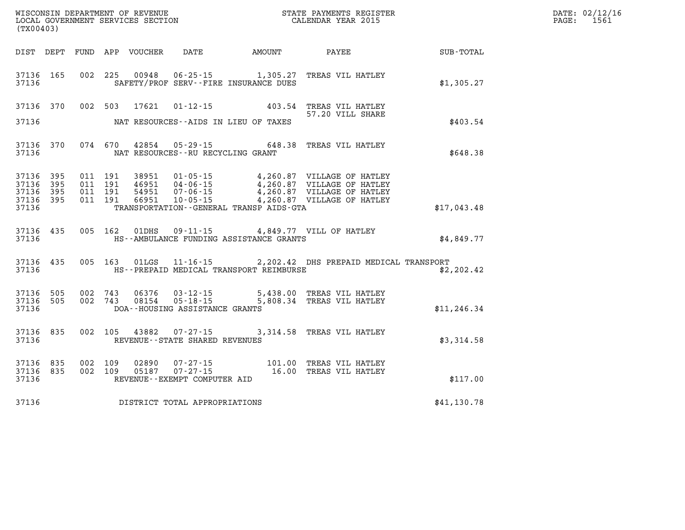| (TX00403)                                                 |  |  |                                   |                                              |                                                                                                                                                                                                                  | $\mathbb{R}^n$ | DATE: 02/12/1<br>1561<br>$\mathtt{PAGE:}$ |
|-----------------------------------------------------------|--|--|-----------------------------------|----------------------------------------------|------------------------------------------------------------------------------------------------------------------------------------------------------------------------------------------------------------------|----------------|-------------------------------------------|
|                                                           |  |  |                                   |                                              |                                                                                                                                                                                                                  |                |                                           |
| 37136 165<br>37136                                        |  |  |                                   | SAFETY/PROF SERV--FIRE INSURANCE DUES        | 002 225 00948 06-25-15 1,305.27 TREAS VIL HATLEY                                                                                                                                                                 | \$1,305.27     |                                           |
| 37136 370<br>37136                                        |  |  |                                   | NAT RESOURCES--AIDS IN LIEU OF TAXES         | 002 503 17621 01-12-15 403.54 TREAS VIL HATLEY<br>57.20 VILL SHARE                                                                                                                                               | \$403.54       |                                           |
| 37136                                                     |  |  | NAT RESOURCES--RU RECYCLING GRANT |                                              | 37136 370 074 670 42854 05-29-15 648.38 TREAS VIL HATLEY                                                                                                                                                         | \$648.38       |                                           |
| 37136 395<br>37136 395<br>37136 395<br>37136 395<br>37136 |  |  |                                   | TRANSPORTATION - - GENERAL TRANSP AIDS - GTA | 011 191 38951 01-05-15 4,260.87 VILLAGE OF HATLEY<br>011 191 46951 04-06-15 4,260.87 VILLAGE OF HATLEY<br>011 191 54951 07-06-15 4,260.87 VILLAGE OF HATLEY<br>011 191 66951 10-05-15 4,260.87 VILLAGE OF HATLEY | \$17,043.48    |                                           |
| 37136                                                     |  |  |                                   | HS--AMBULANCE FUNDING ASSISTANCE GRANTS      | 37136 435 005 162 01DHS 09-11-15 4,849.77 VILL OF HATLEY                                                                                                                                                         | \$4,849.77     |                                           |
| 37136 435<br>37136                                        |  |  |                                   | HS--PREPAID MEDICAL TRANSPORT REIMBURSE      | 005 163 01LGS 11-16-15 2,202.42 DHS PREPAID MEDICAL TRANSPORT                                                                                                                                                    | \$2,202.42     |                                           |
| 37136 505<br>37136 505<br>37136                           |  |  | DOA--HOUSING ASSISTANCE GRANTS    |                                              | 002 743 06376 03-12-15 5,438.00 TREAS VIL HATLEY<br>002 743 08154 05-18-15 5,808.34 TREAS VIL HATLEY                                                                                                             | \$11, 246.34   |                                           |
| 37136 835<br>37136                                        |  |  | REVENUE--STATE SHARED REVENUES    |                                              | 002 105 43882 07-27-15 3,314.58 TREAS VIL HATLEY                                                                                                                                                                 | \$3,314.58     |                                           |
| 37136 835<br>37136 835<br>37136                           |  |  | REVENUE--EXEMPT COMPUTER AID      |                                              | $\begin{array}{cccc} 002 & 109 & 02890 & 07\text{-}27\text{-}15 & 101.00 & \text{TREAS VIL HATLEY} \\ 002 & 109 & 05187 & 07\text{-}27\text{-}15 & 16.00 & \text{TREAS VIL HATLEY} \end{array}$                  | \$117.00       |                                           |
| 37136                                                     |  |  | DISTRICT TOTAL APPROPRIATIONS     |                                              |                                                                                                                                                                                                                  | \$41,130.78    |                                           |

**DATE: 02/12/16<br>PAGE: 1561**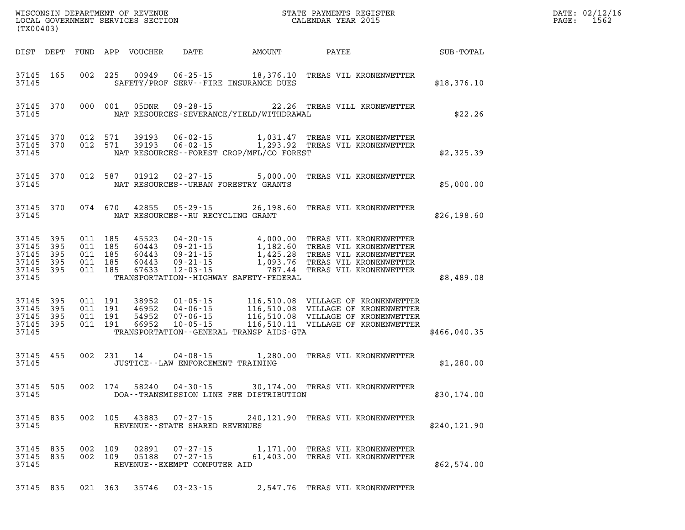| (TX00403)                                                                       | WISCONSIN DEPARTMENT OF REVENUE<br>LOCAL GOVERNMENT SERVICES SECTION FOR THE STATE PAYMENTS REGISTER<br>LOCAL GOVERNMENT SERVICES SECTION |                                                                                                                                                                                                                                        |               | DATE: 02/12/16<br>1562<br>PAGE: |
|---------------------------------------------------------------------------------|-------------------------------------------------------------------------------------------------------------------------------------------|----------------------------------------------------------------------------------------------------------------------------------------------------------------------------------------------------------------------------------------|---------------|---------------------------------|
| DIST DEPT FUND APP VOUCHER                                                      | DATE AMOUNT                                                                                                                               | PAYEE                                                                                                                                                                                                                                  | SUB-TOTAL     |                                 |
| 37145 165<br>37145                                                              | 002 225 00949 06-25-15 18,376.10 TREAS VIL KRONENWETTER<br>SAFETY/PROF SERV--FIRE INSURANCE DUES                                          |                                                                                                                                                                                                                                        | \$18,376.10   |                                 |
| 37145 370<br>37145                                                              | 000 001<br>NAT RESOURCES-SEVERANCE/YIELD/WITHDRAWAL                                                                                       | 05DNR  09-28-15  22.26 TREAS VILL KRONEWETTER                                                                                                                                                                                          | \$22.26       |                                 |
| 37145 370<br>37145 370<br>37145                                                 | 012 571<br>39193<br>012 571 39193<br>NAT RESOURCES - - FOREST CROP/MFL/CO FOREST                                                          | 06-02-15 1,031.47 TREAS VIL KRONENWETTER<br>06-02-15 1,293.92 TREAS VIL KRONENWETTER                                                                                                                                                   | \$2,325.39    |                                 |
| 37145 370<br>37145                                                              | 012 587 01912 02-27-15 5,000.00 TREAS VIL KRONENWETTER<br>NAT RESOURCES--URBAN FORESTRY GRANTS                                            |                                                                                                                                                                                                                                        | \$5,000.00    |                                 |
| 37145 370<br>37145                                                              | 074 670 42855 05-29-15 26,198.60 TREAS VIL KRONENWETTER<br>NAT RESOURCES--RU RECYCLING GRANT                                              |                                                                                                                                                                                                                                        | \$26,198.60   |                                 |
| 37145<br>395<br>37145<br>395<br>37145<br>395<br>37145 395<br>37145 395<br>37145 | TRANSPORTATION - - HIGHWAY SAFETY - FEDERAL                                                                                               |                                                                                                                                                                                                                                        | \$8,489.08    |                                 |
| 37145<br>395<br>37145<br>395<br>37145 395<br>37145 395<br>37145                 | 011 191<br>011 191<br>011 191<br>011 191 66952<br>TRANSPORTATION - - GENERAL TRANSP AIDS-GTA                                              | 38952  01-05-15   116,510.08   VILLAGE OF KRONENWETTER<br>46952  04-06-15   116,510.08   VILLAGE OF KRONENWETTER<br>54952   07-06-15   116,510.08   VILLAGE OF KRONENWETTER<br>66952   10-05-15   116,510.11   VILLAGE OF KRONENWETTER | \$466,040.35  |                                 |
| 37145 455<br>37145                                                              | 002 231 14 04-08-15 1,280.00 TREAS VIL KRONENWETTER<br>JUSTICE -- LAW ENFORCEMENT TRAINING                                                |                                                                                                                                                                                                                                        | \$1,280.00    |                                 |
| 37145 505<br>37145                                                              | 002 174 58240 04-30-15 30,174.00 TREAS VIL KRONENWETTER<br>DOA--TRANSMISSION LINE FEE DISTRIBUTION                                        |                                                                                                                                                                                                                                        | \$30,174.00   |                                 |
| 37145 835<br>37145                                                              | 002 105 43883<br>REVENUE--STATE SHARED REVENUES                                                                                           | 07-27-15 240,121.90 TREAS VIL KRONENWETTER                                                                                                                                                                                             | \$240, 121.90 |                                 |
| 37145 835<br>37145 835<br>37145                                                 | 002 109<br>02891<br>07-27-15<br>$07 - 27 - 15$<br>002 109 05188<br>REVENUE - - EXEMPT COMPUTER AID                                        | 1,171.00 TREAS VIL KRONENWETTER<br>61,403.00 TREAS VIL KRONENWETTER                                                                                                                                                                    | \$62,574.00   |                                 |
|                                                                                 | 37145 835 021 363 35746 03-23-15 2,547.76 TREAS VIL KRONENWETTER                                                                          |                                                                                                                                                                                                                                        |               |                                 |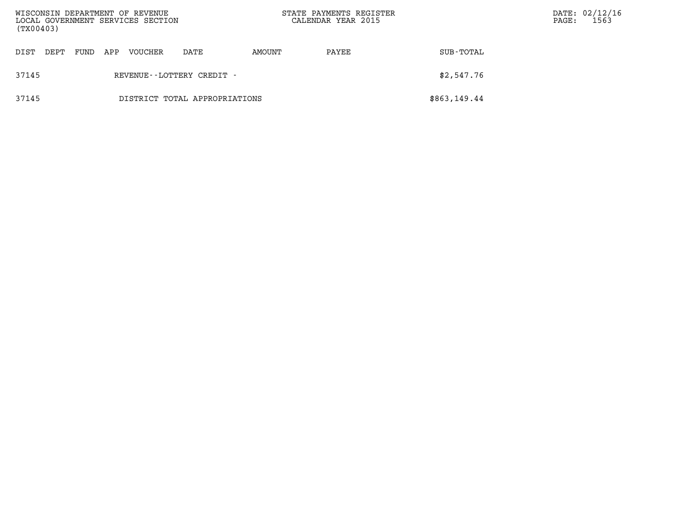| WISCONSIN DEPARTMENT OF REVENUE<br>LOCAL GOVERNMENT SERVICES SECTION<br>(TX00403) |                                        |  |  |  |                               | STATE PAYMENTS REGISTER<br>CALENDAR YEAR 2015 |       | PAGE:        | DATE: 02/12/16<br>1563 |  |
|-----------------------------------------------------------------------------------|----------------------------------------|--|--|--|-------------------------------|-----------------------------------------------|-------|--------------|------------------------|--|
| DIST                                                                              | FUND<br>VOUCHER<br>DEPT<br>APP<br>DATE |  |  |  |                               | AMOUNT                                        | PAYEE | SUB-TOTAL    |                        |  |
| 37145                                                                             |                                        |  |  |  | REVENUE--LOTTERY CREDIT -     |                                               |       | \$2,547.76   |                        |  |
| 37145                                                                             |                                        |  |  |  | DISTRICT TOTAL APPROPRIATIONS |                                               |       | \$863,149.44 |                        |  |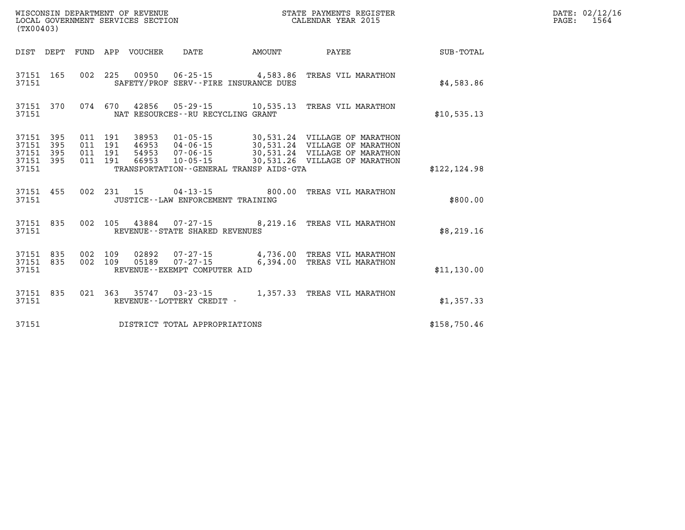| (TX00403)                                |                  |  | LOCAL GOVERNMENT SERVICES SECTION |                                     |                                              | CALENDAR YEAR 2015                                                                                                                                                                                                           |              | PAGE: | 1564 |
|------------------------------------------|------------------|--|-----------------------------------|-------------------------------------|----------------------------------------------|------------------------------------------------------------------------------------------------------------------------------------------------------------------------------------------------------------------------------|--------------|-------|------|
|                                          |                  |  | DIST DEPT FUND APP VOUCHER DATE   |                                     | <b>AMOUNT</b>                                |                                                                                                                                                                                                                              |              |       |      |
| 37151                                    |                  |  |                                   |                                     | SAFETY/PROF SERV--FIRE INSURANCE DUES        | 37151 165 002 225 00950 06-25-15 4,583.86 TREAS VIL MARATHON                                                                                                                                                                 | \$4,583.86   |       |      |
| 37151                                    |                  |  |                                   | NAT RESOURCES--RU RECYCLING GRANT   |                                              | 37151 370 074 670 42856 05-29-15 10,535.13 TREAS VIL MARATHON                                                                                                                                                                | \$10,535.13  |       |      |
| 37151 395<br>37151<br>37151 395<br>37151 | 37151 395<br>395 |  |                                   |                                     | TRANSPORTATION - - GENERAL TRANSP AIDS - GTA | 011 191 38953 01-05-15 30,531.24 VILLAGE OF MARATHON<br>011 191 46953 04-06-15 30,531.24 VILLAGE OF MARATHON<br>011 191 66953 10-05-15 30,531.24 VILLAGE OF MARATHON<br>011 191 66953 10-05-15 30,531.26 VILLAGE OF MARATHON | \$122,124.98 |       |      |
| 37151                                    |                  |  |                                   | JUSTICE -- LAW ENFORCEMENT TRAINING |                                              | 37151 455 002 231 15 04-13-15 800.00 TREAS VIL MARATHON                                                                                                                                                                      | \$800.00     |       |      |
| 37151                                    |                  |  |                                   | REVENUE--STATE SHARED REVENUES      |                                              | 37151 835 002 105 43884 07-27-15 8,219.16 TREAS VIL MARATHON                                                                                                                                                                 | \$8,219.16   |       |      |
| 37151                                    |                  |  |                                   | REVENUE--EXEMPT COMPUTER AID        |                                              | 37151 835 002 109 02892 07-27-15 4,736.00 TREAS VIL MARATHON<br>37151 835 002 109 05189 07-27-15 6,394.00 TREAS VIL MARATHON                                                                                                 | \$11,130.00  |       |      |
| 37151                                    | 37151 835        |  |                                   | REVENUE--LOTTERY CREDIT -           |                                              | 021 363 35747 03-23-15 1,357.33 TREAS VIL MARATHON                                                                                                                                                                           | \$1,357.33   |       |      |
| 37151                                    |                  |  |                                   | DISTRICT TOTAL APPROPRIATIONS       |                                              |                                                                                                                                                                                                                              | \$158,750.46 |       |      |

**WISCONSIN DEPARTMENT OF REVENUE STATE PAYMENTS REGISTER DATE: 02/12/16**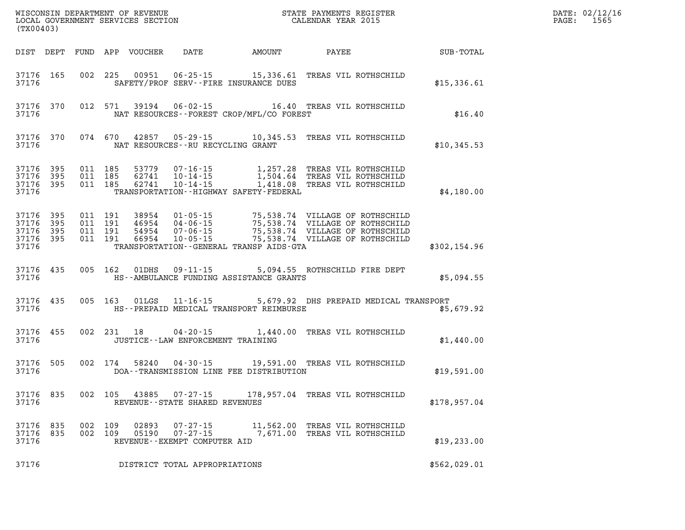| (TX00403)                                                 |                        |                                          |            |                         |                                                            |                                                                                                                                                                                                                                                             |                                                       |  | DATE: 02/12/16<br>$\mathtt{PAGE}$ :<br>1565 |  |  |
|-----------------------------------------------------------|------------------------|------------------------------------------|------------|-------------------------|------------------------------------------------------------|-------------------------------------------------------------------------------------------------------------------------------------------------------------------------------------------------------------------------------------------------------------|-------------------------------------------------------|--|---------------------------------------------|--|--|
|                                                           |                        |                                          |            |                         |                                                            | DIST DEPT FUND APP VOUCHER DATE AMOUNT                                                                                                                                                                                                                      | PAYEE                                                 |  | SUB-TOTAL                                   |  |  |
| 37176                                                     | 37176 165              |                                          |            |                         |                                                            | 002 225 00951 06-25-15 15,336.61 TREAS VIL ROTHSCHILD<br>SAFETY/PROF SERV--FIRE INSURANCE DUES                                                                                                                                                              |                                                       |  | \$15,336.61                                 |  |  |
| 37176                                                     | 37176 370              |                                          |            |                         |                                                            | 012 571 39194 06-02-15 16.40 TREAS VIL ROTHSCHILD<br>NAT RESOURCES - - FOREST CROP/MFL/CO FOREST                                                                                                                                                            |                                                       |  | \$16.40                                     |  |  |
| 37176                                                     |                        |                                          |            |                         | NAT RESOURCES--RU RECYCLING GRANT                          | 37176 370 074 670 42857 05-29-15 10,345.53 TREAS VIL ROTHSCHILD                                                                                                                                                                                             |                                                       |  | \$10,345.53                                 |  |  |
| 37176 395<br>37176                                        | 37176 395<br>37176 395 | 011 185<br>011 185                       | 011 185    | 62741                   |                                                            | TRANSPORTATION - - HIGHWAY SAFETY - FEDERAL                                                                                                                                                                                                                 |                                                       |  | \$4,180.00                                  |  |  |
| 37176 395<br>37176 395<br>37176 395<br>37176 395<br>37176 |                        | 011 191<br>011 191<br>011 191<br>011 191 |            |                         |                                                            | 38954  01-05-15  75,538.74  VILLAGE OF ROTHSCHILD<br>46954  04-06-15  75,538.74  VILLAGE OF ROTHSCHILD<br>54954  07-06-15  75,538.74  VILLAGE OF ROTHSCHILD<br>66954  10-05-15  75,538.74  VILLAGE OF ROTHSCHILD<br>TRANSPORTATION--GENERAL TRANSP AIDS-GTA |                                                       |  | \$302,154.96                                |  |  |
| 37176                                                     |                        |                                          |            |                         |                                                            | 37176 435 005 162 01DHS 09-11-15 5,094.55 ROTHSCHILD FIRE DEPT<br>HS--AMBULANCE FUNDING ASSISTANCE GRANTS                                                                                                                                                   |                                                       |  | \$5,094.55                                  |  |  |
| 37176                                                     |                        |                                          |            |                         |                                                            | 37176 435 005 163 01LGS 11-16-15 5,679.92 DHS PREPAID MEDICAL TRANSPORT<br>HS--PREPAID MEDICAL TRANSPORT REIMBURSE                                                                                                                                          |                                                       |  | \$5,679.92                                  |  |  |
| 37176                                                     | 37176 455              |                                          |            |                         | JUSTICE--LAW ENFORCEMENT TRAINING                          | 002 231 18 04-20-15 1,440.00 TREAS VIL ROTHSCHILD                                                                                                                                                                                                           |                                                       |  | \$1,440.00                                  |  |  |
| 37176                                                     |                        |                                          |            |                         |                                                            | 37176 505 002 174 58240 04-30-15 19,591.00 TREAS VIL ROTHSCHILD<br>DOA--TRANSMISSION LINE FEE DISTRIBUTION                                                                                                                                                  |                                                       |  | \$19,591.00                                 |  |  |
| 37176                                                     |                        |                                          |            | 37176 835 002 105 43885 | $07 - 27 - 15$<br>REVENUE--STATE SHARED REVENUES           |                                                                                                                                                                                                                                                             | 178,957.04 TREAS VIL ROTHSCHILD                       |  | \$178,957.04                                |  |  |
| 37176<br>37176<br>37176                                   | 835<br>835             | 002<br>002                               | 109<br>109 | 02893<br>05190          | 07-27-15<br>$07 - 27 - 15$<br>REVENUE--EXEMPT COMPUTER AID | 11,562.00                                                                                                                                                                                                                                                   | TREAS VIL ROTHSCHILD<br>7,671.00 TREAS VIL ROTHSCHILD |  | \$19,233.00                                 |  |  |
| 37176                                                     |                        |                                          |            |                         | DISTRICT TOTAL APPROPRIATIONS                              |                                                                                                                                                                                                                                                             |                                                       |  | \$562,029.01                                |  |  |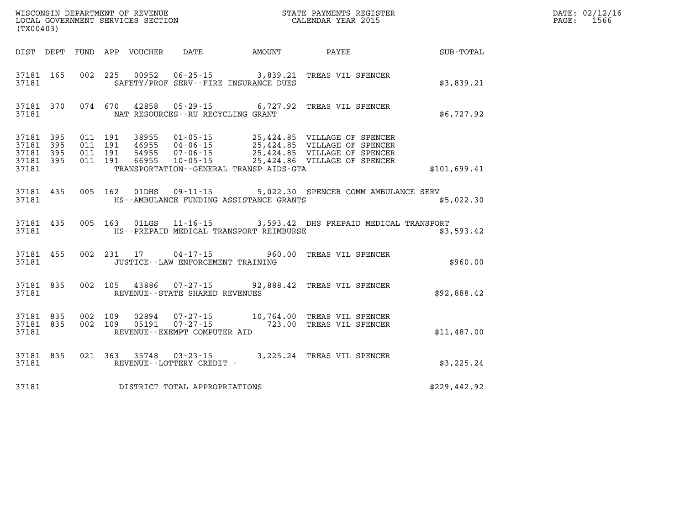| (TX00403)                                    |           |                                          |                            |                                                                   |        |                                                                                                                                                                                             |              | DATE: 02/12/16<br>$\mathtt{PAGE}$ :<br>1566 |
|----------------------------------------------|-----------|------------------------------------------|----------------------------|-------------------------------------------------------------------|--------|---------------------------------------------------------------------------------------------------------------------------------------------------------------------------------------------|--------------|---------------------------------------------|
|                                              |           |                                          | DIST DEPT FUND APP VOUCHER | DATE                                                              | AMOUNT | PAYEE                                                                                                                                                                                       | SUB-TOTAL    |                                             |
| 37181                                        | 37181 165 |                                          |                            | SAFETY/PROF SERV--FIRE INSURANCE DUES                             |        | 002 225 00952 06-25-15 3,839.21 TREAS VIL SPENCER                                                                                                                                           | \$3,839.21   |                                             |
| 37181                                        | 37181 370 |                                          |                            | NAT RESOURCES--RU RECYCLING GRANT                                 |        | 074 670 42858 05-29-15 6,727.92 TREAS VIL SPENCER                                                                                                                                           | \$6,727.92   |                                             |
| 37181 395<br>37181 395<br>37181 395<br>37181 | 37181 395 | 011 191<br>011 191<br>011 191<br>011 191 |                            | TRANSPORTATION - - GENERAL TRANSP AIDS - GTA                      |        | 38955  01-05-15  25,424.85  VILLAGE OF SPENCER<br>46955 04-06-15 25,424.85 VILLAGE OF SPENCER<br>54955 07-06-15 25,424.85 VILLAGE OF SPENCER<br>66955 10-05-15 25,424.86 VILLAGE OF SPENCER | \$101,699.41 |                                             |
| 37181                                        | 37181 435 |                                          |                            | 005 162 01DHS 09-11-15<br>HS--AMBULANCE FUNDING ASSISTANCE GRANTS |        | 5,022.30 SPENCER COMM AMBULANCE SERV                                                                                                                                                        | \$5,022.30   |                                             |
| 37181                                        | 37181 435 |                                          |                            | HS--PREPAID MEDICAL TRANSPORT REIMBURSE                           |        | 005 163 01LGS 11-16-15 3,593.42 DHS PREPAID MEDICAL TRANSPORT                                                                                                                               | \$3,593.42   |                                             |
| 37181                                        | 37181 455 |                                          | 002 231 17                 | JUSTICE - - LAW ENFORCEMENT TRAINING                              |        | 04-17-15 960.00 TREAS VIL SPENCER                                                                                                                                                           | \$960.00     |                                             |
| 37181                                        | 37181 835 |                                          | 002 105 43886              | REVENUE--STATE SHARED REVENUES                                    |        | 07-27-15 92,888.42 TREAS VIL SPENCER                                                                                                                                                        | \$92,888.42  |                                             |
| 37181 835<br>37181 835<br>37181              |           | 002 109<br>002 109                       | 02894<br>05191             | REVENUE--EXEMPT COMPUTER AID                                      |        | 07-27-15 10,764.00 TREAS VIL SPENCER<br>07-27-15 723.00 TREAS VIL SPENCER                                                                                                                   | \$11,487.00  |                                             |
| 37181                                        | 37181 835 |                                          |                            | 021 363 35748 03-23-15<br>REVENUE--LOTTERY CREDIT -               |        | 3,225.24 TREAS VIL SPENCER                                                                                                                                                                  | \$3,225.24   |                                             |
| 37181                                        |           |                                          |                            | DISTRICT TOTAL APPROPRIATIONS                                     |        |                                                                                                                                                                                             | \$229,442.92 |                                             |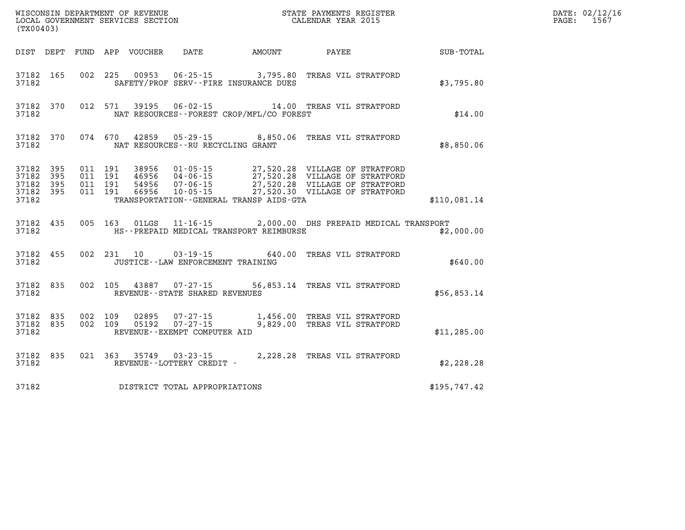| (TX00403)                                                 |           |                    |         |                | WISCONSIN DEPARTMENT OF REVENUE<br>LOCAL GOVERNMENT SERVICES SECTION | STATE PAYMENTS REGISTER<br>CALENDAR YEAR 2015                                                                                                                                                                                                                                                                                                        |              | DATE: 02/12/16<br>PAGE: 1567 |
|-----------------------------------------------------------|-----------|--------------------|---------|----------------|----------------------------------------------------------------------|------------------------------------------------------------------------------------------------------------------------------------------------------------------------------------------------------------------------------------------------------------------------------------------------------------------------------------------------------|--------------|------------------------------|
|                                                           |           |                    |         |                |                                                                      | DIST DEPT FUND APP VOUCHER DATE AMOUNT PAYEE                                                                                                                                                                                                                                                                                                         | SUB-TOTAL    |                              |
| 37182                                                     | 37182 165 |                    |         |                | SAFETY/PROF SERV--FIRE INSURANCE DUES                                | 002 225 00953 06-25-15 3,795.80 TREAS VIL STRATFORD                                                                                                                                                                                                                                                                                                  | \$3,795.80   |                              |
| 37182                                                     | 37182 370 |                    |         |                | NAT RESOURCES--FOREST CROP/MFL/CO FOREST                             | 012 571 39195 06-02-15 14.00 TREAS VIL STRATFORD                                                                                                                                                                                                                                                                                                     | \$14.00      |                              |
| 37182                                                     | 37182 370 |                    | 074 670 |                | NAT RESOURCES--RU RECYCLING GRANT                                    | 42859  05-29-15  8,850.06  TREAS VIL STRATFORD                                                                                                                                                                                                                                                                                                       | \$8,850.06   |                              |
| 37182 395<br>37182 395<br>37182 395<br>37182 395<br>37182 |           |                    |         |                | TRANSPORTATION--GENERAL TRANSP AIDS-GTA                              | $\begin{array}{cccc} 011 & 191 & 38956 & 01\cdot 05\cdot 15 & 27,520.28 & \text{VILLAGE OF STRATFORD} \\ 011 & 191 & 46956 & 04\cdot 06\cdot 15 & 27,520.28 & \text{VILLAGE OF STRATFORD} \\ 011 & 191 & 54956 & 07\cdot 06\cdot 15 & 27,520.28 & \text{VILLAGE OF STRATFORD} \\ 011 & 191 & 66956 & 10\cdot 05\cdot 15 & 27,520.30 & \text{VILLAGE$ | \$110,081.14 |                              |
| 37182                                                     | 37182 435 |                    |         |                | HS--PREPAID MEDICAL TRANSPORT REIMBURSE                              | 005 163 01LGS 11-16-15 2,000.00 DHS PREPAID MEDICAL TRANSPORT                                                                                                                                                                                                                                                                                        | \$2,000.00   |                              |
| 37182 455<br>37182                                        |           |                    |         | 002 231 10     | JUSTICE - - LAW ENFORCEMENT TRAINING                                 | 03-19-15 640.00 TREAS VIL STRATFORD                                                                                                                                                                                                                                                                                                                  | \$640.00     |                              |
| 37182                                                     | 37182 835 |                    |         | 002 105 43887  | REVENUE - - STATE SHARED REVENUES                                    | 07-27-15 56,853.14 TREAS VIL STRATFORD                                                                                                                                                                                                                                                                                                               | \$56,853.14  |                              |
| 37182 835<br>37182 835<br>37182                           |           | 002 109<br>002 109 |         | 02895<br>05192 | $07 - 27 - 15$<br>$07 - 27 - 15$<br>REVENUE--EXEMPT COMPUTER AID     | 1,456.00 TREAS VIL STRATFORD<br>9,829.00 TREAS VIL STRATFORD                                                                                                                                                                                                                                                                                         | \$11, 285.00 |                              |
| 37182                                                     | 37182 835 |                    |         |                | REVENUE--LOTTERY CREDIT -                                            | 021 363 35749 03-23-15 2,228.28 TREAS VIL STRATFORD                                                                                                                                                                                                                                                                                                  | \$2,228.28   |                              |
| 37182                                                     |           |                    |         |                | DISTRICT TOTAL APPROPRIATIONS                                        |                                                                                                                                                                                                                                                                                                                                                      | \$195,747.42 |                              |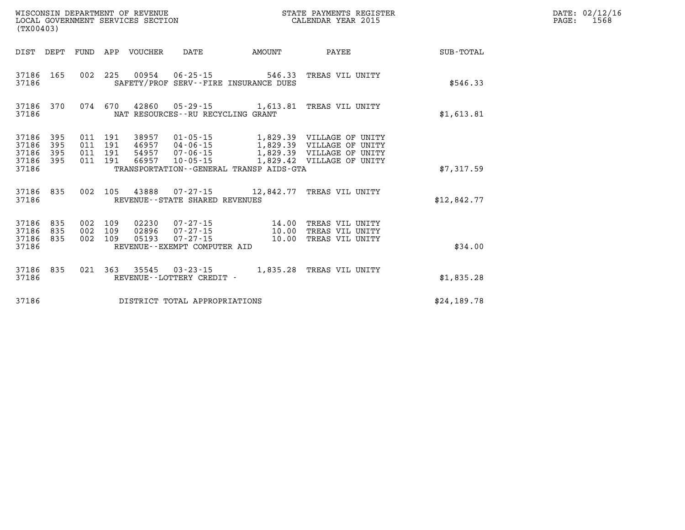| (TX00403)                                 |                          |                          |                          | WISCONSIN DEPARTMENT OF REVENUE<br>LOCAL GOVERNMENT SERVICES SECTION |                                                                                                           |                         | STATE PAYMENTS REGISTER<br>CALENDAR YEAR 2015                                                                    |                  |
|-------------------------------------------|--------------------------|--------------------------|--------------------------|----------------------------------------------------------------------|-----------------------------------------------------------------------------------------------------------|-------------------------|------------------------------------------------------------------------------------------------------------------|------------------|
| DIST                                      | DEPT                     | FUND                     | APP                      | VOUCHER                                                              | DATE                                                                                                      | AMOUNT                  | PAYEE                                                                                                            | <b>SUB-TOTAL</b> |
| 37186<br>37186                            | 165                      | 002                      | 225                      |                                                                      | 00954 06-25-15 546.33<br>SAFETY/PROF SERV--FIRE INSURANCE DUES                                            |                         | TREAS VIL UNITY                                                                                                  | \$546.33         |
| 37186<br>37186                            | 370                      | 074                      | 670                      |                                                                      | 42860 05-29-15 1,613.81<br>NAT RESOURCES - - RU RECYCLING GRANT                                           |                         | TREAS VIL UNITY                                                                                                  | \$1,613.81       |
| 37186<br>37186<br>37186<br>37186<br>37186 | 395<br>395<br>395<br>395 | 011<br>011<br>011<br>011 | 191<br>191<br>191<br>191 | 38957<br>46957<br>54957<br>66957                                     | $01 - 05 - 15$<br>04 - 06 - 15<br>07 - 06 - 15<br>10 - 05 - 15<br>TRANSPORTATION--GENERAL TRANSP AIDS-GTA |                         | 1,829.39 VILLAGE OF UNITY<br>1,829.39 VILLAGE OF UNITY<br>1,829.39 VILLAGE OF UNITY<br>1,829.42 VILLAGE OF UNITY | \$7,317.59       |
| 37186<br>37186                            | 835                      | 002                      | 105                      | 43888                                                                | $07 - 27 - 15$<br>REVENUE - - STATE SHARED REVENUES                                                       | 12,842.77               | TREAS VIL UNITY                                                                                                  | \$12,842.77      |
| 37186<br>37186<br>37186<br>37186          | 835<br>835<br>835        | 002<br>002<br>002        | 109<br>109<br>109        | 02230<br>02896<br>05193                                              | 07-27-15<br>$07 - 27 - 15$<br>$07 - 27 - 15$<br>REVENUE - - EXEMPT COMPUTER AID                           | 14.00<br>10.00<br>10.00 | TREAS VIL UNITY<br>TREAS VIL UNITY<br>TREAS VIL UNITY                                                            | \$34.00          |
| 37186<br>37186                            | 835                      | 021                      | 363                      | 35545                                                                | $03 - 23 - 15$<br>REVENUE - - LOTTERY CREDIT -                                                            | 1,835.28                | TREAS VIL UNITY                                                                                                  | \$1,835.28       |
| 37186                                     |                          |                          |                          |                                                                      | DISTRICT TOTAL APPROPRIATIONS                                                                             |                         |                                                                                                                  | \$24,189.78      |

**DATE: 02/12/16<br>PAGE: 1568**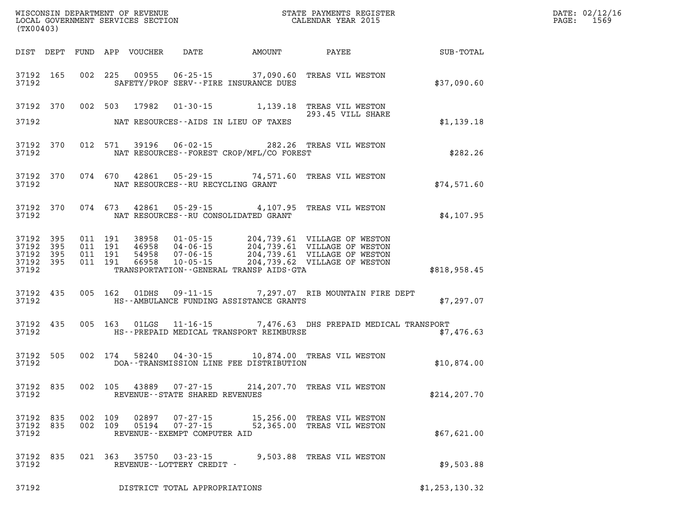| (TX00403) |                                                  |         |                               |                                         |                                              | STATE PAYMENTS REGISTER                                                                                                                                                                              |                | DATE: 02/12/16<br>$\mathtt{PAGE:}$<br>1569 |
|-----------|--------------------------------------------------|---------|-------------------------------|-----------------------------------------|----------------------------------------------|------------------------------------------------------------------------------------------------------------------------------------------------------------------------------------------------------|----------------|--------------------------------------------|
|           |                                                  |         |                               |                                         |                                              |                                                                                                                                                                                                      |                |                                            |
| 37192     | 37192 165                                        |         |                               |                                         | SAFETY/PROF SERV--FIRE INSURANCE DUES        | 002 225 00955 06-25-15 37,090.60 TREAS VIL WESTON                                                                                                                                                    | \$37,090.60    |                                            |
|           |                                                  |         |                               |                                         |                                              | 37192 370 002 503 17982 01-30-15 1,139.18 TREAS VIL WESTON<br>293.45 VILL SHARE                                                                                                                      |                |                                            |
| 37192     |                                                  |         |                               |                                         | NAT RESOURCES--AIDS IN LIEU OF TAXES         |                                                                                                                                                                                                      | \$1,139.18     |                                            |
|           | 37192 370<br>37192                               |         |                               |                                         | NAT RESOURCES -- FOREST CROP/MFL/CO FOREST   | 012 571 39196 06-02-15 282.26 TREAS VIL WESTON                                                                                                                                                       | \$282.26       |                                            |
|           | 37192 370                                        |         |                               | 37192 NAT RESOURCES--RU RECYCLING GRANT |                                              | 074 670 42861 05-29-15 74,571.60 TREAS VIL WESTON                                                                                                                                                    | \$74,571.60    |                                            |
|           | 37192 370                                        |         |                               |                                         | 37192 NAT RESOURCES--RU CONSOLIDATED GRANT   | 074 673 42861 05-29-15 4,107.95 TREAS VIL WESTON                                                                                                                                                     | \$4,107.95     |                                            |
| 37192     | 37192 395<br>37192 395<br>37192 395<br>37192 395 | 011 191 | 011 191<br>011 191<br>011 191 |                                         | TRANSPORTATION - - GENERAL TRANSP AIDS - GTA | 38958  01-05-15  204,739.61  VILLAGE OF WESTON<br>46958  04-06-15  204,739.61  VILLAGE OF WESTON<br>54958  07-06-15  204,739.61  VILLAGE OF WESTON<br>66958  10-05-15  204,739.62  VILLAGE OF WESTON | \$818,958.45   |                                            |
| 37192     | 37192 435                                        |         |                               |                                         | HS--AMBULANCE FUNDING ASSISTANCE GRANTS      | 005 162 01DHS 09-11-15 7,297.07 RIB MOUNTAIN FIRE DEPT                                                                                                                                               | \$7,297.07     |                                            |
| 37192     | 37192 435                                        |         |                               |                                         | HS--PREPAID MEDICAL TRANSPORT REIMBURSE      | 005 163 01LGS 11-16-15 7,476.63 DHS PREPAID MEDICAL TRANSPORT                                                                                                                                        | \$7,476.63     |                                            |
| 37192     | 37192 505                                        |         | 002 174                       |                                         | DOA--TRANSMISSION LINE FEE DISTRIBUTION      | 58240  04-30-15  10,874.00  TREAS VIL WESTON                                                                                                                                                         | \$10,874.00    |                                            |
| 37192     | 37192 835                                        |         |                               |                                         | REVENUE - - STATE SHARED REVENUES            | 002 105 43889 07-27-15 214, 207.70 TREAS VIL WESTON                                                                                                                                                  | \$214,207.70   |                                            |
| 37192     | 37192 835<br>37192 835                           |         | 002 109<br>002 109            | REVENUE--EXEMPT COMPUTER AID            |                                              | 02897  07-27-15  15,256.00 TREAS VIL WESTON<br>05194  07-27-15  52,365.00 TREAS VIL WESTON                                                                                                           | \$67,621.00    |                                            |
| 37192     | 37192 835                                        |         |                               | REVENUE--LOTTERY CREDIT -               |                                              | 021 363 35750 03-23-15 9,503.88 TREAS VIL WESTON                                                                                                                                                     | \$9,503.88     |                                            |
| 37192     |                                                  |         |                               | DISTRICT TOTAL APPROPRIATIONS           |                                              |                                                                                                                                                                                                      | \$1,253,130.32 |                                            |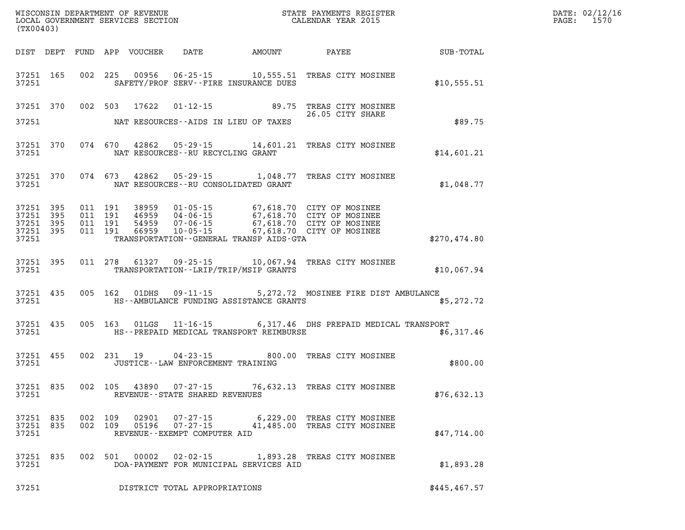| DATE: | 02/12/16 |
|-------|----------|
| PAGE: | 1570     |

| (TX00403)                |       |  |                                         | WISCONSIN DEPARTMENT OF REVENUE<br>LOCAL GOVERNMENT SERVICES SECTION<br>LOCAL GOVERNMENT SERVICES SECTION<br>CALENDAR YEAR 2015 |                                                                                                                                                                                                                                         | DATE: 02/12/1<br>PAGE: 1570 |  |
|--------------------------|-------|--|-----------------------------------------|---------------------------------------------------------------------------------------------------------------------------------|-----------------------------------------------------------------------------------------------------------------------------------------------------------------------------------------------------------------------------------------|-----------------------------|--|
|                          |       |  |                                         |                                                                                                                                 | DIST DEPT FUND APP VOUCHER DATE AMOUNT PAYEE PATE SUB-TOTAL                                                                                                                                                                             |                             |  |
|                          |       |  |                                         | 37251 SAFETY/PROF SERV--FIRE INSURANCE DUES                                                                                     | 37251 165 002 225 00956 06-25-15 10,555.51 TREAS CITY MOSINEE                                                                                                                                                                           | \$10,555.51                 |  |
|                          |       |  |                                         |                                                                                                                                 | 37251 370 002 503 17622 01-12-15 89.75 TREAS CITY MOSINEE<br>26.05 CITY SHARE<br>26.05 CITY SHARE                                                                                                                                       |                             |  |
|                          |       |  |                                         | 37251 NAT RESOURCES--AIDS IN LIEU OF TAXES                                                                                      |                                                                                                                                                                                                                                         | \$89.75                     |  |
|                          |       |  | 37251 NAT RESOURCES--RU RECYCLING GRANT |                                                                                                                                 | 37251 370 074 670 42862 05-29-15 14,601.21 TREAS CITY MOSINEE                                                                                                                                                                           | \$14,601.21                 |  |
|                          |       |  |                                         | 37251 NAT RESOURCES--RU CONSOLIDATED GRANT                                                                                      | 37251 370 074 673 42862 05-29-15 1,048.77 TREAS CITY MOSINEE                                                                                                                                                                            | \$1,048.77                  |  |
| 37251                    |       |  |                                         | TRANSPORTATION--GENERAL TRANSP AIDS-GTA                                                                                         | 37251 395 011 191 38959 01-05-15 67,618.70 CITY OF MOSINEE<br>37251 395 011 191 46959 04-06-15 67,618.70 CITY OF MOSINEE<br>37251 395 011 191 54959 07-06-15 67,618.70 CITY OF MOSINEE<br>37251 395 011 191 66959 10-05-15 67,618.70 CI | \$270,474.80                |  |
|                          | 37251 |  |                                         | TRANSPORTATION - - LRIP/TRIP/MSIP GRANTS                                                                                        | 37251 395 011 278 61327 09-25-15 10,067.94 TREAS CITY MOSINEE                                                                                                                                                                           | \$10,067.94                 |  |
|                          | 37251 |  |                                         | HS--AMBULANCE FUNDING ASSISTANCE GRANTS                                                                                         | 37251 435 005 162 01DHS 09-11-15 5,272.72 MOSINEE FIRE DIST AMBULANCE                                                                                                                                                                   | \$5,272.72                  |  |
| 37251                    |       |  |                                         | HS--PREPAID MEDICAL TRANSPORT REIMBURSE                                                                                         | 37251 435 005 163 01LGS 11-16-15 6,317.46 DHS PREPAID MEDICAL TRANSPORT                                                                                                                                                                 | \$6,317.46                  |  |
| 37251                    |       |  | JUSTICE--LAW ENFORCEMENT TRAINING       |                                                                                                                                 | 37251 455 002 231 19 04-23-15 800.00 TREAS CITY MOSINEE                                                                                                                                                                                 | \$800.00                    |  |
|                          |       |  |                                         | 37251 REVENUE--STATE SHARED REVENUES                                                                                            | 37251 835 002 105 43890 07-27-15 76,632.13 TREAS CITY MOSINEE                                                                                                                                                                           | \$76,632.13                 |  |
| 37251                    |       |  | REVENUE--EXEMPT COMPUTER AID            |                                                                                                                                 | 37251 835 002 109 02901 07-27-15 6,229.00 TREAS CITY MOSINEE<br>37251 835 002 109 05196 07-27-15 41,485.00 TREAS CITY MOSINEE                                                                                                           | \$47,714.00                 |  |
| 37251                    |       |  |                                         | DOA-PAYMENT FOR MUNICIPAL SERVICES AID                                                                                          | 37251 835 002 501 00002 02-02-15 1,893.28 TREAS CITY MOSINEE                                                                                                                                                                            | \$1,893.28                  |  |
| $\bigcap_{n=1}^{\infty}$ |       |  |                                         |                                                                                                                                 |                                                                                                                                                                                                                                         |                             |  |

**37251 DISTRICT TOTAL APPROPRIATIONS \$445,467.57**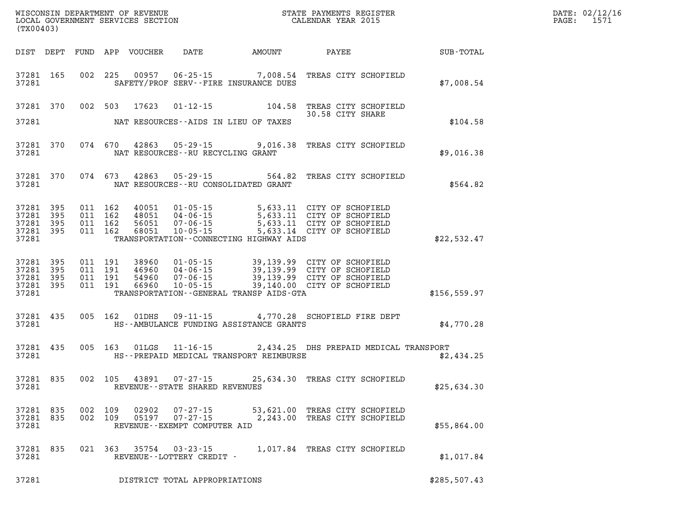| $\mathtt{DATE}$ : | 02/12/16 |
|-------------------|----------|
| PAGE:             | 1571     |

| (TX00403)                       |           |                    |                |                                                                     |                                           | LOCAL GOVERNMENT SERVICES SECTION CALENDAR YEAR 2015                                                                                                                                                                                                                                                                                       |               | PAGE: | 1571 |
|---------------------------------|-----------|--------------------|----------------|---------------------------------------------------------------------|-------------------------------------------|--------------------------------------------------------------------------------------------------------------------------------------------------------------------------------------------------------------------------------------------------------------------------------------------------------------------------------------------|---------------|-------|------|
|                                 |           |                    |                |                                                                     |                                           | DIST DEPT FUND APP VOUCHER DATE AMOUNT PAYEE SUB-TOTAL                                                                                                                                                                                                                                                                                     |               |       |      |
| 37281                           | 37281 165 |                    |                |                                                                     | SAFETY/PROF SERV--FIRE INSURANCE DUES     | 002 225 00957 06-25-15 7,008.54 TREAS CITY SCHOFIELD                                                                                                                                                                                                                                                                                       | \$7,008.54    |       |      |
|                                 |           |                    |                |                                                                     |                                           | 37281 370 002 503 17623 01-12-15 104.58 TREAS CITY SCHOFIELD<br>30.58 CITY SHARE                                                                                                                                                                                                                                                           |               |       |      |
| 37281                           |           |                    |                |                                                                     | NAT RESOURCES--AIDS IN LIEU OF TAXES      |                                                                                                                                                                                                                                                                                                                                            | \$104.58      |       |      |
| 37281                           | 37281 370 |                    |                | NAT RESOURCES--RU RECYCLING GRANT                                   |                                           | 074 670 42863 05-29-15 9,016.38 TREAS CITY SCHOFIELD                                                                                                                                                                                                                                                                                       | \$9,016.38    |       |      |
| 37281                           | 37281 370 |                    |                |                                                                     | NAT RESOURCES -- RU CONSOLIDATED GRANT    | 074 673 42863 05-29-15 564.82 TREAS CITY SCHOFIELD                                                                                                                                                                                                                                                                                         | \$564.82      |       |      |
| 37281 395<br>37281              | 395       |                    |                |                                                                     |                                           | 011 162 40051 01-05-15 5,633.11 CITY OF SCHOFIELD<br>011 162 48051 04-06-15 5,633.11 CITY OF SCHOFIELD<br>011 162 56051 07-06-15 5,633.11 CITY OF SCHOFIELD<br>011 162 68051 10-05-15 5,633.14 CITY OF SCHOFIELD                                                                                                                           |               |       |      |
| 37281 395<br>37281 395<br>37281 |           |                    |                |                                                                     | TRANSPORTATION -- CONNECTING HIGHWAY AIDS |                                                                                                                                                                                                                                                                                                                                            | \$22,532.47   |       |      |
| 37281 395<br>37281 395          |           |                    |                |                                                                     |                                           | $\begin{array}{cccc} 011 & 191 & 38960 & 01\cdot 05\cdot 15 & 39,139.99 & \text{CITY OF SCHOFTELD} \\ 011 & 191 & 46960 & 04\cdot 06\cdot 15 & 39,139.99 & \text{CITY OF SCHOFTELD} \\ 011 & 191 & 54960 & 07\cdot 06\cdot 15 & 39,139.99 & \text{CITY OF SCHOFTELD} \\ 011 & 191 & 66960 & 10\cdot 05\cdot 15 & 39,140\cdot 00 & \text{C$ |               |       |      |
| 37281 395<br>37281 395<br>37281 |           |                    |                |                                                                     | TRANSPORTATION--GENERAL TRANSP AIDS-GTA   |                                                                                                                                                                                                                                                                                                                                            | \$156, 559.97 |       |      |
| 37281                           | 37281 435 | 005 162            | 01DHS          |                                                                     | HS--AMBULANCE FUNDING ASSISTANCE GRANTS   | 09-11-15 4,770.28 SCHOFIELD FIRE DEPT                                                                                                                                                                                                                                                                                                      | \$4,770.28    |       |      |
| 37281                           | 37281 435 |                    | 005 163 01LGS  |                                                                     | HS--PREPAID MEDICAL TRANSPORT REIMBURSE   | 11-16-15 2,434.25 DHS PREPAID MEDICAL TRANSPORT                                                                                                                                                                                                                                                                                            | \$2,434.25    |       |      |
| 37281                           | 37281 835 |                    |                | REVENUE--STATE SHARED REVENUES                                      |                                           | 002 105 43891 07-27-15 25,634.30 TREAS CITY SCHOFIELD                                                                                                                                                                                                                                                                                      | \$25,634.30   |       |      |
| 37281 835<br>37281<br>37281     | 835       | 002 109<br>002 109 | 02902<br>05197 | $07 - 27 - 15$<br>$07 - 27 - 15$<br>REVENUE - - EXEMPT COMPUTER AID |                                           | 53,621.00 TREAS CITY SCHOFIELD<br>2,243.00 TREAS CITY SCHOFIELD                                                                                                                                                                                                                                                                            | \$55,864.00   |       |      |
| 37281 835<br>37281              |           | 021 363            | 35754          | $03 - 23 - 15$<br>REVENUE--LOTTERY CREDIT -                         |                                           | 1,017.84 TREAS CITY SCHOFIELD                                                                                                                                                                                                                                                                                                              | \$1,017.84    |       |      |
| 37281                           |           |                    |                | DISTRICT TOTAL APPROPRIATIONS                                       |                                           |                                                                                                                                                                                                                                                                                                                                            | \$285,507.43  |       |      |

WISCONSIN DEPARTMENT OF REVENUE **STATE PAYMENTS REGISTER**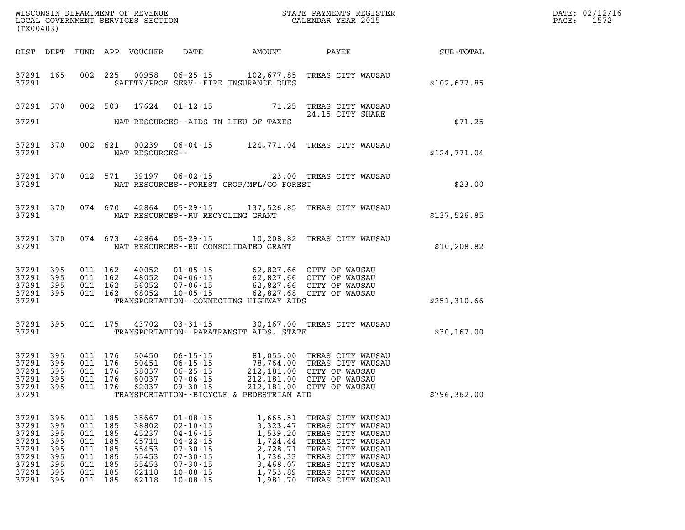| (TX00403)                                                                     |                                                             |                                                             |                                                             | LOCAL GOVERNMENT SERVICES SECTION                                             |                                                                                                                                                                |                                                                                                                                                                                               |                                                                                                                                                                                                |                                               | DATE: 02/12/16<br>1572<br>$\mathtt{PAGE}$ : |
|-------------------------------------------------------------------------------|-------------------------------------------------------------|-------------------------------------------------------------|-------------------------------------------------------------|-------------------------------------------------------------------------------|----------------------------------------------------------------------------------------------------------------------------------------------------------------|-----------------------------------------------------------------------------------------------------------------------------------------------------------------------------------------------|------------------------------------------------------------------------------------------------------------------------------------------------------------------------------------------------|-----------------------------------------------|---------------------------------------------|
|                                                                               | DIST DEPT                                                   |                                                             |                                                             | FUND APP VOUCHER                                                              | DATE                                                                                                                                                           | AMOUNT                                                                                                                                                                                        | <b>PAYEE</b>                                                                                                                                                                                   | $\operatorname{SUB}$ - $\operatorname{TOTAL}$ |                                             |
| 37291                                                                         | 37291 165                                                   |                                                             |                                                             |                                                                               |                                                                                                                                                                | 002 225 00958 06-25-15 102,677.85<br>SAFETY/PROF SERV--FIRE INSURANCE DUES                                                                                                                    | TREAS CITY WAUSAU                                                                                                                                                                              | \$102,677.85                                  |                                             |
| 37291 370                                                                     |                                                             |                                                             | 002 503                                                     | 17624                                                                         |                                                                                                                                                                |                                                                                                                                                                                               | 01-12-15 71.25 TREAS CITY WAUSAU<br>24.15 CITY SHARE                                                                                                                                           |                                               |                                             |
| 37291                                                                         |                                                             |                                                             |                                                             |                                                                               |                                                                                                                                                                | NAT RESOURCES--AIDS IN LIEU OF TAXES                                                                                                                                                          |                                                                                                                                                                                                | \$71.25                                       |                                             |
| 37291                                                                         | 37291 370                                                   |                                                             |                                                             | NAT RESOURCES--                                                               |                                                                                                                                                                |                                                                                                                                                                                               | 002 621 00239 06-04-15 124,771.04 TREAS CITY WAUSAU                                                                                                                                            | \$124,771.04                                  |                                             |
| 37291                                                                         | 37291 370                                                   |                                                             |                                                             |                                                                               |                                                                                                                                                                | NAT RESOURCES--FOREST CROP/MFL/CO FOREST                                                                                                                                                      | 012 571 39197 06-02-15 23.00 TREAS CITY WAUSAU                                                                                                                                                 | \$23.00                                       |                                             |
| 37291                                                                         | 37291 370                                                   |                                                             |                                                             |                                                                               |                                                                                                                                                                | NAT RESOURCES--RU RECYCLING GRANT                                                                                                                                                             | 074 670 42864 05-29-15 137,526.85 TREAS CITY WAUSAU                                                                                                                                            | \$137,526.85                                  |                                             |
| 37291                                                                         | 37291 370 074 673                                           |                                                             |                                                             |                                                                               |                                                                                                                                                                | NAT RESOURCES--RU CONSOLIDATED GRANT                                                                                                                                                          | 42864  05-29-15  10,208.82  TREAS CITY WAUSAU                                                                                                                                                  | \$10, 208.82                                  |                                             |
| 37291 395<br>37291 395<br>37291 395<br>37291 395<br>37291                     |                                                             |                                                             | 011 162<br>011 162<br>011 162<br>011 162                    | 40052<br>48052<br>56052<br>68052                                              |                                                                                                                                                                | 01-05-15 62,827.66 CITY OF WAUSAU<br>04-06-15 62,827.66 CITY OF WAUSAU<br>07-06-15 62,827.66 CITY OF WAUSAU<br>10-05-15 62,827.68 CITY OF WAUSAU<br>TRANSPORTATION -- CONNECTING HIGHWAY AIDS |                                                                                                                                                                                                | \$251,310.66                                  |                                             |
|                                                                               | 37291 395                                                   |                                                             | 011 175                                                     |                                                                               | 43702 03-31-15                                                                                                                                                 |                                                                                                                                                                                               | 30,167.00 TREAS CITY WAUSAU                                                                                                                                                                    |                                               |                                             |
| 37291                                                                         |                                                             |                                                             |                                                             |                                                                               |                                                                                                                                                                | TRANSPORTATION - - PARATRANSIT AIDS, STATE                                                                                                                                                    |                                                                                                                                                                                                | \$30,167.00                                   |                                             |
| 37291 395<br>37291<br>37291<br>37291<br>37291 395<br>37291                    | 395<br>395<br>395                                           |                                                             | 011 176<br>011 176<br>011 176<br>011 176<br>011 176         | 50450<br>50451<br>58037<br>60037<br>62037                                     |                                                                                                                                                                | TRANSPORTATION--BICYCLE & PEDESTRIAN AID                                                                                                                                                      | 06-15-15 81,055.00 TREAS CITY WAUSAU<br>06-15-15 78,764.00 TREAS CITY WAUSAU<br>06-25-15 212,181.00 CITY OF WAUSAU<br>07-06-15 212,181.00 CITY OF WAUSAU<br>09-30-15 212,181.00 CITY OF WAUSAU | \$796, 362.00                                 |                                             |
| 37291<br>37291<br>37291<br>37291<br>37291<br>37291<br>37291<br>37291<br>37291 | 395<br>395<br>395<br>395<br>395<br>395<br>395<br>395<br>395 | 011<br>011<br>011<br>011<br>011<br>011<br>011<br>011<br>011 | 185<br>185<br>185<br>185<br>185<br>185<br>185<br>185<br>185 | 35667<br>38802<br>45237<br>45711<br>55453<br>55453<br>55453<br>62118<br>62118 | $01 - 08 - 15$<br>$02 - 10 - 15$<br>$04 - 16 - 15$<br>$04 - 22 - 15$<br>$07 - 30 - 15$<br>$07 - 30 - 15$<br>$07 - 30 - 15$<br>$10 - 08 - 15$<br>$10 - 08 - 15$ | 1,665.51<br>3,323.47<br>1,539.20<br>1,724.44<br>2,728.71<br>1,736.33<br>3,468.07<br>1,753.89<br>1,981.70                                                                                      | TREAS CITY WAUSAU<br>TREAS CITY WAUSAU<br>TREAS CITY WAUSAU<br>TREAS CITY WAUSAU<br>TREAS CITY WAUSAU<br>TREAS CITY WAUSAU<br>TREAS CITY WAUSAU<br>TREAS CITY WAUSAU<br>TREAS CITY WAUSAU      |                                               |                                             |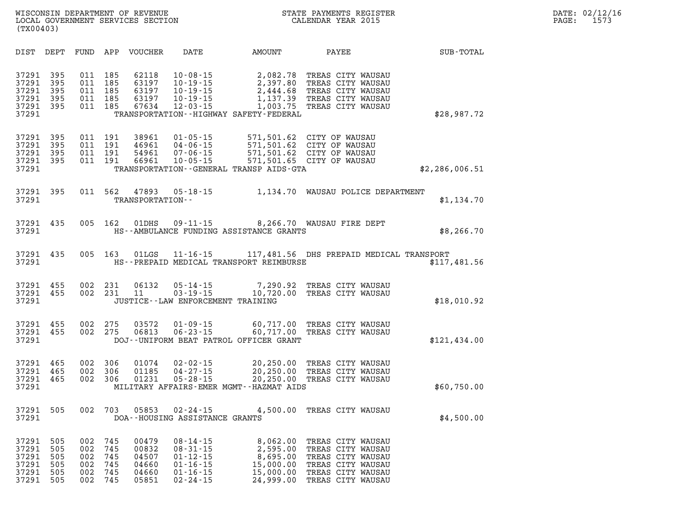| DATE: | 02/12/16 |
|-------|----------|
| PAGE: | 1573     |

| (TX00403)                                          |                                        |                                        |                                        | WISCONSIN DEPARTMENT OF REVENUE<br>LOCAL GOVERNMENT SERVICES SECTION |                                                                                                          |                                                                                                         | STATE PAYMENTS REGISTER<br>CALENDAR YEAR 2015                                                                              |                |
|----------------------------------------------------|----------------------------------------|----------------------------------------|----------------------------------------|----------------------------------------------------------------------|----------------------------------------------------------------------------------------------------------|---------------------------------------------------------------------------------------------------------|----------------------------------------------------------------------------------------------------------------------------|----------------|
| DIST                                               | DEPT                                   | FUND                                   | APP                                    | <b>VOUCHER</b>                                                       | DATE                                                                                                     | AMOUNT                                                                                                  | PAYEE                                                                                                                      | SUB-TOTAL      |
| 37291<br>37291<br>37291<br>37291<br>37291<br>37291 | 395<br>395<br>395<br>395<br>395        | 011<br>011<br>011<br>011<br>011        | 185<br>185<br>185<br>185<br>185        | 62118<br>63197<br>63197<br>63197<br>67634                            | $10 - 08 - 15$<br>$10 - 19 - 15$<br>$10 - 19 - 15$<br>$10 - 19 - 15$<br>$12 - 03 - 15$                   | 2,082.78<br>2,397.80<br>2,444.68<br>1,137.39<br>1,003.75<br>TRANSPORTATION - - HIGHWAY SAFETY - FEDERAL | TREAS CITY WAUSAU<br>TREAS CITY WAUSAU<br>TREAS CITY WAUSAU<br>TREAS CITY WAUSAU<br>TREAS CITY WAUSAU                      | \$28,987.72    |
| 37291<br>37291<br>37291<br>37291<br>37291          | 395<br>395<br>395<br>395               | 011<br>011<br>011<br>011               | 191<br>191<br>191<br>191               | 38961<br>46961<br>54961<br>66961                                     | $01 - 05 - 15$<br>$04 - 06 - 15$<br>$07 - 06 - 15$<br>$10 - 05 - 15$                                     | 571,501.62<br>571,501.62<br>TRANSPORTATION--GENERAL TRANSP AIDS-GTA                                     | 571,501.62 CITY OF WAUSAU<br>CITY OF WAUSAU<br>CITY OF WAUSAU<br>571,501.65 CITY OF WAUSAU                                 | \$2,286,006.51 |
| 37291<br>37291                                     | 395                                    | 011                                    | 562                                    | 47893<br>TRANSPORTATION--                                            | $05 - 18 - 15$                                                                                           | 1,134.70                                                                                                | WAUSAU POLICE DEPARTMENT                                                                                                   | \$1,134.70     |
| 37291<br>37291                                     | 435                                    | 005                                    | 162                                    | 01DHS                                                                | $09 - 11 - 15$                                                                                           | HS--AMBULANCE FUNDING ASSISTANCE GRANTS                                                                 | 8,266.70 WAUSAU FIRE DEPT                                                                                                  | \$8,266.70     |
| 37291<br>37291                                     | 435                                    | 005                                    | 163                                    | 01LGS                                                                | $11 - 16 - 15$                                                                                           | HS--PREPAID MEDICAL TRANSPORT REIMBURSE                                                                 | 117,481.56 DHS PREPAID MEDICAL TRANSPORT                                                                                   | \$117,481.56   |
| 37291<br>37291<br>37291                            | 455<br>455                             | 002<br>002                             | 231<br>231                             | 06132<br>11                                                          | $05 - 14 - 15$<br>$03 - 19 - 15$<br>JUSTICE - - LAW ENFORCEMENT TRAINING                                 | 7,290.92<br>10,720.00                                                                                   | TREAS CITY WAUSAU<br>TREAS CITY WAUSAU                                                                                     | \$18,010.92    |
| 37291<br>37291<br>37291                            | 455<br>455                             | 002<br>002                             | 275<br>275                             | 03572<br>06813                                                       | $01 - 09 - 15$<br>$06 - 23 - 15$                                                                         | 60,717.00<br>60,717.00<br>DOJ--UNIFORM BEAT PATROL OFFICER GRANT                                        | TREAS CITY WAUSAU<br>TREAS CITY WAUSAU                                                                                     | \$121,434.00   |
| 37291<br>37291<br>37291<br>37291                   | 465<br>465<br>465                      | 002<br>002<br>002                      | 306<br>306<br>306                      | 01074<br>01185<br>01231                                              | $02 - 02 - 15$<br>$04 - 27 - 15$<br>$05 - 28 - 15$                                                       | 20,250.00<br>20,250.00<br>20,250.00<br>MILITARY AFFAIRS-EMER MGMT--HAZMAT AIDS                          | TREAS CITY WAUSAU<br>TREAS CITY WAUSAU<br>TREAS CITY WAUSAU                                                                | \$60,750.00    |
| 37291<br>37291                                     | 505                                    | 002                                    | 703                                    | 05853                                                                | $02 - 24 - 15$<br>DOA--HOUSING ASSISTANCE GRANTS                                                         | 4,500.00                                                                                                | TREAS CITY WAUSAU                                                                                                          | \$4,500.00     |
| 37291<br>37291<br>37291<br>37291<br>37291<br>37291 | 505<br>505<br>505<br>505<br>505<br>505 | 002<br>002<br>002<br>002<br>002<br>002 | 745<br>745<br>745<br>745<br>745<br>745 | 00479<br>00832<br>04507<br>04660<br>04660<br>05851                   | $08 - 14 - 15$<br>$08 - 31 - 15$<br>$01 - 12 - 15$<br>$01 - 16 - 15$<br>$01 - 16 - 15$<br>$02 - 24 - 15$ | 8,062.00<br>2,595.00<br>8,695.00<br>15,000.00<br>15,000.00<br>24,999.00                                 | TREAS CITY WAUSAU<br>TREAS CITY WAUSAU<br>TREAS CITY WAUSAU<br>TREAS CITY WAUSAU<br>TREAS CITY WAUSAU<br>TREAS CITY WAUSAU |                |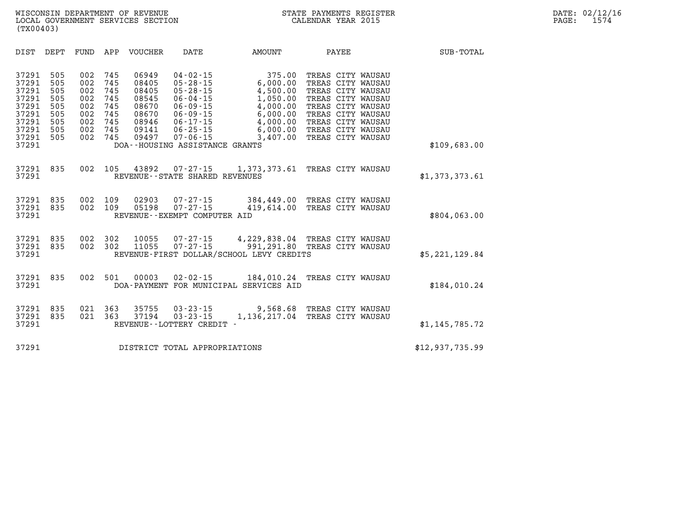| SUB-TOTAL       | PAYEE                                                                                                                                                                                     | AMOUNT                                                                                                 | DATE                                                                                                                                                   | VOUCHER                                                                       | APP                                                         | FUND                                                        | DEPT                                                        | DIST                                                                                   |
|-----------------|-------------------------------------------------------------------------------------------------------------------------------------------------------------------------------------------|--------------------------------------------------------------------------------------------------------|--------------------------------------------------------------------------------------------------------------------------------------------------------|-------------------------------------------------------------------------------|-------------------------------------------------------------|-------------------------------------------------------------|-------------------------------------------------------------|----------------------------------------------------------------------------------------|
| \$109,683.00    | TREAS CITY WAUSAU<br>TREAS CITY WAUSAU<br>TREAS CITY WAUSAU<br>TREAS CITY WAUSAU<br>TREAS CITY WAUSAU<br>TREAS CITY WAUSAU<br>TREAS CITY WAUSAU<br>TREAS CITY WAUSAU<br>TREAS CITY WAUSAU | 375.00<br>6,000.00<br>4,500.00<br>1,050.00<br>4,000.00<br>6,000.00<br>4,000.00<br>6,000.00<br>3,407.00 | $04 - 02 - 15$<br>$05 - 28 - 15$<br>05-28-15<br>06-04-15<br>06-09-15<br>06-09-15<br>06-17-15<br>06-25-15<br>07-06-15<br>DOA--HOUSING ASSISTANCE GRANTS | 06949<br>08405<br>08405<br>08545<br>08670<br>08670<br>08946<br>09141<br>09497 | 745<br>745<br>745<br>745<br>745<br>745<br>745<br>745<br>745 | 002<br>002<br>002<br>002<br>002<br>002<br>002<br>002<br>002 | 505<br>505<br>505<br>505<br>505<br>505<br>505<br>505<br>505 | 37291<br>37291<br>37291<br>37291<br>37291<br>37291<br>37291<br>37291<br>37291<br>37291 |
| \$1,373,373.61  |                                                                                                                                                                                           | 07-27-15 1,373,373.61 TREAS CITY WAUSAU                                                                | REVENUE - - STATE SHARED REVENUES                                                                                                                      | 43892                                                                         | 105                                                         | 002                                                         | 835                                                         | 37291<br>37291                                                                         |
| \$804,063.00    | 384,449.00 TREAS CITY WAUSAU<br>TREAS CITY WAUSAU                                                                                                                                         | 419,614.00                                                                                             | 07-27-15<br>$07 - 27 - 15$<br>REVENUE - - EXEMPT COMPUTER AID                                                                                          | 02903<br>05198                                                                | 109<br>109                                                  | 002<br>002                                                  | 835<br>835                                                  | 37291<br>37291<br>37291                                                                |
| \$5,221,129.84  | TREAS CITY WAUSAU                                                                                                                                                                         | 07-27-15 4,229,838.04 TREAS CITY WAUSAU<br>991,291.80<br>REVENUE-FIRST DOLLAR/SCHOOL LEVY CREDITS      | 07-27-15                                                                                                                                               | 10055<br>11055                                                                | 302<br>302                                                  | 002<br>002                                                  | 835<br>835                                                  | 37291<br>37291<br>37291                                                                |
| \$184,010.24    | TREAS CITY WAUSAU                                                                                                                                                                         | 184,010.24                                                                                             | 02-02-15<br>DOA-PAYMENT FOR MUNICIPAL SERVICES AID                                                                                                     | 00003                                                                         | 501                                                         | 002                                                         | 835                                                         | 37291<br>37291                                                                         |
| \$1,145,785.72  | TREAS CITY WAUSAU<br>TREAS CITY WAUSAU                                                                                                                                                    | 1,136,217.04                                                                                           | $03 - 23 - 15$ 9,568.68<br>$03 - 23 - 15$<br>REVENUE--LOTTERY CREDIT -                                                                                 | 35755<br>37194                                                                | 363<br>363                                                  | 021<br>021                                                  | 835<br>835                                                  | 37291<br>37291<br>37291                                                                |
| \$12,937,735.99 |                                                                                                                                                                                           |                                                                                                        | DISTRICT TOTAL APPROPRIATIONS                                                                                                                          |                                                                               |                                                             |                                                             |                                                             | 37291                                                                                  |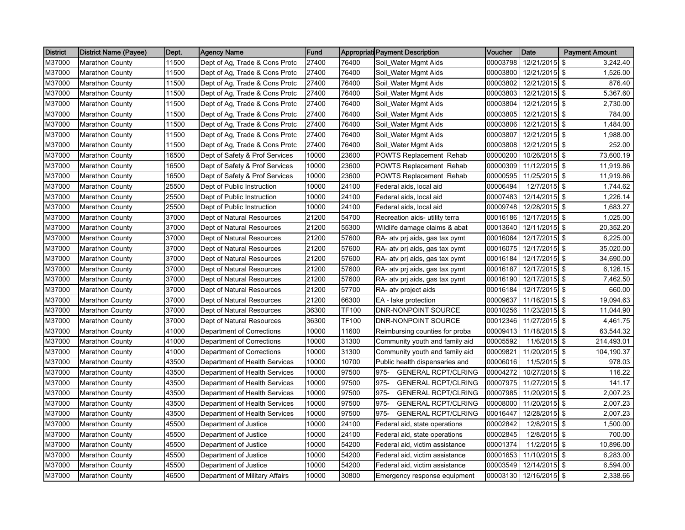| <b>District</b> | <b>District Name (Payee)</b> | Dept. | <b>Agency Name</b>             | Fund  |              | <b>Appropriati Payment Description</b> | Voucher  | Date                   | <b>Payment Amount</b> |
|-----------------|------------------------------|-------|--------------------------------|-------|--------------|----------------------------------------|----------|------------------------|-----------------------|
| M37000          | <b>Marathon County</b>       | 11500 | Dept of Ag, Trade & Cons Protc | 27400 | 76400        | Soil_Water Mgmt Aids                   | 00003798 | 12/21/2015             | \$<br>3,242.40        |
| M37000          | <b>Marathon County</b>       | 11500 | Dept of Ag, Trade & Cons Protc | 27400 | 76400        | Soil_Water Mgmt Aids                   | 00003800 | 12/21/2015 \$          | 1,526.00              |
| M37000          | <b>Marathon County</b>       | 11500 | Dept of Ag, Trade & Cons Protc | 27400 | 76400        | Soil_Water Mgmt Aids                   | 00003802 | 12/21/2015 \$          | 876.40                |
| M37000          | <b>Marathon County</b>       | 11500 | Dept of Ag, Trade & Cons Protc | 27400 | 76400        | Soil_Water Mgmt Aids                   | 00003803 | 12/21/2015 \$          | 5,367.60              |
| M37000          | <b>Marathon County</b>       | 11500 | Dept of Ag, Trade & Cons Protc | 27400 | 76400        | Soil_Water Mgmt Aids                   | 00003804 | 12/21/2015             | \$<br>2,730.00        |
| M37000          | <b>Marathon County</b>       | 11500 | Dept of Ag, Trade & Cons Protc | 27400 | 76400        | Soil_Water Mgmt Aids                   | 00003805 | 12/21/2015 \$          | 784.00                |
| M37000          | <b>Marathon County</b>       | 11500 | Dept of Ag, Trade & Cons Protc | 27400 | 76400        | Soil_Water Mgmt Aids                   | 00003806 | 12/21/2015 \$          | 1,484.00              |
| M37000          | <b>Marathon County</b>       | 11500 | Dept of Ag, Trade & Cons Protc | 27400 | 76400        | Soil_Water Mgmt Aids                   | 00003807 | 12/21/2015 \$          | 1,988.00              |
| M37000          | <b>Marathon County</b>       | 11500 | Dept of Ag, Trade & Cons Protc | 27400 | 76400        | Soil_Water Mgmt Aids                   | 00003808 | 12/21/2015 \$          | 252.00                |
| M37000          | <b>Marathon County</b>       | 16500 | Dept of Safety & Prof Services | 10000 | 23600        | POWTS Replacement Rehab                | 00000200 | 10/26/2015 \$          | 73,600.19             |
| M37000          | <b>Marathon County</b>       | 16500 | Dept of Safety & Prof Services | 10000 | 23600        | <b>POWTS Replacement Rehab</b>         | 00000309 | 11/12/2015 \$          | 11,919.86             |
| M37000          | <b>Marathon County</b>       | 16500 | Dept of Safety & Prof Services | 10000 | 23600        | POWTS Replacement Rehab                | 00000595 | 11/25/2015 \$          | 11,919.86             |
| M37000          | <b>Marathon County</b>       | 25500 | Dept of Public Instruction     | 10000 | 24100        | Federal aids, local aid                | 00006494 | 12/7/2015 \$           | 1,744.62              |
| M37000          | <b>Marathon County</b>       | 25500 | Dept of Public Instruction     | 10000 | 24100        | Federal aids, local aid                | 00007483 | 12/14/2015 \$          | 1,226.14              |
| M37000          | <b>Marathon County</b>       | 25500 | Dept of Public Instruction     | 10000 | 24100        | Federal aids, local aid                | 00009748 | 12/28/2015 \$          | 1,683.27              |
| M37000          | <b>Marathon County</b>       | 37000 | Dept of Natural Resources      | 21200 | 54700        | Recreation aids- utility terra         | 00016186 | 12/17/2015 \$          | 1,025.00              |
| M37000          | <b>Marathon County</b>       | 37000 | Dept of Natural Resources      | 21200 | 55300        | Wildlife damage claims & abat          | 00013640 | 12/11/2015 \$          | 20,352.20             |
| M37000          | <b>Marathon County</b>       | 37000 | Dept of Natural Resources      | 21200 | 57600        | RA- atv prj aids, gas tax pymt         | 00016064 | 12/17/2015 \$          | 6,225.00              |
| M37000          | <b>Marathon County</b>       | 37000 | Dept of Natural Resources      | 21200 | 57600        | RA- atv pri aids, gas tax pymt         | 00016075 | 12/17/2015 \$          | 35,020.00             |
| M37000          | <b>Marathon County</b>       | 37000 | Dept of Natural Resources      | 21200 | 57600        | RA- atv prj aids, gas tax pymt         | 00016184 | 12/17/2015 \$          | 34,690.00             |
| M37000          | <b>Marathon County</b>       | 37000 | Dept of Natural Resources      | 21200 | 57600        | RA- atv pri aids, gas tax pymt         | 00016187 | 12/17/2015 \$          | 6,126.15              |
| M37000          | <b>Marathon County</b>       | 37000 | Dept of Natural Resources      | 21200 | 57600        | RA- atv prj aids, gas tax pymt         | 00016190 | 12/17/2015 \$          | 7,462.50              |
| M37000          | <b>Marathon County</b>       | 37000 | Dept of Natural Resources      | 21200 | 57700        | RA- atv project aids                   | 00016184 | $12/17/2015$ \$        | 660.00                |
| M37000          | <b>Marathon County</b>       | 37000 | Dept of Natural Resources      | 21200 | 66300        | EA - lake protection                   | 00009637 | 11/16/2015 \$          | 19,094.63             |
| M37000          | <b>Marathon County</b>       | 37000 | Dept of Natural Resources      | 36300 | <b>TF100</b> | DNR-NONPOINT SOURCE                    | 00010256 | 11/23/2015 \$          | 11,044.90             |
| M37000          | <b>Marathon County</b>       | 37000 | Dept of Natural Resources      | 36300 | TF100        | DNR-NONPOINT SOURCE                    | 00012346 | 11/27/2015 \$          | 4,461.75              |
| M37000          | <b>Marathon County</b>       | 41000 | Department of Corrections      | 10000 | 11600        | Reimbursing counties for proba         | 00009413 | 11/18/2015 \$          | 63,544.32             |
| M37000          | <b>Marathon County</b>       | 41000 | Department of Corrections      | 10000 | 31300        | Community youth and family aid         | 00005592 | 11/6/2015 \$           | 214,493.01            |
| M37000          | <b>Marathon County</b>       | 41000 | Department of Corrections      | 10000 | 31300        | Community youth and family aid         | 00009821 | 11/20/2015 \$          | 104,190.37            |
| M37000          | <b>Marathon County</b>       | 43500 | Department of Health Services  | 10000 | 10700        | Public health dispensaries and         | 00006016 | 11/5/2015              | \$<br>978.03          |
| M37000          | <b>Marathon County</b>       | 43500 | Department of Health Services  | 10000 | 97500        | 975-<br><b>GENERAL RCPT/CLRING</b>     | 00004272 | 10/27/2015 \$          | 116.22                |
| M37000          | <b>Marathon County</b>       | 43500 | Department of Health Services  | 10000 | 97500        | 975-<br><b>GENERAL RCPT/CLRING</b>     | 00007975 | 11/27/2015             | -\$<br>141.17         |
| M37000          | <b>Marathon County</b>       | 43500 | Department of Health Services  | 10000 | 97500        | 975-<br><b>GENERAL RCPT/CLRING</b>     | 00007985 | 11/20/2015 \$          | 2,007.23              |
| M37000          | <b>Marathon County</b>       | 43500 | Department of Health Services  | 10000 | 97500        | 975-<br><b>GENERAL RCPT/CLRING</b>     | 00008000 | 11/20/2015 \$          | 2,007.23              |
| M37000          | <b>Marathon County</b>       | 43500 | Department of Health Services  | 10000 | 97500        | 975-<br><b>GENERAL RCPT/CLRING</b>     | 00016447 | 12/28/2015 \$          | 2,007.23              |
| M37000          | <b>Marathon County</b>       | 45500 | Department of Justice          | 10000 | 24100        | Federal aid, state operations          | 00002842 | 12/8/2015 \$           | 1,500.00              |
| M37000          | <b>Marathon County</b>       | 45500 | Department of Justice          | 10000 | 24100        | Federal aid, state operations          | 00002845 | 12/8/2015 \$           | 700.00                |
| M37000          | <b>Marathon County</b>       | 45500 | Department of Justice          | 10000 | 54200        | Federal aid, victim assistance         | 00001374 | 11/2/2015 \$           | 10,896.00             |
| M37000          | <b>Marathon County</b>       | 45500 | Department of Justice          | 10000 | 54200        | Federal aid, victim assistance         | 00001653 | 11/10/2015 \$          | 6,283.00              |
| M37000          | <b>Marathon County</b>       | 45500 | Department of Justice          | 10000 | 54200        | Federal aid, victim assistance         | 00003549 | 12/14/2015 \$          | 6,594.00              |
| M37000          | <b>Marathon County</b>       | 46500 | Department of Military Affairs | 10000 | 30800        | Emergency response equipment           |          | 00003130 12/16/2015 \$ | 2,338.66              |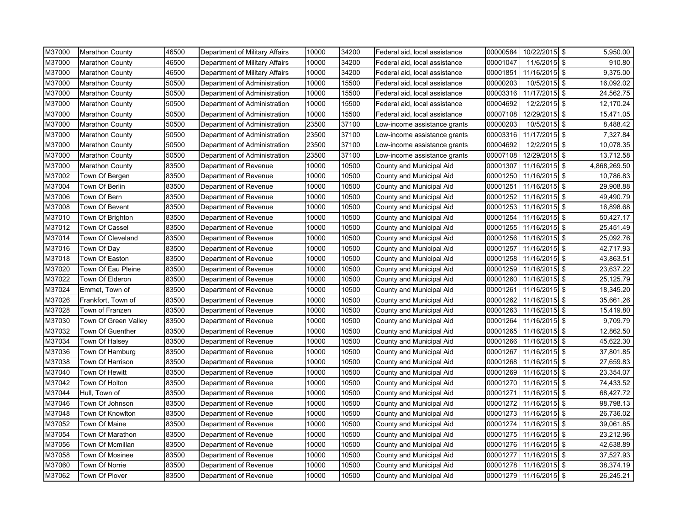| M37000 | <b>Marathon County</b> | 46500 | Department of Military Affairs | 10000 | 34200 | Federal aid, local assistance | 00000584 | 10/22/2015 \$          | 5,950.00        |
|--------|------------------------|-------|--------------------------------|-------|-------|-------------------------------|----------|------------------------|-----------------|
| M37000 | Marathon County        | 46500 | Department of Military Affairs | 10000 | 34200 | Federal aid, local assistance | 00001047 | 11/6/2015 \$           | 910.80          |
| M37000 | <b>Marathon County</b> | 46500 | Department of Military Affairs | 10000 | 34200 | Federal aid, local assistance | 00001851 | 11/16/2015 \$          | 9,375.00        |
| M37000 | <b>Marathon County</b> | 50500 | Department of Administration   | 10000 | 15500 | Federal aid, local assistance | 00000203 | 10/5/2015 \$           | 16,092.02       |
| M37000 | <b>Marathon County</b> | 50500 | Department of Administration   | 10000 | 15500 | Federal aid, local assistance | 00003316 | 11/17/2015 \$          | 24,562.75       |
| M37000 | <b>Marathon County</b> | 50500 | Department of Administration   | 10000 | 15500 | Federal aid, local assistance | 00004692 | 12/2/2015 \$           | 12,170.24       |
| M37000 | <b>Marathon County</b> | 50500 | Department of Administration   | 10000 | 15500 | Federal aid, local assistance | 00007108 | 12/29/2015 \$          | 15,471.05       |
| M37000 | <b>Marathon County</b> | 50500 | Department of Administration   | 23500 | 37100 | Low-income assistance grants  | 00000203 | 10/5/2015 \$           | 8,488.42        |
| M37000 | <b>Marathon County</b> | 50500 | Department of Administration   | 23500 | 37100 | Low-income assistance grants  | 00003316 | 11/17/2015 \$          | 7,327.84        |
| M37000 | <b>Marathon County</b> | 50500 | Department of Administration   | 23500 | 37100 | Low-income assistance grants  | 00004692 | 12/2/2015 \$           | 10,078.35       |
| M37000 | <b>Marathon County</b> | 50500 | Department of Administration   | 23500 | 37100 | Low-income assistance grants  | 00007108 | 12/29/2015 \$          | 13,712.58       |
| M37000 | <b>Marathon County</b> | 83500 | Department of Revenue          | 10000 | 10500 | County and Municipal Aid      | 00001307 | $11/16/2015$ \$        | 4,868,269.50    |
| M37002 | Town Of Bergen         | 83500 | Department of Revenue          | 10000 | 10500 | County and Municipal Aid      | 00001250 | 11/16/2015             | \$<br>10,786.83 |
| M37004 | Town Of Berlin         | 83500 | Department of Revenue          | 10000 | 10500 | County and Municipal Aid      | 00001251 | 11/16/2015 \$          | 29,908.88       |
| M37006 | Town Of Bern           | 83500 | Department of Revenue          | 10000 | 10500 | County and Municipal Aid      | 00001252 | 11/16/2015 \$          | 49,490.79       |
| M37008 | Town Of Bevent         | 83500 | Department of Revenue          | 10000 | 10500 | County and Municipal Aid      | 00001253 | 11/16/2015 \$          | 16,898.68       |
| M37010 | Town Of Brighton       | 83500 | Department of Revenue          | 10000 | 10500 | County and Municipal Aid      | 00001254 | 11/16/2015 \$          | 50,427.17       |
| M37012 | Town Of Cassel         | 83500 | Department of Revenue          | 10000 | 10500 | County and Municipal Aid      | 00001255 | 11/16/2015 \$          | 25,451.49       |
| M37014 | Town Of Cleveland      | 83500 | Department of Revenue          | 10000 | 10500 | County and Municipal Aid      | 00001256 | 11/16/2015 \$          | 25,092.76       |
| M37016 | Town Of Day            | 83500 | Department of Revenue          | 10000 | 10500 | County and Municipal Aid      | 00001257 | 11/16/2015 \$          | 42,717.93       |
| M37018 | Town Of Easton         | 83500 | Department of Revenue          | 10000 | 10500 | County and Municipal Aid      | 00001258 | 11/16/2015 \$          | 43,863.51       |
| M37020 | Town Of Eau Pleine     | 83500 | Department of Revenue          | 10000 | 10500 | County and Municipal Aid      | 00001259 | 11/16/2015 \$          | 23,637.22       |
| M37022 | Town Of Elderon        | 83500 | Department of Revenue          | 10000 | 10500 | County and Municipal Aid      | 00001260 | 11/16/2015 \$          | 25,125.79       |
| M37024 | Emmet, Town of         | 83500 | Department of Revenue          | 10000 | 10500 | County and Municipal Aid      | 00001261 | 11/16/2015 \$          | 18,345.20       |
| M37026 | Frankfort, Town of     | 83500 | Department of Revenue          | 10000 | 10500 | County and Municipal Aid      | 00001262 | $11/16/2015$ \$        | 35,661.26       |
| M37028 | Town of Franzen        | 83500 | Department of Revenue          | 10000 | 10500 | County and Municipal Aid      | 00001263 | 11/16/2015 \$          | 15,419.80       |
| M37030 | Town Of Green Valley   | 83500 | Department of Revenue          | 10000 | 10500 | County and Municipal Aid      | 00001264 | 11/16/2015 \$          | 9,709.79        |
| M37032 | Town Of Guenther       | 83500 | Department of Revenue          | 10000 | 10500 | County and Municipal Aid      | 00001265 | 11/16/2015 \$          | 12,862.50       |
| M37034 | Town Of Halsey         | 83500 | Department of Revenue          | 10000 | 10500 | County and Municipal Aid      | 00001266 | 11/16/2015 \$          | 45,622.30       |
| M37036 | Town Of Hamburg        | 83500 | Department of Revenue          | 10000 | 10500 | County and Municipal Aid      | 00001267 | 11/16/2015 \$          | 37,801.85       |
| M37038 | Town Of Harrison       | 83500 | Department of Revenue          | 10000 | 10500 | County and Municipal Aid      | 00001268 | 11/16/2015             | \$<br>27,659.83 |
| M37040 | Town Of Hewitt         | 83500 | Department of Revenue          | 10000 | 10500 | County and Municipal Aid      | 00001269 | 11/16/2015 \$          | 23,354.07       |
| M37042 | Town Of Holton         | 83500 | Department of Revenue          | 10000 | 10500 | County and Municipal Aid      | 00001270 | 11/16/2015             | \$<br>74,433.52 |
| M37044 | Hull, Town of          | 83500 | Department of Revenue          | 10000 | 10500 | County and Municipal Aid      | 00001271 | 11/16/2015 \$          | 68,427.72       |
| M37046 | Town Of Johnson        | 83500 | Department of Revenue          | 10000 | 10500 | County and Municipal Aid      | 00001272 | 11/16/2015 \$          | 98,798.13       |
| M37048 | Town Of Knowlton       | 83500 | Department of Revenue          | 10000 | 10500 | County and Municipal Aid      | 00001273 | 11/16/2015 \$          | 26,736.02       |
| M37052 | <b>Town Of Maine</b>   | 83500 | Department of Revenue          | 10000 | 10500 | County and Municipal Aid      | 00001274 | 11/16/2015 \$          | 39,061.85       |
| M37054 | Town Of Marathon       | 83500 | Department of Revenue          | 10000 | 10500 | County and Municipal Aid      | 00001275 | 11/16/2015 \$          | 23,212.96       |
| M37056 | Town Of Mcmillan       | 83500 | Department of Revenue          | 10000 | 10500 | County and Municipal Aid      | 00001276 | 11/16/2015 \$          | 42,638.89       |
| M37058 | Town Of Mosinee        | 83500 | Department of Revenue          | 10000 | 10500 | County and Municipal Aid      | 00001277 | 11/16/2015 \$          | 37,527.93       |
| M37060 | Town Of Norrie         | 83500 | Department of Revenue          | 10000 | 10500 | County and Municipal Aid      | 00001278 | 11/16/2015 \$          | 38,374.19       |
| M37062 | Town Of Plover         | 83500 | Department of Revenue          | 10000 | 10500 | County and Municipal Aid      |          | 00001279 11/16/2015 \$ | 26,245.21       |